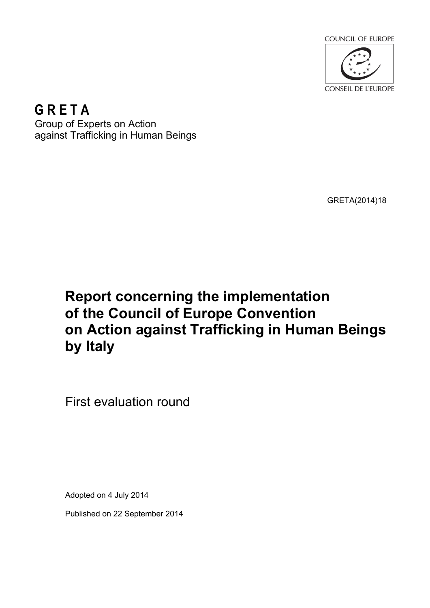

**G R E T A** Group of Experts on Action against Trafficking in Human Beings

GRETA(2014)18

# **Report concerning the implementation of the Council of Europe Convention on Action against Trafficking in Human Beings by Italy**

First evaluation round

Adopted on 4 July 2014

Published on 22 September 2014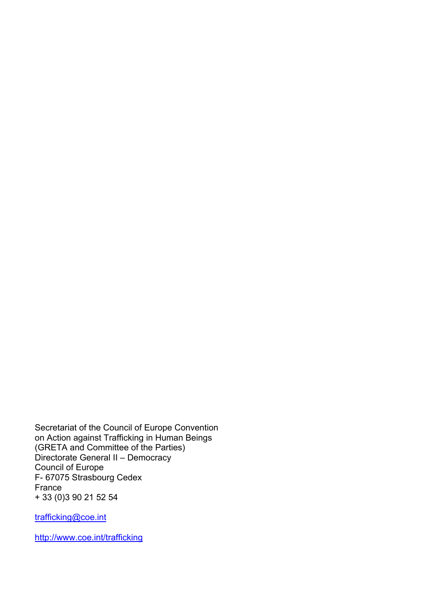Secretariat of the Council of Europe Convention on Action against Trafficking in Human Beings (GRETA and Committee of the Parties) Directorate General II – Democracy Council of Europe F- 67075 Strasbourg Cedex France + 33 (0)3 90 21 52 54

trafficking@coe.int

<http://www.coe.int/trafficking>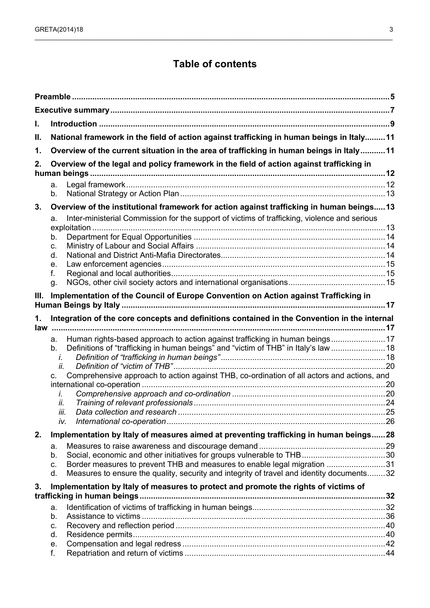## **Table of contents**

| I.                                                                                               |                                                                                                    |  |  |  |
|--------------------------------------------------------------------------------------------------|----------------------------------------------------------------------------------------------------|--|--|--|
| National framework in the field of action against trafficking in human beings in Italy 11<br>ΙΙ. |                                                                                                    |  |  |  |
| 1.                                                                                               | Overview of the current situation in the area of trafficking in human beings in Italy11            |  |  |  |
| 2.                                                                                               | Overview of the legal and policy framework in the field of action against trafficking in           |  |  |  |
|                                                                                                  |                                                                                                    |  |  |  |
|                                                                                                  | а.                                                                                                 |  |  |  |
|                                                                                                  | b.                                                                                                 |  |  |  |
| 3.                                                                                               | Overview of the institutional framework for action against trafficking in human beings13           |  |  |  |
|                                                                                                  | Inter-ministerial Commission for the support of victims of trafficking, violence and serious<br>a. |  |  |  |
|                                                                                                  | exploitation.<br>b.                                                                                |  |  |  |
|                                                                                                  | C.                                                                                                 |  |  |  |
|                                                                                                  | d.                                                                                                 |  |  |  |
|                                                                                                  | е.                                                                                                 |  |  |  |
|                                                                                                  | f.                                                                                                 |  |  |  |
|                                                                                                  | g.                                                                                                 |  |  |  |
| Ш.                                                                                               | Implementation of the Council of Europe Convention on Action against Trafficking in                |  |  |  |
|                                                                                                  |                                                                                                    |  |  |  |
| 1.                                                                                               | Integration of the core concepts and definitions contained in the Convention in the internal       |  |  |  |
| law                                                                                              |                                                                                                    |  |  |  |
|                                                                                                  | Human rights-based approach to action against trafficking in human beings17<br>a.                  |  |  |  |
|                                                                                                  | Definitions of "trafficking in human beings" and "victim of THB" in Italy's law  18<br>b.<br>İ.    |  |  |  |
|                                                                                                  | ii.                                                                                                |  |  |  |
|                                                                                                  | Comprehensive approach to action against THB, co-ordination of all actors and actions, and<br>C.   |  |  |  |
|                                                                                                  |                                                                                                    |  |  |  |
|                                                                                                  | İ.                                                                                                 |  |  |  |
|                                                                                                  | ii.<br>iii.                                                                                        |  |  |  |
|                                                                                                  | iv.                                                                                                |  |  |  |
|                                                                                                  |                                                                                                    |  |  |  |
| 2.                                                                                               | Implementation by Italy of measures aimed at preventing trafficking in human beings28              |  |  |  |
|                                                                                                  | а.<br>b.                                                                                           |  |  |  |
|                                                                                                  | Border measures to prevent THB and measures to enable legal migration 31<br>C.                     |  |  |  |
|                                                                                                  | Measures to ensure the quality, security and integrity of travel and identity documents32<br>d.    |  |  |  |
| 3.                                                                                               | Implementation by Italy of measures to protect and promote the rights of victims of                |  |  |  |
|                                                                                                  |                                                                                                    |  |  |  |
|                                                                                                  | a.                                                                                                 |  |  |  |
|                                                                                                  | b.                                                                                                 |  |  |  |
|                                                                                                  | C.                                                                                                 |  |  |  |
|                                                                                                  | d.                                                                                                 |  |  |  |
|                                                                                                  | е.<br>f.                                                                                           |  |  |  |
|                                                                                                  |                                                                                                    |  |  |  |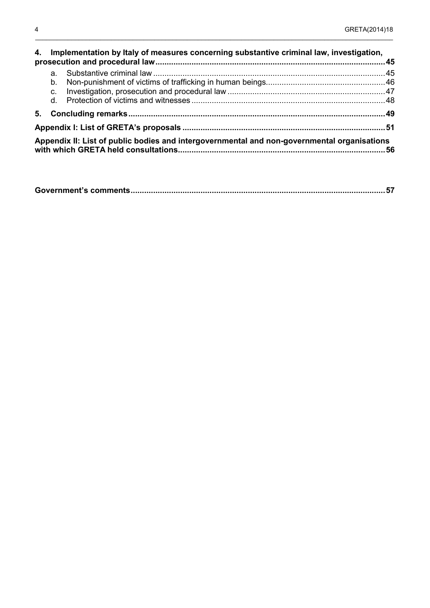|                               | 4. Implementation by Italy of measures concerning substantive criminal law, investigation,  |  |
|-------------------------------|---------------------------------------------------------------------------------------------|--|
| a.<br>b.<br>$C_{\cdot}$<br>d. |                                                                                             |  |
|                               |                                                                                             |  |
|                               |                                                                                             |  |
|                               | Appendix II: List of public bodies and intergovernmental and non-governmental organisations |  |

\_\_\_\_\_\_\_\_\_\_\_\_\_\_\_\_\_\_\_\_\_\_\_\_\_\_\_\_\_\_\_\_\_\_\_\_\_\_\_\_\_\_\_\_\_\_\_\_\_\_\_\_\_\_\_\_\_\_\_\_\_\_\_\_\_\_\_\_\_\_\_\_\_\_\_\_\_\_\_\_\_\_\_\_\_\_\_\_\_\_\_\_\_\_\_\_\_\_\_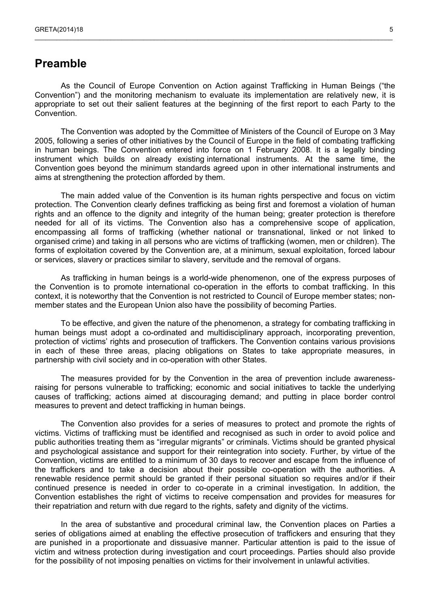## <span id="page-4-0"></span>**Preamble**

As the Council of Europe Convention on Action against Trafficking in Human Beings ("the Convention") and the monitoring mechanism to evaluate its implementation are relatively new, it is appropriate to set out their salient features at the beginning of the first report to each Party to the Convention.

 $\_$  , and the state of the state of the state of the state of the state of the state of the state of the state of the state of the state of the state of the state of the state of the state of the state of the state of the

The Convention was adopted by the Committee of Ministers of the Council of Europe on 3 May 2005, following a series of other initiatives by the Council of Europe in the field of combating trafficking in human beings. The Convention entered into force on 1 February 2008. It is a legally binding instrument which builds on already existing international instruments. At the same time, the Convention goes beyond the minimum standards agreed upon in other international instruments and aims at strengthening the protection afforded by them.

The main added value of the Convention is its human rights perspective and focus on victim protection. The Convention clearly defines trafficking as being first and foremost a violation of human rights and an offence to the dignity and integrity of the human being; greater protection is therefore needed for all of its victims. The Convention also has a comprehensive scope of application, encompassing all forms of trafficking (whether national or transnational, linked or not linked to organised crime) and taking in all persons who are victims of trafficking (women, men or children). The forms of exploitation covered by the Convention are, at a minimum, sexual exploitation, forced labour or services, slavery or practices similar to slavery, servitude and the removal of organs.

As trafficking in human beings is a world-wide phenomenon, one of the express purposes of the Convention is to promote international co-operation in the efforts to combat trafficking. In this context, it is noteworthy that the Convention is not restricted to Council of Europe member states; nonmember states and the European Union also have the possibility of becoming Parties.

To be effective, and given the nature of the phenomenon, a strategy for combating trafficking in human beings must adopt a co-ordinated and multidisciplinary approach, incorporating prevention, protection of victims' rights and prosecution of traffickers. The Convention contains various provisions in each of these three areas, placing obligations on States to take appropriate measures, in partnership with civil society and in co-operation with other States.

The measures provided for by the Convention in the area of prevention include awarenessraising for persons vulnerable to trafficking; economic and social initiatives to tackle the underlying causes of trafficking; actions aimed at discouraging demand; and putting in place border control measures to prevent and detect trafficking in human beings.

The Convention also provides for a series of measures to protect and promote the rights of victims. Victims of trafficking must be identified and recognised as such in order to avoid police and public authorities treating them as "irregular migrants" or criminals. Victims should be granted physical and psychological assistance and support for their reintegration into society. Further, by virtue of the Convention, victims are entitled to a minimum of 30 days to recover and escape from the influence of the traffickers and to take a decision about their possible co-operation with the authorities. A renewable residence permit should be granted if their personal situation so requires and/or if their continued presence is needed in order to co-operate in a criminal investigation. In addition, the Convention establishes the right of victims to receive compensation and provides for measures for their repatriation and return with due regard to the rights, safety and dignity of the victims.

In the area of substantive and procedural criminal law, the Convention places on Parties a series of obligations aimed at enabling the effective prosecution of traffickers and ensuring that they are punished in a proportionate and dissuasive manner. Particular attention is paid to the issue of victim and witness protection during investigation and court proceedings. Parties should also provide for the possibility of not imposing penalties on victims for their involvement in unlawful activities.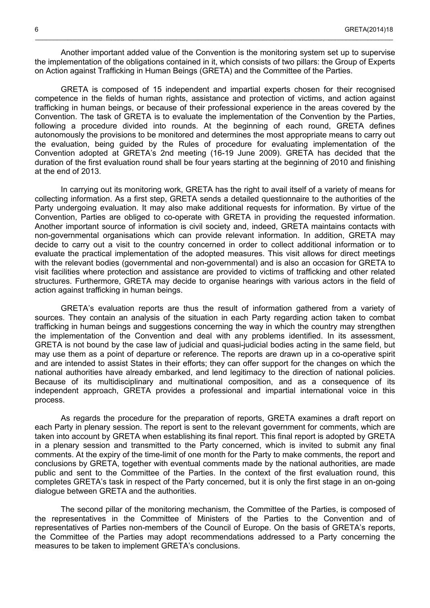Another important added value of the Convention is the monitoring system set up to supervise the implementation of the obligations contained in it, which consists of two pillars: the Group of Experts on Action against Trafficking in Human Beings (GRETA) and the Committee of the Parties.

\_\_\_\_\_\_\_\_\_\_\_\_\_\_\_\_\_\_\_\_\_\_\_\_\_\_\_\_\_\_\_\_\_\_\_\_\_\_\_\_\_\_\_\_\_\_\_\_\_\_\_\_\_\_\_\_\_\_\_\_\_\_\_\_\_\_\_\_\_\_\_\_\_\_\_\_\_\_\_\_\_\_\_\_\_\_\_\_\_\_\_\_\_\_\_\_\_\_\_

GRETA is composed of 15 independent and impartial experts chosen for their recognised competence in the fields of human rights, assistance and protection of victims, and action against trafficking in human beings, or because of their professional experience in the areas covered by the Convention. The task of GRETA is to evaluate the implementation of the Convention by the Parties, following a procedure divided into rounds. At the beginning of each round, GRETA defines autonomously the provisions to be monitored and determines the most appropriate means to carry out the evaluation, being guided by the Rules of procedure for evaluating implementation of the Convention adopted at GRETA's 2nd meeting (16-19 June 2009). GRETA has decided that the duration of the first evaluation round shall be four years starting at the beginning of 2010 and finishing at the end of 2013.

In carrying out its monitoring work, GRETA has the right to avail itself of a variety of means for collecting information. As a first step, GRETA sends a detailed questionnaire to the authorities of the Party undergoing evaluation. It may also make additional requests for information. By virtue of the Convention, Parties are obliged to co-operate with GRETA in providing the requested information. Another important source of information is civil society and, indeed, GRETA maintains contacts with non-governmental organisations which can provide relevant information. In addition, GRETA may decide to carry out a visit to the country concerned in order to collect additional information or to evaluate the practical implementation of the adopted measures. This visit allows for direct meetings with the relevant bodies (governmental and non-governmental) and is also an occasion for GRETA to visit facilities where protection and assistance are provided to victims of trafficking and other related structures. Furthermore, GRETA may decide to organise hearings with various actors in the field of action against trafficking in human beings.

GRETA's evaluation reports are thus the result of information gathered from a variety of sources. They contain an analysis of the situation in each Party regarding action taken to combat trafficking in human beings and suggestions concerning the way in which the country may strengthen the implementation of the Convention and deal with any problems identified. In its assessment, GRETA is not bound by the case law of judicial and quasi-judicial bodies acting in the same field, but may use them as a point of departure or reference. The reports are drawn up in a co-operative spirit and are intended to assist States in their efforts; they can offer support for the changes on which the national authorities have already embarked, and lend legitimacy to the direction of national policies. Because of its multidisciplinary and multinational composition, and as a consequence of its independent approach, GRETA provides a professional and impartial international voice in this process.

As regards the procedure for the preparation of reports, GRETA examines a draft report on each Party in plenary session. The report is sent to the relevant government for comments, which are taken into account by GRETA when establishing its final report. This final report is adopted by GRETA in a plenary session and transmitted to the Party concerned, which is invited to submit any final comments. At the expiry of the time-limit of one month for the Party to make comments, the report and conclusions by GRETA, together with eventual comments made by the national authorities, are made public and sent to the Committee of the Parties. In the context of the first evaluation round, this completes GRETA's task in respect of the Party concerned, but it is only the first stage in an on-going dialogue between GRETA and the authorities.

The second pillar of the monitoring mechanism, the Committee of the Parties, is composed of the representatives in the Committee of Ministers of the Parties to the Convention and of representatives of Parties non-members of the Council of Europe. On the basis of GRETA's reports, the Committee of the Parties may adopt recommendations addressed to a Party concerning the measures to be taken to implement GRETA's conclusions.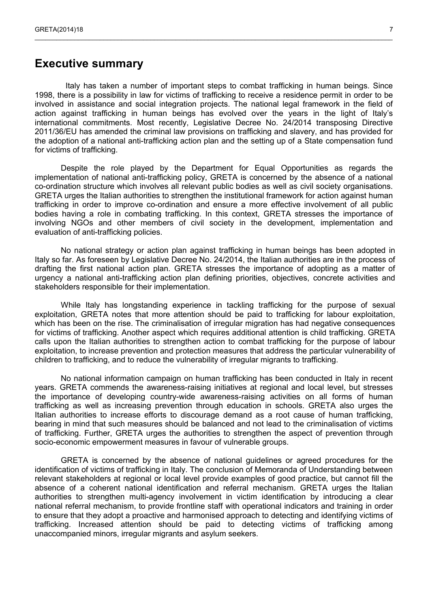## <span id="page-6-0"></span>**Executive summary**

Italy has taken a number of important steps to combat trafficking in human beings. Since 1998, there is a possibility in law for victims of trafficking to receive a residence permit in order to be involved in assistance and social integration projects. The national legal framework in the field of action against trafficking in human beings has evolved over the years in the light of Italy's international commitments. Most recently, Legislative Decree No. 24/2014 transposing Directive 2011/36/EU has amended the criminal law provisions on trafficking and slavery, and has provided for the adoption of a national anti-trafficking action plan and the setting up of a State compensation fund for victims of trafficking.

 $\_$  , and the state of the state of the state of the state of the state of the state of the state of the state of the state of the state of the state of the state of the state of the state of the state of the state of the

Despite the role played by the Department for Equal Opportunities as regards the implementation of national anti-trafficking policy, GRETA is concerned by the absence of a national co-ordination structure which involves all relevant public bodies as well as civil society organisations. GRETA urges the Italian authorities to strengthen the institutional framework for action against human trafficking in order to improve co-ordination and ensure a more effective involvement of all public bodies having a role in combating trafficking. In this context, GRETA stresses the importance of involving NGOs and other members of civil society in the development, implementation and evaluation of anti-trafficking policies.

No national strategy or action plan against trafficking in human beings has been adopted in Italy so far. As foreseen by Legislative Decree No. 24/2014, the Italian authorities are in the process of drafting the first national action plan. GRETA stresses the importance of adopting as a matter of urgency a national anti-trafficking action plan defining priorities, objectives, concrete activities and stakeholders responsible for their implementation.

While Italy has longstanding experience in tackling trafficking for the purpose of sexual exploitation, GRETA notes that more attention should be paid to trafficking for labour exploitation, which has been on the rise. The criminalisation of irregular migration has had negative consequences for victims of trafficking. Another aspect which requires additional attention is child trafficking. GRETA calls upon the Italian authorities to strengthen action to combat trafficking for the purpose of labour exploitation, to increase prevention and protection measures that address the particular vulnerability of children to trafficking, and to reduce the vulnerability of irregular migrants to trafficking.

No national information campaign on human trafficking has been conducted in Italy in recent years. GRETA commends the awareness-raising initiatives at regional and local level, but stresses the importance of developing country-wide awareness-raising activities on all forms of human trafficking as well as increasing prevention through education in schools. GRETA also urges the Italian authorities to increase efforts to discourage demand as a root cause of human trafficking, bearing in mind that such measures should be balanced and not lead to the criminalisation of victims of trafficking. Further, GRETA urges the authorities to strengthen the aspect of prevention through socio-economic empowerment measures in favour of vulnerable groups.

GRETA is concerned by the absence of national guidelines or agreed procedures for the identification of victims of trafficking in Italy. The conclusion of Memoranda of Understanding between relevant stakeholders at regional or local level provide examples of good practice, but cannot fill the absence of a coherent national identification and referral mechanism. GRETA urges the Italian authorities to strengthen multi-agency involvement in victim identification by introducing a clear national referral mechanism, to provide frontline staff with operational indicators and training in order to ensure that they adopt a proactive and harmonised approach to detecting and identifying victims of trafficking. Increased attention should be paid to detecting victims of trafficking among unaccompanied minors, irregular migrants and asylum seekers.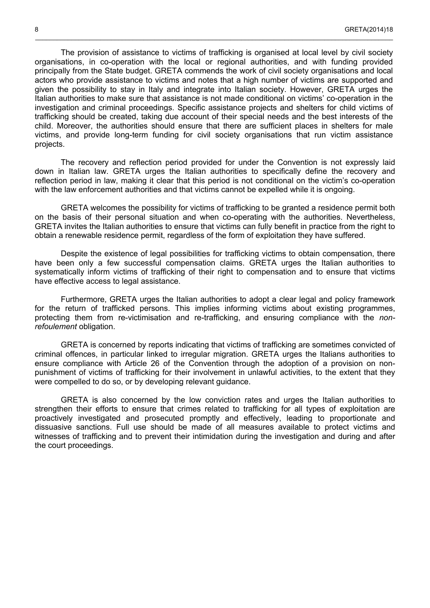The provision of assistance to victims of trafficking is organised at local level by civil society organisations, in co-operation with the local or regional authorities, and with funding provided principally from the State budget. GRETA commends the work of civil society organisations and local actors who provide assistance to victims and notes that a high number of victims are supported and given the possibility to stay in Italy and integrate into Italian society. However, GRETA urges the Italian authorities to make sure that assistance is not made conditional on victims' co-operation in the investigation and criminal proceedings. Specific assistance projects and shelters for child victims of trafficking should be created, taking due account of their special needs and the best interests of the child. Moreover, the authorities should ensure that there are sufficient places in shelters for male victims, and provide long-term funding for civil society organisations that run victim assistance projects.

\_\_\_\_\_\_\_\_\_\_\_\_\_\_\_\_\_\_\_\_\_\_\_\_\_\_\_\_\_\_\_\_\_\_\_\_\_\_\_\_\_\_\_\_\_\_\_\_\_\_\_\_\_\_\_\_\_\_\_\_\_\_\_\_\_\_\_\_\_\_\_\_\_\_\_\_\_\_\_\_\_\_\_\_\_\_\_\_\_\_\_\_\_\_\_\_\_\_\_

The recovery and reflection period provided for under the Convention is not expressly laid down in Italian law. GRETA urges the Italian authorities to specifically define the recovery and reflection period in law, making it clear that this period is not conditional on the victim's co-operation with the law enforcement authorities and that victims cannot be expelled while it is ongoing.

GRETA welcomes the possibility for victims of trafficking to be granted a residence permit both on the basis of their personal situation and when co-operating with the authorities. Nevertheless, GRETA invites the Italian authorities to ensure that victims can fully benefit in practice from the right to obtain a renewable residence permit, regardless of the form of exploitation they have suffered.

Despite the existence of legal possibilities for trafficking victims to obtain compensation, there have been only a few successful compensation claims. GRETA urges the Italian authorities to systematically inform victims of trafficking of their right to compensation and to ensure that victims have effective access to legal assistance.

Furthermore, GRETA urges the Italian authorities to adopt a clear legal and policy framework for the return of trafficked persons. This implies informing victims about existing programmes, protecting them from re-victimisation and re-trafficking, and ensuring compliance with the *nonrefoulement* obligation.

GRETA is concerned by reports indicating that victims of trafficking are sometimes convicted of criminal offences, in particular linked to irregular migration. GRETA urges the Italians authorities to ensure compliance with Article 26 of the Convention through the adoption of a provision on nonpunishment of victims of trafficking for their involvement in unlawful activities, to the extent that they were compelled to do so, or by developing relevant guidance.

GRETA is also concerned by the low conviction rates and urges the Italian authorities to strengthen their efforts to ensure that crimes related to trafficking for all types of exploitation are proactively investigated and prosecuted promptly and effectively, leading to proportionate and dissuasive sanctions. Full use should be made of all measures available to protect victims and witnesses of trafficking and to prevent their intimidation during the investigation and during and after the court proceedings.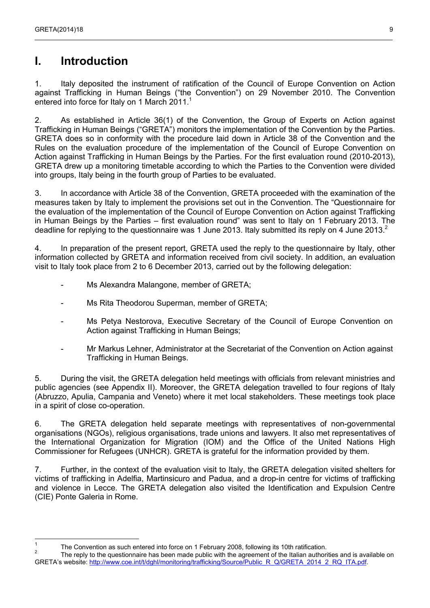## <span id="page-8-0"></span>**I. Introduction**

1. Italy deposited the instrument of ratification of the Council of Europe Convention on Action against Trafficking in Human Beings ("the Convention") on 29 November 2010. The Convention entered into force for Italy on [1](#page-8-1) March 2011.<sup>1</sup>

 $\_$  , and the state of the state of the state of the state of the state of the state of the state of the state of the state of the state of the state of the state of the state of the state of the state of the state of the

2. As established in Article 36(1) of the Convention, the Group of Experts on Action against Trafficking in Human Beings ("GRETA") monitors the implementation of the Convention by the Parties. GRETA does so in conformity with the procedure laid down in Article 38 of the Convention and the Rules on the evaluation procedure of the implementation of the Council of Europe Convention on Action against Trafficking in Human Beings by the Parties. For the first evaluation round (2010-2013), GRETA drew up a monitoring timetable according to which the Parties to the Convention were divided into groups, Italy being in the fourth group of Parties to be evaluated.

3. In accordance with Article 38 of the Convention, GRETA proceeded with the examination of the measures taken by Italy to implement the provisions set out in the Convention. The "Questionnaire for the evaluation of the implementation of the Council of Europe Convention on Action against Trafficking in Human Beings by the Parties – first evaluation round" was sent to Italy on 1 February 2013. The deadline for replying to the questionnaire was 1 June [2](#page-8-2)013. Italy submitted its reply on 4 June 2013.<sup>2</sup>

4. In preparation of the present report, GRETA used the reply to the questionnaire by Italy, other information collected by GRETA and information received from civil society. In addition, an evaluation visit to Italy took place from 2 to 6 December 2013, carried out by the following delegation:

- Ms Alexandra Malangone, member of GRETA;
- Ms Rita Theodorou Superman, member of GRETA;
- Ms Petya Nestorova, Executive Secretary of the Council of Europe Convention on Action against Trafficking in Human Beings;
- Mr Markus Lehner, Administrator at the Secretariat of the Convention on Action against Trafficking in Human Beings.

5. During the visit, the GRETA delegation held meetings with officials from relevant ministries and public agencies (see Appendix II). Moreover, the GRETA delegation travelled to four regions of Italy (Abruzzo, Apulia, Campania and Veneto) where it met local stakeholders. These meetings took place in a spirit of close co-operation.

6. The GRETA delegation held separate meetings with representatives of non-governmental organisations (NGOs), religious organisations, trade unions and lawyers. It also met representatives of the International Organization for Migration (IOM) and the Office of the United Nations High Commissioner for Refugees (UNHCR). GRETA is grateful for the information provided by them.

7. Further, in the context of the evaluation visit to Italy, the GRETA delegation visited shelters for victims of trafficking in Adelfia, Martinsicuro and Padua, and a drop-in centre for victims of trafficking and violence in Lecce. The GRETA delegation also visited the Identification and Expulsion Centre (CIE) Ponte Galeria in Rome.

<span id="page-8-1"></span> $\frac{1}{1}$ The Convention as such entered into force on 1 February 2008, following its 10th ratification.

<span id="page-8-2"></span><sup>2</sup> The reply to the questionnaire has been made public with the agreement of the Italian authorities and is available on GRETA's website: [http://www.coe.int/t/dghl/monitoring/trafficking/Source/Public\\_R\\_Q/GRETA\\_2014\\_2\\_RQ\\_ITA.pdf](http://www.coe.int/t/dghl/monitoring/trafficking/Source/Public_R_Q/GRETA_2014_2_RQ_ITA.pdf).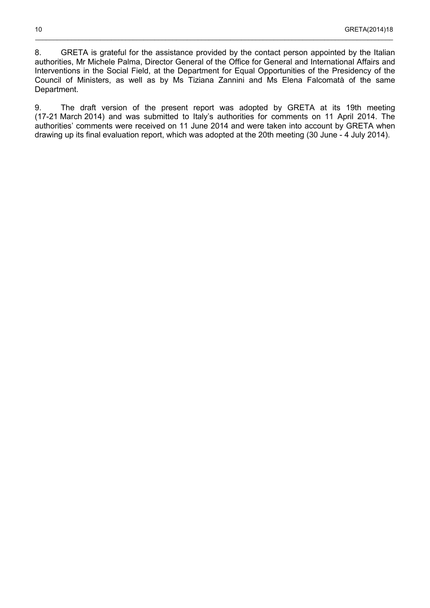8. GRETA is grateful for the assistance provided by the contact person appointed by the Italian authorities, Mr Michele Palma, Director General of the Office for General and International Affairs and Interventions in the Social Field, at the Department for Equal Opportunities of the Presidency of the Council of Ministers, as well as by Ms Tiziana Zannini and Ms Elena Falcomatà of the same Department.

\_\_\_\_\_\_\_\_\_\_\_\_\_\_\_\_\_\_\_\_\_\_\_\_\_\_\_\_\_\_\_\_\_\_\_\_\_\_\_\_\_\_\_\_\_\_\_\_\_\_\_\_\_\_\_\_\_\_\_\_\_\_\_\_\_\_\_\_\_\_\_\_\_\_\_\_\_\_\_\_\_\_\_\_\_\_\_\_\_\_\_\_\_\_\_\_\_\_\_

9. The draft version of the present report was adopted by GRETA at its 19th meeting (17-21 March 2014) and was submitted to Italy's authorities for comments on 11 April 2014. The authorities' comments were received on 11 June 2014 and were taken into account by GRETA when drawing up its final evaluation report, which was adopted at the 20th meeting (30 June - 4 July 2014).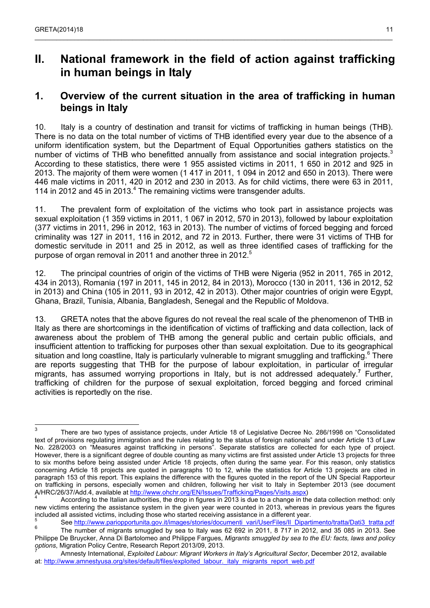## <span id="page-10-1"></span>**II. National framework in the field of action against trafficking in human beings in Italy**

### <span id="page-10-0"></span>**1. Overview of the current situation in the area of trafficking in human beings in Italy**

10. Italy is a country of destination and transit for victims of trafficking in human beings (THB). There is no data on the total number of victims of THB identified every year due to the absence of a uniform identification system, but the Department of Equal Opportunities gathers statistics on the number of victims of THB who benefitted annually from assistance and social integration projects.<sup>[3](#page-10-2)</sup> According to these statistics, there were 1 955 assisted victims in 2011, 1 650 in 2012 and 925 in 2013. The majority of them were women (1 417 in 2011, 1 094 in 2012 and 650 in 2013). There were 446 male victims in 2011, 420 in 2012 and 230 in 2013. As for child victims, there were 63 in 2011, 11[4](#page-10-3) in 2012 and 45 in 2013. $4$  The remaining victims were transgender adults.

11. The prevalent form of exploitation of the victims who took part in assistance projects was sexual exploitation (1 359 victims in 2011, 1 067 in 2012, 570 in 2013), followed by labour exploitation (377 victims in 2011, 296 in 2012, 163 in 2013). The number of victims of forced begging and forced criminality was 127 in 2011, 116 in 2012, and 72 in 2013. Further, there were 31 victims of THB for domestic servitude in 2011 and 25 in 2012, as well as three identified cases of trafficking for the purpose of organ removal in 2011 and another three in 2012.<sup>[5](#page-10-4)</sup>

12. The principal countries of origin of the victims of THB were Nigeria (952 in 2011, 765 in 2012, 434 in 2013), Romania (197 in 2011, 145 in 2012, 84 in 2013), Morocco (130 in 2011, 136 in 2012, 52 in 2013) and China (105 in 2011, 93 in 2012, 42 in 2013). Other major countries of origin were Egypt, Ghana, Brazil, Tunisia, Albania, Bangladesh, Senegal and the Republic of Moldova.

13. GRETA notes that the above figures do not reveal the real scale of the phenomenon of THB in Italy as there are shortcomings in the identification of victims of trafficking and data collection, lack of awareness about the problem of THB among the general public and certain public officials, and insufficient attention to trafficking for purposes other than sexual exploitation. Due to its geographical situation and long coastline, Italy is particularly vulnerable to migrant smuggling and trafficking.<sup>[6](#page-10-5)</sup> There are reports suggesting that THB for the purpose of labour exploitation, in particular of irregular migrants, has assumed worrying proportions in Italy, but is not addressed adequately.**[7](#page-10-6)** Further, trafficking of children for the purpose of sexual exploitation, forced begging and forced criminal activities is reportedly on the rise.

<span id="page-10-2"></span><sup>-&</sup>lt;br>3 There are two types of assistance projects, under Article 18 of Legislative Decree No. 286/1998 on "Consolidated text of provisions regulating immigration and the rules relating to the status of foreign nationals" and under Article 13 of Law No. 228/2003 on "Measures against trafficking in persons". Separate statistics are collected for each type of project. However, there is a significant degree of double counting as many victims are first assisted under Article 13 projects for three to six months before being assisted under Article 18 projects, often during the same year. For this reason, only statistics concerning Article 18 projects are quoted in paragraphs 10 to 12, while the statistics for Article 13 projects are cited in paragraph 153 of this report. This explains the difference with the figures quoted in the report of the UN Special Rapporteur on trafficking in persons, especially women and children, following her visit to Italy in September 2013 (see document A/HRC/26/37/Add.4, available at [http://www.ohchr.org/EN/Issues/Trafficking/Pages/Visits.aspx\)](http://www.ohchr.org/EN/Issues/Trafficking/Pages/Visits.aspx)<br>4 A exercise to the Italian outborities, the drep in figures in 2013 is due to a change in the

<span id="page-10-3"></span>According to the Italian authorities, the drop in figures in 2013 is due to a change in the data collection method: only new victims entering the assistance system in the given year were counted in 2013, whereas in previous years the figures included all assisted victims, including those who started receiving assistance in a different year.<br>
5. See http://www.pariappertunite.gov.it/images/atarias/desumenti\_vari/LleerFiles/IL Dipart

<span id="page-10-5"></span><span id="page-10-4"></span>See http://www.pariopportunita.gov.it/images/stories/documenti\_vari/UserFiles/II\_Dipartimento/tratta/Dati3\_tratta.pdf 6 The number of migrants smuggled by sea to Italy was 62 692 in 2011, 8 717 in 2012, and 35 085 in 2013. See Philippe De Bruycker, Anna Di Bartolomeo and Philippe Fargues, *Migrants smuggled by sea to the EU: facts, laws and policy options*, Migration Policy Centre, Research Report 2013/09, 2013. 7

<span id="page-10-6"></span>Amnesty International, *Exploited Labour: Migrant Workers in Italy's Agricultural Sector*, December 2012, available at: [http://www.amnestyusa.org/sites/default/files/exploited\\_labour.\\_italy\\_migrants\\_report\\_web.pdf](http://www.amnestyusa.org/sites/default/files/exploited_labour._italy_migrants_report_web.pdf)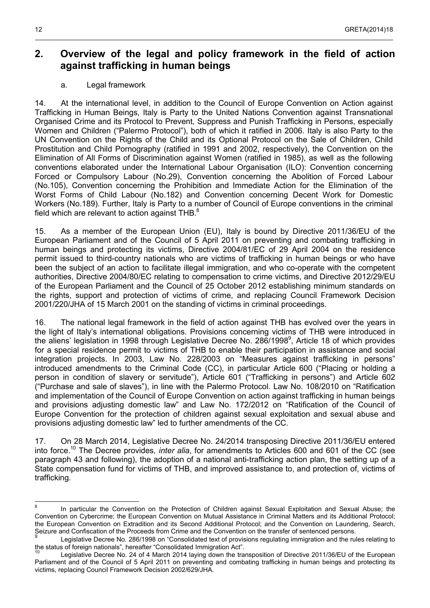## <span id="page-11-1"></span>**2. Overview of the legal and policy framework in the field of action against trafficking in human beings**

\_\_\_\_\_\_\_\_\_\_\_\_\_\_\_\_\_\_\_\_\_\_\_\_\_\_\_\_\_\_\_\_\_\_\_\_\_\_\_\_\_\_\_\_\_\_\_\_\_\_\_\_\_\_\_\_\_\_\_\_\_\_\_\_\_\_\_\_\_\_\_\_\_\_\_\_\_\_\_\_\_\_\_\_\_\_\_\_\_\_\_\_\_\_\_\_\_\_\_

### a. Legal framework

<span id="page-11-0"></span>14. At the international level, in addition to the Council of Europe Convention on Action against Trafficking in Human Beings, Italy is Party to the United Nations Convention against Transnational Organised Crime and its Protocol to Prevent, Suppress and Punish Trafficking in Persons, especially Women and Children ("Palermo Protocol"), both of which it ratified in 2006. Italy is also Party to the UN Convention on the Rights of the Child and its Optional Protocol on the Sale of Children, Child Prostitution and Child Pornography (ratified in 1991 and 2002, respectively), the Convention on the Elimination of All Forms of Discrimination against Women (ratified in 1985), as well as the following conventions elaborated under the International Labour Organisation (ILO): Convention concerning Forced or Compulsory Labour (No.29), Convention concerning the Abolition of Forced Labour (No.105), Convention concerning the Prohibition and Immediate Action for the Elimination of the Worst Forms of Child Labour (No.182) and Convention concerning Decent Work for Domestic Workers (No.189). Further, Italy is Party to a number of Council of Europe conventions in the criminal field which are relevant to action against THB. $^8$  $^8$ 

15. As a member of the European Union (EU), Italy is bound by Directive 2011/36/EU of the European Parliament and of the Council of 5 April 2011 on preventing and combating trafficking in human beings and protecting its victims, Directive 2004/81/EC of 29 April 2004 on the residence permit issued to third-country nationals who are victims of trafficking in human beings or who have been the subject of an action to facilitate illegal immigration, and who co-operate with the competent authorities, Directive 2004/80/EC relating to compensation to crime victims, and Directive 2012/29/EU of the European Parliament and the Council of 25 October 2012 establishing minimum standards on the rights, support and protection of victims of crime, and replacing Council Framework Decision 2001/220/JHA of 15 March 2001 on the standing of victims in criminal proceedings.

16. The national legal framework in the field of action against THB has evolved over the years in the light of Italy's international obligations. Provisions concerning victims of THB were introduced in the aliens' legislation in 1[9](#page-11-3)98 through Legislative Decree No. 286/1998<sup>9</sup>, Article 18 of which provides for a special residence permit to victims of THB to enable their participation in assistance and social integration projects. In 2003, Law No. 228/2003 on "Measures against trafficking in persons" introduced amendments to the Criminal Code (CC), in particular Article 600 ("Placing or holding a person in condition of slavery or servitude"), Article 601 ("Trafficking in persons") and Article 602 ("Purchase and sale of slaves"), in line with the Palermo Protocol. Law No. 108/2010 on "Ratification and implementation of the Council of Europe Convention on action against trafficking in human beings and provisions adjusting domestic law" and Law No. 172/2012 on "Ratification of the Council of Europe Convention for the protection of children against sexual exploitation and sexual abuse and provisions adjusting domestic law" led to further amendments of the CC.

17. On 28 March 2014, Legislative Decree No. 24/2014 transposing Directive 2011/36/EU entered into force.[10](#page-11-4) The Decree provides*, inter alia*, for amendments to Articles 600 and 601 of the CC (see paragraph 43 and following), the adoption of a national anti-trafficking action plan, the setting up of a State compensation fund for victims of THB, and improved assistance to, and protection of, victims of trafficking.

<span id="page-11-2"></span> $\frac{1}{8}$ In particular the Convention on the Protection of Children against Sexual Exploitation and Sexual Abuse; the Convention on Cybercrime; the European Convention on Mutual Assistance in Criminal Matters and its Additional Protocol; the European Convention on Extradition and its Second Additional Protocol; and the Convention on Laundering, Search, Seizure and Confiscation of the Proceeds from Crime and the Convention on the transfer of sentenced persons.<br>9

<span id="page-11-3"></span>Legislative Decree No. 286/1998 on "Consolidated text of provisions regulating immigration and the rules relating to the status of foreign nationals", hereafter "Consolidated Immigration Act".

<span id="page-11-4"></span>Legislative Decree No. 24 of 4 March 2014 laying down the transposition of Directive 2011/36/EU of the European Parliament and of the Council of 5 April 2011 on preventing and combating trafficking in human beings and protecting its victims, replacing Council Framework Decision 2002/629/JHA.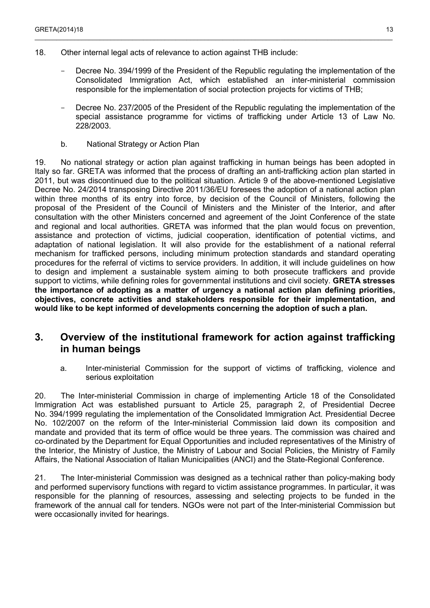- 18. Other internal legal acts of relevance to action against THB include:
	- Decree No. 394/1999 of the President of the Republic regulating the implementation of the Consolidated Immigration Act, which established an inter-ministerial commission responsible for the implementation of social protection projects for victims of THB;
	- Decree No. 237/2005 of the President of the Republic regulating the implementation of the special assistance programme for victims of trafficking under Article 13 of Law No. 228/2003.
	- b. National Strategy or Action Plan

<span id="page-12-2"></span>19. No national strategy or action plan against trafficking in human beings has been adopted in Italy so far. GRETA was informed that the process of drafting an anti-trafficking action plan started in 2011, but was discontinued due to the political situation. Article 9 of the above-mentioned Legislative Decree No. 24/2014 transposing Directive 2011/36/EU foresees the adoption of a national action plan within three months of its entry into force, by decision of the Council of Ministers, following the proposal of the President of the Council of Ministers and the Minister of the Interior, and after consultation with the other Ministers concerned and agreement of the Joint Conference of the state and regional and local authorities. GRETA was informed that the plan would focus on prevention, assistance and protection of victims, judicial cooperation, identification of potential victims, and adaptation of national legislation. It will also provide for the establishment of a national referral mechanism for trafficked persons, including minimum protection standards and standard operating procedures for the referral of victims to service providers. In addition, it will include guidelines on how to design and implement a sustainable system aiming to both prosecute traffickers and provide support to victims, while defining roles for governmental institutions and civil society. **GRETA stresses the importance of adopting as a matter of urgency a national action plan defining priorities, objectives, concrete activities and stakeholders responsible for their implementation, and would like to be kept informed of developments concerning the adoption of such a plan.**

### <span id="page-12-1"></span>**3. Overview of the institutional framework for action against trafficking in human beings**

a. Inter-ministerial Commission for the support of victims of trafficking, violence and serious exploitation

<span id="page-12-0"></span>20. The Inter-ministerial Commission in charge of implementing Article 18 of the Consolidated Immigration Act was established pursuant to Article 25, paragraph 2, of Presidential Decree No. 394/1999 regulating the implementation of the Consolidated Immigration Act. Presidential Decree No. 102/2007 on the reform of the Inter-ministerial Commission laid down its composition and mandate and provided that its term of office would be three years. The commission was chaired and co-ordinated by the Department for Equal Opportunities and included representatives of the Ministry of the Interior, the Ministry of Justice, the Ministry of Labour and Social Policies, the Ministry of Family Affairs, the National Association of Italian Municipalities (ANCI) and the State-Regional Conference.

21. The Inter-ministerial Commission was designed as a technical rather than policy-making body and performed supervisory functions with regard to victim assistance programmes. In particular, it was responsible for the planning of resources, assessing and selecting projects to be funded in the framework of the annual call for tenders. NGOs were not part of the Inter-ministerial Commission but were occasionally invited for hearings.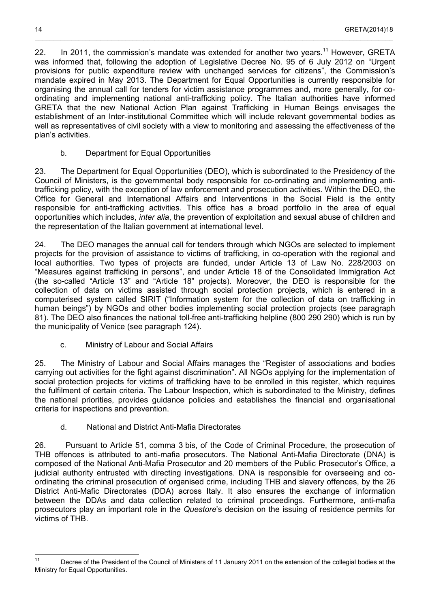22. In 20[11](#page-13-3), the commission's mandate was extended for another two vears.<sup>11</sup> However, GRETA was informed that, following the adoption of Legislative Decree No. 95 of 6 July 2012 on "Urgent" provisions for public expenditure review with unchanged services for citizens", the Commission's mandate expired in May 2013. The Department for Equal Opportunities is currently responsible for organising the annual call for tenders for victim assistance programmes and, more generally, for coordinating and implementing national anti-trafficking policy. The Italian authorities have informed GRETA that the new National Action Plan against Trafficking in Human Beings envisages the establishment of an Inter-institutional Committee which will include relevant governmental bodies as well as representatives of civil society with a view to monitoring and assessing the effectiveness of the plan's activities.

\_\_\_\_\_\_\_\_\_\_\_\_\_\_\_\_\_\_\_\_\_\_\_\_\_\_\_\_\_\_\_\_\_\_\_\_\_\_\_\_\_\_\_\_\_\_\_\_\_\_\_\_\_\_\_\_\_\_\_\_\_\_\_\_\_\_\_\_\_\_\_\_\_\_\_\_\_\_\_\_\_\_\_\_\_\_\_\_\_\_\_\_\_\_\_\_\_\_\_

b. Department for Equal Opportunities

<span id="page-13-2"></span>23. The Department for Equal Opportunities (DEO), which is subordinated to the Presidency of the Council of Ministers, is the governmental body responsible for co-ordinating and implementing antitrafficking policy, with the exception of law enforcement and prosecution activities. Within the DEO, the Office for General and International Affairs and Interventions in the Social Field is the entity responsible for anti-trafficking activities. This office has a broad portfolio in the area of equal opportunities which includes, *inter alia*, the prevention of exploitation and sexual abuse of children and the representation of the Italian government at international level.

24. The DEO manages the annual call for tenders through which NGOs are selected to implement projects for the provision of assistance to victims of trafficking, in co-operation with the regional and local authorities. Two types of projects are funded, under Article 13 of Law No. 228/2003 on "Measures against trafficking in persons", and under Article 18 of the Consolidated Immigration Act (the so-called "Article 13" and "Article 18" projects). Moreover, the DEO is responsible for the collection of data on victims assisted through social protection projects, which is entered in a computerised system called SIRIT ("Information system for the collection of data on trafficking in human beings") by NGOs and other bodies implementing social protection projects (see paragraph 81). The DEO also finances the national toll-free anti-trafficking helpline (800 290 290) which is run by the municipality of Venice (see paragraph 124).

c. Ministry of Labour and Social Affairs

<span id="page-13-1"></span>25. The Ministry of Labour and Social Affairs manages the "Register of associations and bodies carrying out activities for the fight against discrimination". All NGOs applying for the implementation of social protection projects for victims of trafficking have to be enrolled in this register, which requires the fulfilment of certain criteria. The Labour Inspection, which is subordinated to the Ministry, defines the national priorities, provides guidance policies and establishes the financial and organisational criteria for inspections and prevention.

d. National and District Anti-Mafia Directorates

<span id="page-13-0"></span>26. Pursuant to Article 51, comma 3 bis, of the Code of Criminal Procedure, the prosecution of THB offences is attributed to anti-mafia prosecutors. The National Anti-Mafia Directorate (DNA) is composed of the National Anti-Mafia Prosecutor and 20 members of the Public Prosecutor's Office, a judicial authority entrusted with directing investigations. DNA is responsible for overseeing and coordinating the criminal prosecution of organised crime, including THB and slavery offences, by the 26 District Anti-Mafic Directorates (DDA) across Italy. It also ensures the exchange of information between the DDAs and data collection related to criminal proceedings. Furthermore, anti-mafia prosecutors play an important role in the *Questore*'s decision on the issuing of residence permits for victims of THB.

<span id="page-13-3"></span> $11$ <sup>11</sup> Decree of the President of the Council of Ministers of 11 January 2011 on the extension of the collegial bodies at the Ministry for Equal Opportunities.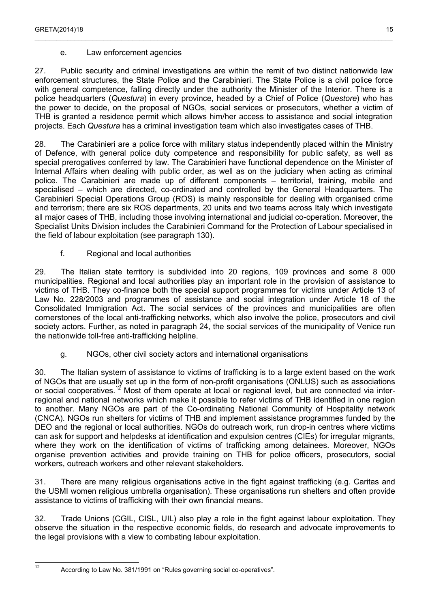### e. Law enforcement agencies

<span id="page-14-2"></span>27. Public security and criminal investigations are within the remit of two distinct nationwide law enforcement structures, the State Police and the Carabinieri. The State Police is a civil police force with general competence, falling directly under the authority the Minister of the Interior. There is a police headquarters (*Questura*) in every province, headed by a Chief of Police (*Questore*) who has the power to decide, on the proposal of NGOs, social services or prosecutors, whether a victim of THB is granted a residence permit which allows him/her access to assistance and social integration projects. Each *Questura* has a criminal investigation team which also investigates cases of THB.

28. The Carabinieri are a police force with military status independently placed within the Ministry of Defence, with general police duty competence and responsibility for public safety, as well as special prerogatives conferred by law. The Carabinieri have functional dependence on the Minister of Internal Affairs when dealing with public order, as well as on the judiciary when acting as criminal police. The Carabinieri are made up of different components – territorial, training, mobile and specialised – which are directed, co-ordinated and controlled by the General Headquarters. The Carabinieri Special Operations Group (ROS) is mainly responsible for dealing with organised crime and terrorism; there are six ROS departments, 20 units and two teams across Italy which investigate all major cases of THB, including those involving international and judicial co-operation. Moreover, the Specialist Units Division includes the Carabinieri Command for the Protection of Labour specialised in the field of labour exploitation (see paragraph 130).

### f. Regional and local authorities

<span id="page-14-1"></span>29. The Italian state territory is subdivided into 20 regions, 109 provinces and some 8 000 municipalities. Regional and local authorities play an important role in the provision of assistance to victims of THB. They co-finance both the special support programmes for victims under Article 13 of Law No. 228/2003 and programmes of assistance and social integration under Article 18 of the Consolidated Immigration Act. The social services of the provinces and municipalities are often cornerstones of the local anti-trafficking networks, which also involve the police, prosecutors and civil society actors. Further, as noted in paragraph 24, the social services of the municipality of Venice run the nationwide toll-free anti-trafficking helpline.

### g. NGOs, other civil society actors and international organisations

<span id="page-14-0"></span>30. The Italian system of assistance to victims of trafficking is to a large extent based on the work of NGOs that are usually set up in the form of non-profit organisations (ONLUS) such as associations or social cooperatives.<sup>[12](#page-14-3)</sup> Most of them operate at local or regional level, but are connected via interregional and national networks which make it possible to refer victims of THB identified in one region to another. Many NGOs are part of the Co-ordinating National Community of Hospitality network (CNCA). NGOs run shelters for victims of THB and implement assistance programmes funded by the DEO and the regional or local authorities. NGOs do outreach work, run drop-in centres where victims can ask for support and helpdesks at identification and expulsion centres (CIEs) for irregular migrants, where they work on the identification of victims of trafficking among detainees. Moreover, NGOs organise prevention activities and provide training on THB for police officers, prosecutors, social workers, outreach workers and other relevant stakeholders.

31. There are many religious organisations active in the fight against trafficking (e.g. Caritas and the USMI women religious umbrella organisation). These organisations run shelters and often provide assistance to victims of trafficking with their own financial means.

32. Trade Unions (CGIL, CISL, UIL) also play a role in the fight against labour exploitation. They observe the situation in the respective economic fields, do research and advocate improvements to the legal provisions with a view to combating labour exploitation.

<span id="page-14-3"></span> $12$ 

According to Law No. 381/1991 on "Rules governing social co-operatives".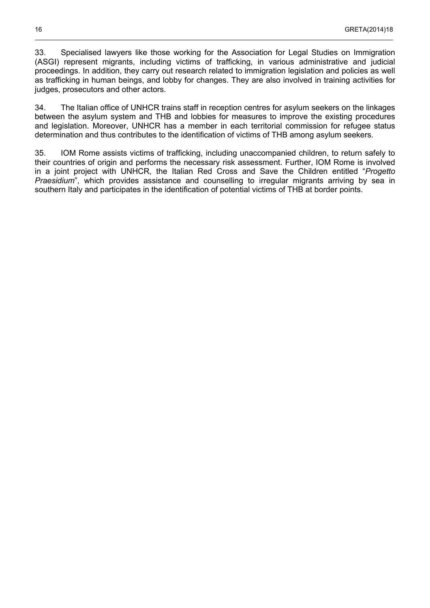33. Specialised lawyers like those working for the Association for Legal Studies on Immigration (ASGI) represent migrants, including victims of trafficking, in various administrative and judicial proceedings. In addition, they carry out research related to immigration legislation and policies as well as trafficking in human beings, and lobby for changes. They are also involved in training activities for judges, prosecutors and other actors.

34. The Italian office of UNHCR trains staff in reception centres for asylum seekers on the linkages between the asylum system and THB and lobbies for measures to improve the existing procedures and legislation. Moreover, UNHCR has a member in each territorial commission for refugee status determination and thus contributes to the identification of victims of THB among asylum seekers.

35. IOM Rome assists victims of trafficking, including unaccompanied children, to return safely to their countries of origin and performs the necessary risk assessment. Further, IOM Rome is involved in a joint project with UNHCR, the Italian Red Cross and Save the Children entitled "*Progetto Praesidium*", which provides assistance and counselling to irregular migrants arriving by sea in southern Italy and participates in the identification of potential victims of THB at border points.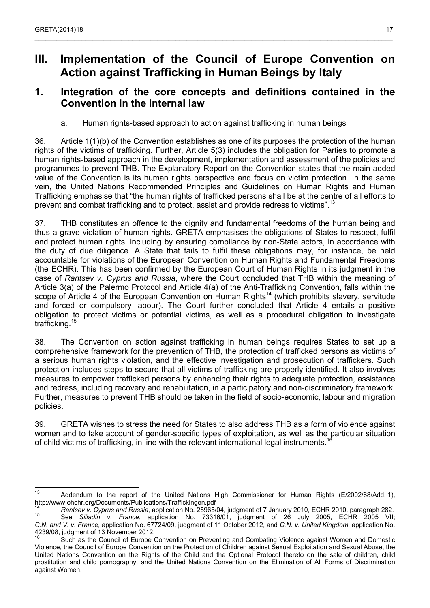## <span id="page-16-2"></span>**III. Implementation of the Council of Europe Convention on Action against Trafficking in Human Beings by Italy**

## <span id="page-16-1"></span>**1. Integration of the core concepts and definitions contained in the Convention in the internal law**

a. Human rights-based approach to action against trafficking in human beings

<span id="page-16-0"></span>36. Article 1(1)(b) of the Convention establishes as one of its purposes the protection of the human rights of the victims of trafficking. Further, Article 5(3) includes the obligation for Parties to promote a human rights-based approach in the development, implementation and assessment of the policies and programmes to prevent THB. The Explanatory Report on the Convention states that the main added value of the Convention is its human rights perspective and focus on victim protection. In the same vein, the United Nations Recommended Principles and Guidelines on Human Rights and Human Trafficking emphasise that "the human rights of trafficked persons shall be at the centre of all efforts to prevent and combat trafficking and to protect, assist and provide redress to victims".<sup>[13](#page-16-3)</sup>

37. THB constitutes an offence to the dignity and fundamental freedoms of the human being and thus a grave violation of human rights. GRETA emphasises the obligations of States to respect, fulfil and protect human rights, including by ensuring compliance by non-State actors, in accordance with the duty of due diligence. A State that fails to fulfil these obligations may, for instance, be held accountable for violations of the European Convention on Human Rights and Fundamental Freedoms (the ECHR). This has been confirmed by the European Court of Human Rights in its judgment in the case of *Rantsev v. Cyprus and Russia*, where the Court concluded that THB within the meaning of Article 3(a) of the Palermo Protocol and Article 4(a) of the Anti-Trafficking Convention, falls within the scope of Article 4 of the European Convention on Human Rights<sup>[14](#page-16-4)</sup> (which prohibits slavery, servitude and forced or compulsory labour). The Court further concluded that Article 4 entails a positive obligation to protect victims or potential victims, as well as a procedural obligation to investigate trafficking.[15](#page-16-5)

38. The Convention on action against trafficking in human beings requires States to set up a comprehensive framework for the prevention of THB, the protection of trafficked persons as victims of a serious human rights violation, and the effective investigation and prosecution of traffickers. Such protection includes steps to secure that all victims of trafficking are properly identified. It also involves measures to empower trafficked persons by enhancing their rights to adequate protection, assistance and redress, including recovery and rehabilitation, in a participatory and non-discriminatory framework. Further, measures to prevent THB should be taken in the field of socio-economic, labour and migration policies.

39. GRETA wishes to stress the need for States to also address THB as a form of violence against women and to take account of gender-specific types of exploitation, as well as the particular situation of child victims of trafficking, in line with the relevant international legal instruments.<sup>1</sup>

<span id="page-16-3"></span> $13$ Addendum to the report of the United Nations High Commissioner for Human Rights (E/2002/68/Add. 1). http://www.ohchr.org/Documents/Publications/Traffickingen.pdf

<span id="page-16-4"></span><sup>14</sup> *Rantsev v. Cyprus and Russia, application No.* 25965/04, judgment of 7 January 2010, ECHR 2010, paragraph 282.

<span id="page-16-5"></span><sup>15</sup> See *Siliadin v. France*, application No. 73316/01, judgment of 26 July 2005, ECHR 2005 VII; *C.N. and V. v. France*, application No. 67724/09, judgment of 11 October 2012, and *C.N. v. United Kingdom*, application No. 4239/08, judgment of 13 November 2012.

<span id="page-16-6"></span>Such as the Council of Europe Convention on Preventing and Combating Violence against Women and Domestic Violence, the Council of Europe Convention on the Protection of Children against Sexual Exploitation and Sexual Abuse, the United Nations Convention on the Rights of the Child and the Optional Protocol thereto on the sale of children, child prostitution and child pornography, and the United Nations Convention on the Elimination of All Forms of Discrimination against Women.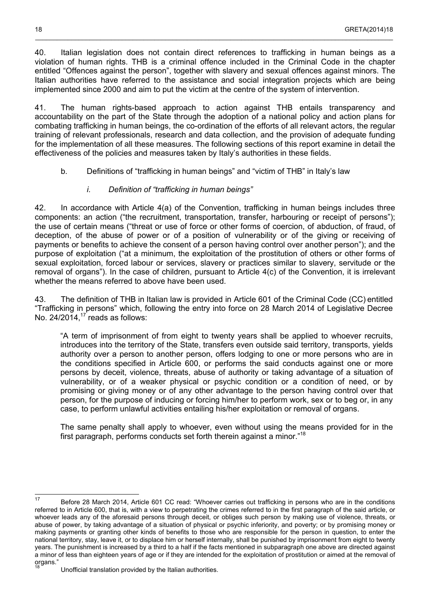40. Italian legislation does not contain direct references to trafficking in human beings as a violation of human rights. THB is a criminal offence included in the Criminal Code in the chapter entitled "Offences against the person", together with slavery and sexual offences against minors. The Italian authorities have referred to the assistance and social integration projects which are being implemented since 2000 and aim to put the victim at the centre of the system of intervention.

\_\_\_\_\_\_\_\_\_\_\_\_\_\_\_\_\_\_\_\_\_\_\_\_\_\_\_\_\_\_\_\_\_\_\_\_\_\_\_\_\_\_\_\_\_\_\_\_\_\_\_\_\_\_\_\_\_\_\_\_\_\_\_\_\_\_\_\_\_\_\_\_\_\_\_\_\_\_\_\_\_\_\_\_\_\_\_\_\_\_\_\_\_\_\_\_\_\_\_

41. The human rights-based approach to action against THB entails transparency and accountability on the part of the State through the adoption of a national policy and action plans for combating trafficking in human beings, the co-ordination of the efforts of all relevant actors, the regular training of relevant professionals, research and data collection, and the provision of adequate funding for the implementation of all these measures. The following sections of this report examine in detail the effectiveness of the policies and measures taken by Italy's authorities in these fields.

b. Definitions of "trafficking in human beings" and "victim of THB" in Italy's law

### *i. Definition of "trafficking in human beings"*

<span id="page-17-1"></span><span id="page-17-0"></span>42. In accordance with Article 4(a) of the Convention, trafficking in human beings includes three components: an action ("the recruitment, transportation, transfer, harbouring or receipt of persons"); the use of certain means ("threat or use of force or other forms of coercion, of abduction, of fraud, of deception, of the abuse of power or of a position of vulnerability or of the giving or receiving of payments or benefits to achieve the consent of a person having control over another person"); and the purpose of exploitation ("at a minimum, the exploitation of the prostitution of others or other forms of sexual exploitation, forced labour or services, slavery or practices similar to slavery, servitude or the removal of organs"). In the case of children, pursuant to Article 4(c) of the Convention, it is irrelevant whether the means referred to above have been used.

43. The definition of THB in Italian law is provided in Article 601 of the Criminal Code (CC) entitled "Trafficking in persons" which, following the entry into force on 28 March 2014 of Legislative Decree No.  $24/2014$ ,<sup>[17](#page-17-2)</sup> reads as follows:

"A term of imprisonment of from eight to twenty years shall be applied to whoever recruits, introduces into the territory of the State, transfers even outside said territory, transports, yields authority over a person to another person, offers lodging to one or more persons who are in the conditions specified in Article 600, or performs the said conducts against one or more persons by deceit, violence, threats, abuse of authority or taking advantage of a situation of vulnerability, or of a weaker physical or psychic condition or a condition of need, or by promising or giving money or of any other advantage to the person having control over that person, for the purpose of inducing or forcing him/her to perform work, sex or to beg or, in any case, to perform unlawful activities entailing his/her exploitation or removal of organs.

The same penalty shall apply to whoever, even without using the means provided for in the first paragraph, performs conducts set forth therein against a minor."[18](#page-17-3)

 $\overline{\phantom{a}}$ 

<span id="page-17-2"></span><sup>17</sup> Before 28 March 2014, Article 601 CC read: "Whoever carries out trafficking in persons who are in the conditions referred to in Article 600, that is, with a view to perpetrating the crimes referred to in the first paragraph of the said article, or whoever leads any of the aforesaid persons through deceit, or obliges such person by making use of violence, threats, or abuse of power, by taking advantage of a situation of physical or psychic inferiority, and poverty; or by promising money or making payments or granting other kinds of benefits to those who are responsible for the person in question, to enter the national territory, stay, leave it, or to displace him or herself internally, shall be punished by imprisonment from eight to twenty years. The punishment is increased by a third to a half if the facts mentioned in subparagraph one above are directed against a minor of less than eighteen years of age or if they are intended for the exploitation of prostitution or aimed at the removal of organs."

<span id="page-17-3"></span>Unofficial translation provided by the Italian authorities.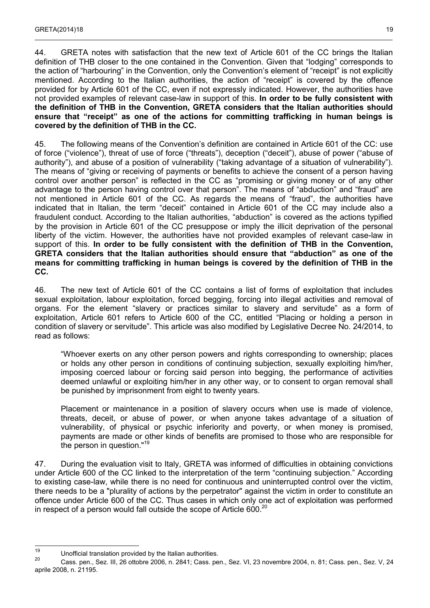44. GRETA notes with satisfaction that the new text of Article 601 of the CC brings the Italian definition of THB closer to the one contained in the Convention. Given that "lodging" corresponds to the action of "harbouring" in the Convention, only the Convention's element of "receipt" is not explicitly mentioned. According to the Italian authorities, the action of "receipt" is covered by the offence provided for by Article 601 of the CC, even if not expressly indicated. However, the authorities have not provided examples of relevant case-law in support of this. **In order to be fully consistent with the definition of THB in the Convention, GRETA considers that the Italian authorities should ensure that "receipt" as one of the actions for committing trafficking in human beings is covered by the definition of THB in the CC.**

 $\_$  , and the state of the state of the state of the state of the state of the state of the state of the state of the state of the state of the state of the state of the state of the state of the state of the state of the

45. The following means of the Convention's definition are contained in Article 601 of the CC: use of force ("violence"), threat of use of force ("threats"), deception ("deceit"), abuse of power ("abuse of authority"), and abuse of a position of vulnerability ("taking advantage of a situation of vulnerability"). The means of "giving or receiving of payments or benefits to achieve the consent of a person having control over another person" is reflected in the CC as "promising or giving money or of any other advantage to the person having control over that person". The means of "abduction" and "fraud" are not mentioned in Article 601 of the CC. As regards the means of "fraud", the authorities have indicated that in Italian, the term "deceit" contained in Article 601 of the CC may include also a fraudulent conduct. According to the Italian authorities, "abduction" is covered as the actions typified by the provision in Article 601 of the CC presuppose or imply the illicit deprivation of the personal liberty of the victim. However, the authorities have not provided examples of relevant case-law in support of this. **In order to be fully consistent with the definition of THB in the Convention, GRETA considers that the Italian authorities should ensure that "abduction" as one of the means for committing trafficking in human beings is covered by the definition of THB in the CC.**

46. The new text of Article 601 of the CC contains a list of forms of exploitation that includes sexual exploitation, labour exploitation, forced begging, forcing into illegal activities and removal of organs. For the element "slavery or practices similar to slavery and servitude" as a form of exploitation, Article 601 refers to Article 600 of the CC, entitled "Placing or holding a person in condition of slavery or servitude". This article was also modified by Legislative Decree No. 24/2014, to read as follows:

"Whoever exerts on any other person powers and rights corresponding to ownership; places or holds any other person in conditions of continuing subjection, sexually exploiting him/her, imposing coerced labour or forcing said person into begging, the performance of activities deemed unlawful or exploiting him/her in any other way, or to consent to organ removal shall be punished by imprisonment from eight to twenty years.

Placement or maintenance in a position of slavery occurs when use is made of violence, threats, deceit, or abuse of power, or when anyone takes advantage of a situation of vulnerability, of physical or psychic inferiority and poverty, or when money is promised, payments are made or other kinds of benefits are promised to those who are responsible for the person in question."[19](#page-18-0)

47. During the evaluation visit to Italy, GRETA was informed of difficulties in obtaining convictions under Article 600 of the CC linked to the interpretation of the term "continuing subjection." According to existing case-law, while there is no need for continuous and uninterrupted control over the victim, there needs to be a "plurality of actions by the perpetrator" against the victim in order to constitute an offence under Article 600 of the CC. Thus cases in which only one act of exploitation was performed in respect of a person would fall outside the scope of Article  $600<sup>20</sup>$  $600<sup>20</sup>$  $600<sup>20</sup>$ 

<span id="page-18-0"></span><sup>19</sup> <sup>19</sup> Unofficial translation provided by the Italian authorities.

<span id="page-18-1"></span><sup>20</sup> Cass. pen., Sez. III, 26 ottobre 2006, n. 2841; Cass. pen., Sez. VI, 23 novembre 2004, n. 81; Cass. pen., Sez. V, 24 aprile 2008, n. 21195.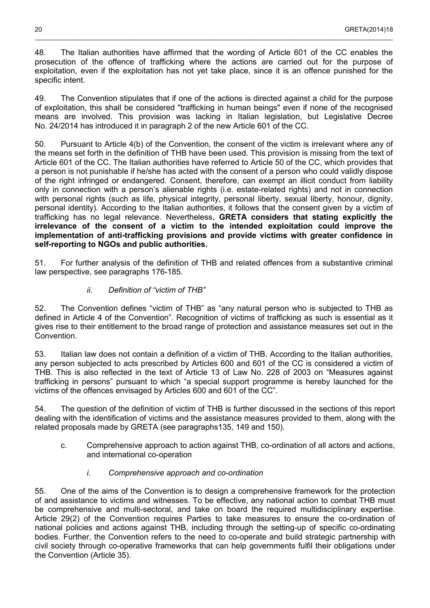48. The Italian authorities have affirmed that the wording of Article 601 of the CC enables the prosecution of the offence of trafficking where the actions are carried out for the purpose of exploitation, even if the exploitation has not yet take place, since it is an offence punished for the specific intent.

49. The Convention stipulates that if one of the actions is directed against a child for the purpose of exploitation, this shall be considered "trafficking in human beings" even if none of the recognised means are involved. This provision was lacking in Italian legislation, but Legislative Decree No. 24/2014 has introduced it in paragraph 2 of the new Article 601 of the CC.

50. Pursuant to Article 4(b) of the Convention, the consent of the victim is irrelevant where any of the means set forth in the definition of THB have been used. This provision is missing from the text of Article 601 of the CC. The Italian authorities have referred to Article 50 of the CC, which provides that a person is not punishable if he/she has acted with the consent of a person who could validly dispose of the right infringed or endangered. Consent, therefore, can exempt an illicit conduct from liability only in connection with a person's alienable rights (i.e. estate-related rights) and not in connection with personal rights (such as life, physical integrity, personal liberty, sexual liberty, honour, dignity, personal identity). According to the Italian authorities, it follows that the consent given by a victim of trafficking has no legal relevance. Nevertheless, **GRETA considers that stating explicitly the irrelevance of the consent of a victim to the intended exploitation could improve the implementation of anti-trafficking provisions and provide victims with greater confidence in self-reporting to NGOs and public authorities.**

51. For further analysis of the definition of THB and related offences from a substantive criminal law perspective, see paragraphs 176-185.

### *ii. Definition of "victim of THB"*

<span id="page-19-2"></span>52. The Convention defines "victim of THB" as "any natural person who is subjected to THB as defined in Article 4 of the Convention". Recognition of victims of trafficking as such is essential as it gives rise to their entitlement to the broad range of protection and assistance measures set out in the Convention.

53. Italian law does not contain a definition of a victim of THB. According to the Italian authorities, any person subjected to acts prescribed by Articles 600 and 601 of the CC is considered a victim of THB. This is also reflected in the text of Article 13 of Law No. 228 of 2003 on "Measures against trafficking in persons" pursuant to which "a special support programme is hereby launched for the victims of the offences envisaged by Articles 600 and 601 of the CC".

<span id="page-19-1"></span>54. The question of the definition of victim of THB is further discussed in the sections of this report dealing with the identification of victims and the assistance measures provided to them, along with the related proposals made by GRETA (see paragraphs135, 149 and 150).

- c. Comprehensive approach to action against THB, co-ordination of all actors and actions, and international co-operation
	- *i. Comprehensive approach and co-ordination*

<span id="page-19-0"></span>55. One of the aims of the Convention is to design a comprehensive framework for the protection of and assistance to victims and witnesses. To be effective, any national action to combat THB must be comprehensive and multi-sectoral, and take on board the required multidisciplinary expertise. Article 29(2) of the Convention requires Parties to take measures to ensure the co-ordination of national policies and actions against THB, including through the setting-up of specific co-ordinating bodies. Further, the Convention refers to the need to co-operate and build strategic partnership with civil society through co-operative frameworks that can help governments fulfil their obligations under the Convention (Article 35).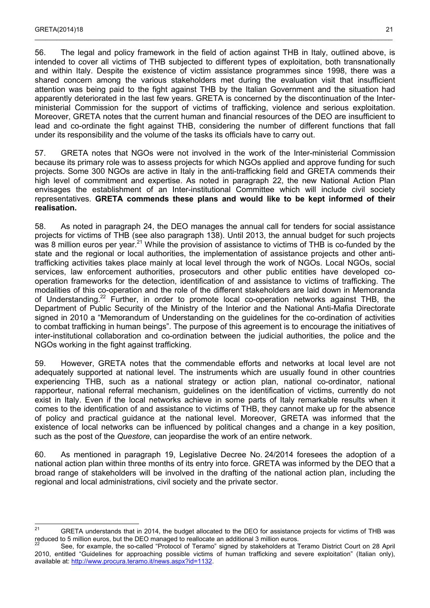56. The legal and policy framework in the field of action against THB in Italy, outlined above, is intended to cover all victims of THB subjected to different types of exploitation, both transnationally and within Italy. Despite the existence of victim assistance programmes since 1998, there was a shared concern among the various stakeholders met during the evaluation visit that insufficient attention was being paid to the fight against THB by the Italian Government and the situation had apparently deteriorated in the last few years. GRETA is concerned by the discontinuation of the Interministerial Commission for the support of victims of trafficking, violence and serious exploitation. Moreover, GRETA notes that the current human and financial resources of the DEO are insufficient to lead and co-ordinate the fight against THB, considering the number of different functions that fall under its responsibility and the volume of the tasks its officials have to carry out.

 $\_$  , and the state of the state of the state of the state of the state of the state of the state of the state of the state of the state of the state of the state of the state of the state of the state of the state of the

57. GRETA notes that NGOs were not involved in the work of the Inter-ministerial Commission because its primary role was to assess projects for which NGOs applied and approve funding for such projects. Some 300 NGOs are active in Italy in the anti-trafficking field and GRETA commends their high level of commitment and expertise. As noted in paragraph 22, the new National Action Plan envisages the establishment of an Inter-institutional Committee which will include civil society representatives. **GRETA commends these plans and would like to be kept informed of their realisation.**

58. As noted in paragraph 24, the DEO manages the annual call for tenders for social assistance projects for victims of THB (see also paragraph 138). Until 2013, the annual budget for such projects was 8 million euros per year.<sup>[21](#page-20-0)</sup> While the provision of assistance to victims of THB is co-funded by the state and the regional or local authorities, the implementation of assistance projects and other antitrafficking activities takes place mainly at local level through the work of NGOs. Local NGOs, social services, law enforcement authorities, prosecutors and other public entities have developed cooperation frameworks for the detection, identification of and assistance to victims of trafficking. The modalities of this co-operation and the role of the different stakeholders are laid down in Memoranda of Understanding.<sup>[22](#page-20-1)</sup> Further, in order to promote local co-operation networks against THB, the Department of Public Security of the Ministry of the Interior and the National Anti-Mafia Directorate signed in 2010 a "Memorandum of Understanding on the guidelines for the co-ordination of activities to combat trafficking in human beings". The purpose of this agreement is to encourage the initiatives of inter-institutional collaboration and co-ordination between the judicial authorities, the police and the NGOs working in the fight against trafficking.

59. However, GRETA notes that the commendable efforts and networks at local level are not adequately supported at national level. The instruments which are usually found in other countries experiencing THB, such as a national strategy or action plan, national co-ordinator, national rapporteur, national referral mechanism, guidelines on the identification of victims, currently do not exist in Italy. Even if the local networks achieve in some parts of Italy remarkable results when it comes to the identification of and assistance to victims of THB, they cannot make up for the absence of policy and practical guidance at the national level. Moreover, GRETA was informed that the existence of local networks can be influenced by political changes and a change in a key position, such as the post of the *Questore*, can jeopardise the work of an entire network.

60. As mentioned in paragraph 19, Legislative Decree No. 24/2014 foresees the adoption of a national action plan within three months of its entry into force. GRETA was informed by the DEO that a broad range of stakeholders will be involved in the drafting of the national action plan, including the regional and local administrations, civil society and the private sector.

<span id="page-20-0"></span> $21$ GRETA understands that in 2014, the budget allocated to the DEO for assistance projects for victims of THB was reduced to 5 million euros, but the DEO managed to reallocate an additional 3 million euros.

<span id="page-20-1"></span>See, for example, the so-called "Protocol of Teramo" signed by stakeholders at Teramo District Court on 28 April 2010, entitled "Guidelines for approaching possible victims of human trafficking and severe exploitation" (Italian only), available at: [http://www.procura.teramo.it/news.aspx?id=1132.](http://www.procura.teramo.it/news.aspx?id=1132)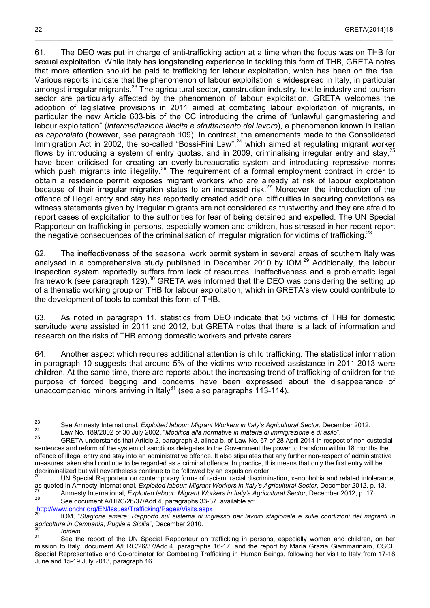61. The DEO was put in charge of anti-trafficking action at a time when the focus was on THB for sexual exploitation. While Italy has longstanding experience in tackling this form of THB, GRETA notes that more attention should be paid to trafficking for labour exploitation, which has been on the rise. Various reports indicate that the phenomenon of labour exploitation is widespread in Italy, in particular amongst irregular migrants.<sup>[23](#page-21-0)</sup> The agricultural sector, construction industry, textile industry and tourism sector are particularly affected by the phenomenon of labour exploitation. GRETA welcomes the adoption of legislative provisions in 2011 aimed at combating labour exploitation of migrants, in particular the new Article 603-bis of the CC introducing the crime of "unlawful gangmastering and labour exploitation" (*intermediazione illecita e sfruttamento del lavoro*), a phenomenon known in Italian as *caporalato* (however, see paragraph 109). In contrast, the amendments made to the Consolidated Immigration Act in 2002, the so-called "Bossi-Fini Law",<sup>[24](#page-21-1)</sup> which aimed at regulating migrant worker flows by introducing a system of entry quotas, and in 2009, criminalising irregular entry and stay,<sup>[25](#page-21-2)</sup> have been criticised for creating an overly-bureaucratic system and introducing repressive norms which push migrants into illegality.<sup>[26](#page-21-3)</sup> The requirement of a formal employment contract in order to obtain a residence permit exposes migrant workers who are already at risk of labour exploitation because of their irregular migration status to an increased risk.<sup>[27](#page-21-4)</sup> Moreover, the introduction of the offence of illegal entry and stay has reportedly created additional difficulties in securing convictions as witness statements given by irregular migrants are not considered as trustworthy and they are afraid to report cases of exploitation to the authorities for fear of being detained and expelled. The UN Special Rapporteur on trafficking in persons, especially women and children, has stressed in her recent report the negative consequences of the criminalisation of irregular migration for victims of trafficking.<sup>[28](#page-21-5)</sup>

\_\_\_\_\_\_\_\_\_\_\_\_\_\_\_\_\_\_\_\_\_\_\_\_\_\_\_\_\_\_\_\_\_\_\_\_\_\_\_\_\_\_\_\_\_\_\_\_\_\_\_\_\_\_\_\_\_\_\_\_\_\_\_\_\_\_\_\_\_\_\_\_\_\_\_\_\_\_\_\_\_\_\_\_\_\_\_\_\_\_\_\_\_\_\_\_\_\_\_

62. The ineffectiveness of the seasonal work permit system in several areas of southern Italy was analysed in a comprehensive study published in December 2010 by IOM.<sup>[29](#page-21-6)</sup> Additionally, the labour inspection system reportedly suffers from lack of resources, ineffectiveness and a problematic legal framework (see paragraph 129).<sup>[30](#page-21-7)</sup> GRETA was informed that the DEO was considering the setting up of a thematic working group on THB for labour exploitation, which in GRETA's view could contribute to the development of tools to combat this form of THB.

63. As noted in paragraph 11, statistics from DEO indicate that 56 victims of THB for domestic servitude were assisted in 2011 and 2012, but GRETA notes that there is a lack of information and research on the risks of THB among domestic workers and private carers.

64. Another aspect which requires additional attention is child trafficking. The statistical information in paragraph 10 suggests that around 5% of the victims who received assistance in 2011-2013 were children. At the same time, there are reports about the increasing trend of trafficking of children for the purpose of forced begging and concerns have been expressed about the disappearance of unaccompanied minors arriving in Italy $31$  (see also paragraphs 113-114).

See document A/HRC/26/37/Add.4, paragraphs 33-37. available at:

<http://www.ohchr.org/EN/Issues/Trafficking/Pages/Visits.aspx>

<span id="page-21-0"></span> $23$ <sup>23</sup> See Amnesty International, *Exploited labour: Migrant Workers in Italy's Agricultural Sector*, December 2012.

<span id="page-21-1"></span><sup>24</sup> Law No. 189/2002 of 30 July 2002, "*Modifica alla normative in materia di immigrazione e di asilo*".

<span id="page-21-2"></span><sup>25</sup> GRETA understands that Article 2, paragraph 3, alinea b, of Law No. 67 of 28 April 2014 in respect of non-custodial sentences and reform of the system of sanctions delegates to the Government the power to transform within 18 months the offence of illegal entry and stay into an administrative offence. It also stipulates that any further non-respect of administrative measures taken shall continue to be regarded as a criminal offence. In practice, this means that only the first entry will be decriminalized but will nevertheless continue to be followed by an expulsion order.

<span id="page-21-3"></span><sup>26</sup> UN Special Rapporteur on contemporary forms of racism, racial discrimination, xenophobia and related intolerance, as quoted in Amnesty International, *Exploited labour: Migrant Workers in Italy's Agricultural Sector*, December 2012, p. 13.

<span id="page-21-5"></span><span id="page-21-4"></span><sup>27</sup> Amnesty International, *Exploited labour: Migrant Workers in Italy's Agricultural Sector*, December 2012, p. 17.

<span id="page-21-6"></span><sup>29</sup> IOM, "*Stagione amara: Rapporto sul sistema di ingresso per lavoro stagionale e sulle condizioni dei migranti in agricoltura in Campania, Puglia e Sicilia*", December 2010.

<span id="page-21-8"></span><span id="page-21-7"></span><sup>&</sup>lt;sup>30</sup> *Ibidem.*<br><sup>31</sup> Case the

See the report of the UN Special Rapporteur on trafficking in persons, especially women and children, on her mission to Italy, document A/HRC/26/37/Add.4, paragraphs 16-17, and the report by Maria Grazia Giammarinaro, OSCE Special Representative and Co-ordinator for Combating Trafficking in Human Beings, following her visit to Italy from 17-18 June and 15-19 July 2013, paragraph 16.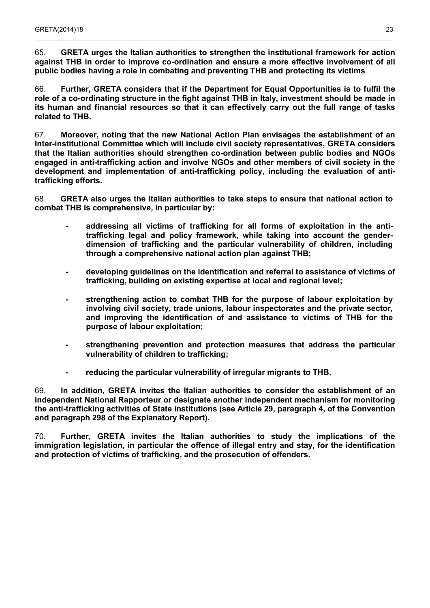65. **GRETA urges the Italian authorities to strengthen the institutional framework for action against THB in order to improve co-ordination and ensure a more effective involvement of all public bodies having a role in combating and preventing THB and protecting its victims**.

 $\_$  , and the state of the state of the state of the state of the state of the state of the state of the state of the state of the state of the state of the state of the state of the state of the state of the state of the

66. **Further, GRETA considers that if the Department for Equal Opportunities is to fulfil the role of a co-ordinating structure in the fight against THB in Italy, investment should be made in its human and financial resources so that it can effectively carry out the full range of tasks related to THB.**

67. **Moreover, noting that the new National Action Plan envisages the establishment of an Inter-institutional Committee which will include civil society representatives, GRETA considers that the Italian authorities should strengthen co-ordination between public bodies and NGOs engaged in anti-trafficking action and involve NGOs and other members of civil society in the development and implementation of anti-trafficking policy, including the evaluation of antitrafficking efforts.**

68. **GRETA also urges the Italian authorities to take steps to ensure that national action to combat THB is comprehensive, in particular by:**

- **- addressing all victims of trafficking for all forms of exploitation in the antitrafficking legal and policy framework, while taking into account the genderdimension of trafficking and the particular vulnerability of children, including through a comprehensive national action plan against THB;**
- **- developing guidelines on the identification and referral to assistance of victims of trafficking, building on existing expertise at local and regional level;**
- **- strengthening action to combat THB for the purpose of labour exploitation by involving civil society, trade unions, labour inspectorates and the private sector, and improving the identification of and assistance to victims of THB for the purpose of labour exploitation;**
- **- strengthening prevention and protection measures that address the particular vulnerability of children to trafficking;**
- **- reducing the particular vulnerability of irregular migrants to THB.**

69. **In addition, GRETA invites the Italian authorities to consider the establishment of an independent National Rapporteur or designate another independent mechanism for monitoring the anti-trafficking activities of State institutions (see Article 29, paragraph 4, of the Convention and paragraph 298 of the Explanatory Report).**

70. **Further, GRETA invites the Italian authorities to study the implications of the immigration legislation, in particular the offence of illegal entry and stay, for the identification and protection of victims of trafficking, and the prosecution of offenders.**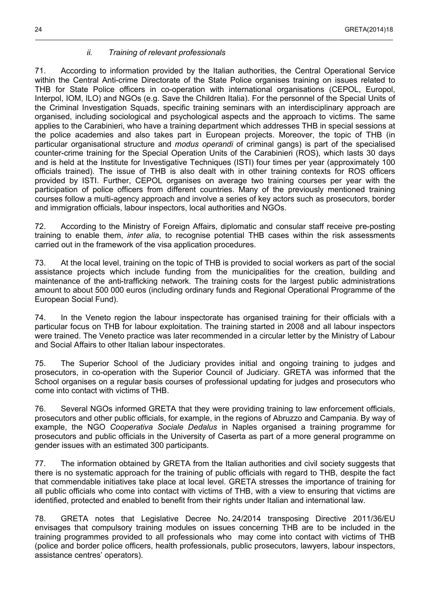### *ii. Training of relevant professionals*

71. According to information provided by the Italian authorities, the Central Operational Service within the Central Anti-crime Directorate of the State Police organises training on issues related to THB for State Police officers in co-operation with international organisations (CEPOL, Europol, Interpol, IOM, ILO) and NGOs (e.g. Save the Children Italia). For the personnel of the Special Units of the Criminal Investigation Squads, specific training seminars with an interdisciplinary approach are organised, including sociological and psychological aspects and the approach to victims. The same applies to the Carabinieri, who have a training department which addresses THB in special sessions at the police academies and also takes part in European projects. Moreover, the topic of THB (in particular organisational structure and *modus operandi* of criminal gangs) is part of the specialised counter-crime training for the Special Operation Units of the Carabinieri (ROS), which lasts 30 days and is held at the Institute for Investigative Techniques (ISTI) four times per year (approximately 100 officials trained). The issue of THB is also dealt with in other training contexts for ROS officers provided by ISTI. Further, CEPOL organises on average two training courses per year with the participation of police officers from different countries. Many of the previously mentioned training courses follow a multi-agency approach and involve a series of key actors such as prosecutors, border and immigration officials, labour inspectors, local authorities and NGOs.

<span id="page-23-0"></span>\_\_\_\_\_\_\_\_\_\_\_\_\_\_\_\_\_\_\_\_\_\_\_\_\_\_\_\_\_\_\_\_\_\_\_\_\_\_\_\_\_\_\_\_\_\_\_\_\_\_\_\_\_\_\_\_\_\_\_\_\_\_\_\_\_\_\_\_\_\_\_\_\_\_\_\_\_\_\_\_\_\_\_\_\_\_\_\_\_\_\_\_\_\_\_\_\_\_\_

72. According to the Ministry of Foreign Affairs, diplomatic and consular staff receive pre-posting training to enable them, *inter alia*, to recognise potential THB cases within the risk assessments carried out in the framework of the visa application procedures.

73. At the local level, training on the topic of THB is provided to social workers as part of the social assistance projects which include funding from the municipalities for the creation, building and maintenance of the anti-trafficking network. The training costs for the largest public administrations amount to about 500 000 euros (including ordinary funds and Regional Operational Programme of the European Social Fund).

74. In the Veneto region the labour inspectorate has organised training for their officials with a particular focus on THB for labour exploitation. The training started in 2008 and all labour inspectors were trained. The Veneto practice was later recommended in a circular letter by the Ministry of Labour and Social Affairs to other Italian labour inspectorates.

75. The Superior School of the Judiciary provides initial and ongoing training to judges and prosecutors, in co-operation with the Superior Council of Judiciary. GRETA was informed that the School organises on a regular basis courses of professional updating for judges and prosecutors who come into contact with victims of THB.

76. Several NGOs informed GRETA that they were providing training to law enforcement officials, prosecutors and other public officials, for example, in the regions of Abruzzo and Campania. By way of example, the NGO *Cooperativa Sociale Dedalus* in Naples organised a training programme for prosecutors and public officials in the University of Caserta as part of a more general programme on gender issues with an estimated 300 participants.

77. The information obtained by GRETA from the Italian authorities and civil society suggests that there is no systematic approach for the training of public officials with regard to THB, despite the fact that commendable initiatives take place at local level. GRETA stresses the importance of training for all public officials who come into contact with victims of THB, with a view to ensuring that victims are identified, protected and enabled to benefit from their rights under Italian and international law.

78. GRETA notes that Legislative Decree No. 24/2014 transposing Directive 2011/36/EU envisages that compulsory training modules on issues concerning THB are to be included in the training programmes provided to all professionals who may come into contact with victims of THB (police and border police officers, health professionals, public prosecutors, lawyers, labour inspectors, assistance centres' operators).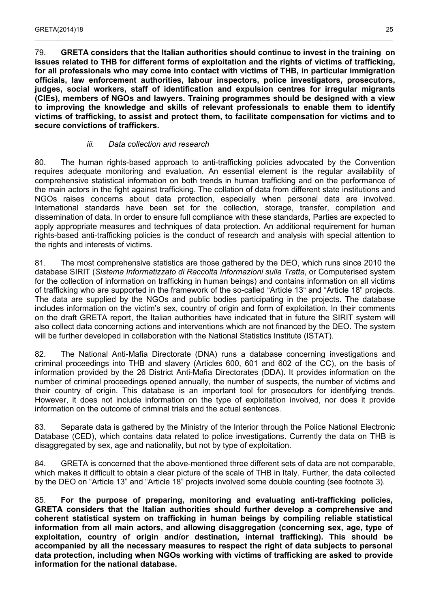79. **GRETA considers that the Italian authorities should continue to invest in the training on issues related to THB for different forms of exploitation and the rights of victims of trafficking, for all professionals who may come into contact with victims of THB, in particular immigration officials, law enforcement authorities, labour inspectors, police investigators, prosecutors, judges, social workers, staff of identification and expulsion centres for irregular migrants (CIEs), members of NGOs and lawyers. Training programmes should be designed with a view to improving the knowledge and skills of relevant professionals to enable them to identify victims of trafficking, to assist and protect them, to facilitate compensation for victims and to secure convictions of traffickers.**

 $\_$  , and the state of the state of the state of the state of the state of the state of the state of the state of the state of the state of the state of the state of the state of the state of the state of the state of the

#### *iii. Data collection and research*

<span id="page-24-0"></span>80. The human rights-based approach to anti-trafficking policies advocated by the Convention requires adequate monitoring and evaluation. An essential element is the regular availability of comprehensive statistical information on both trends in human trafficking and on the performance of the main actors in the fight against trafficking. The collation of data from different state institutions and NGOs raises concerns about data protection, especially when personal data are involved. International standards have been set for the collection, storage, transfer, compilation and dissemination of data. In order to ensure full compliance with these standards, Parties are expected to apply appropriate measures and techniques of data protection. An additional requirement for human rights-based anti-trafficking policies is the conduct of research and analysis with special attention to the rights and interests of victims.

81. The most comprehensive statistics are those gathered by the DEO, which runs since 2010 the database SIRIT (*Sistema Informatizzato di Raccolta Informazioni sulla Tratta*, or Computerised system for the collection of information on trafficking in human beings) and contains information on all victims of trafficking who are supported in the framework of the so-called "Article 13" and "Article 18" projects. The data are supplied by the NGOs and public bodies participating in the projects. The database includes information on the victim's sex, country of origin and form of exploitation. In their comments on the draft GRETA report, the Italian authorities have indicated that in future the SIRIT system will also collect data concerning actions and interventions which are not financed by the DEO. The system will be further developed in collaboration with the National Statistics Institute (ISTAT).

82. The National Anti-Mafia Directorate (DNA) runs a database concerning investigations and criminal proceedings into THB and slavery (Articles 600, 601 and 602 of the CC), on the basis of information provided by the 26 District Anti-Mafia Directorates (DDA). It provides information on the number of criminal proceedings opened annually, the number of suspects, the number of victims and their country of origin. This database is an important tool for prosecutors for identifying trends. However, it does not include information on the type of exploitation involved, nor does it provide information on the outcome of criminal trials and the actual sentences.

83. Separate data is gathered by the Ministry of the Interior through the Police National Electronic Database (CED), which contains data related to police investigations. Currently the data on THB is disaggregated by sex, age and nationality, but not by type of exploitation.

84. GRETA is concerned that the above-mentioned three different sets of data are not comparable, which makes it difficult to obtain a clear picture of the scale of THB in Italy. Further, the data collected by the DEO on "Article 13" and "Article 18" projects involved some double counting (see footnote 3).

85. **For the purpose of preparing, monitoring and evaluating anti-trafficking policies, GRETA considers that the Italian authorities should further develop a comprehensive and coherent statistical system on trafficking in human beings by compiling reliable statistical information from all main actors, and allowing disaggregation (concerning sex, age, type of exploitation, country of origin and/or destination, internal trafficking). This should be accompanied by all the necessary measures to respect the right of data subjects to personal data protection, including when NGOs working with victims of trafficking are asked to provide information for the national database.**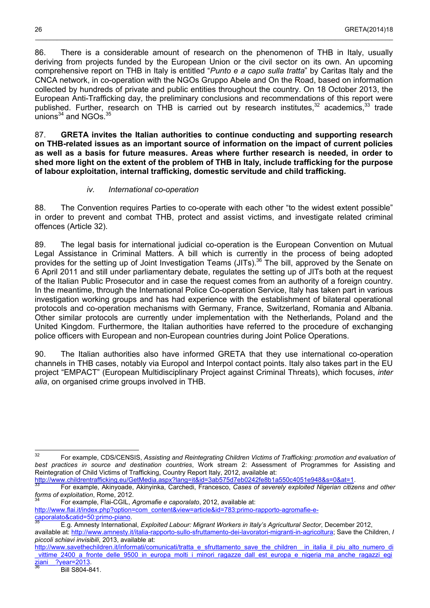86. There is a considerable amount of research on the phenomenon of THB in Italy, usually deriving from projects funded by the European Union or the civil sector on its own. An upcoming comprehensive report on THB in Italy is entitled "*Punto e a capo sulla tratta*" by Caritas Italy and the CNCA network, in co-operation with the NGOs Gruppo Abele and On the Road, based on information collected by hundreds of private and public entities throughout the country. On 18 October 2013, the European Anti-Trafficking day, the preliminary conclusions and recommendations of this report were published. Further, research on THB is carried out by research institutes,<sup>[32](#page-25-1)</sup> academics,<sup>[33](#page-25-2)</sup> trade unions $34$  and NGOs. $35$ 

\_\_\_\_\_\_\_\_\_\_\_\_\_\_\_\_\_\_\_\_\_\_\_\_\_\_\_\_\_\_\_\_\_\_\_\_\_\_\_\_\_\_\_\_\_\_\_\_\_\_\_\_\_\_\_\_\_\_\_\_\_\_\_\_\_\_\_\_\_\_\_\_\_\_\_\_\_\_\_\_\_\_\_\_\_\_\_\_\_\_\_\_\_\_\_\_\_\_\_

87. **GRETA invites the Italian authorities to continue conducting and supporting research on THB-related issues as an important source of information on the impact of current policies as well as a basis for future measures. Areas where further research is needed, in order to shed more light on the extent of the problem of THB in Italy, include trafficking for the purpose of labour exploitation, internal trafficking, domestic servitude and child trafficking.**

### *iv. International co-operation*

<span id="page-25-0"></span>88. The Convention requires Parties to co-operate with each other "to the widest extent possible" in order to prevent and combat THB, protect and assist victims, and investigate related criminal offences (Article 32).

89. The legal basis for international judicial co-operation is the European Convention on Mutual Legal Assistance in Criminal Matters. A bill which is currently in the process of being adopted provides for the setting up of Joint Investigation Teams (JITs).<sup>[36](#page-25-5)</sup> The bill, approved by the Senate on 6 April 2011 and still under parliamentary debate, regulates the setting up of JITs both at the request of the Italian Public Prosecutor and in case the request comes from an authority of a foreign country. In the meantime, through the International Police Co-operation Service, Italy has taken part in various investigation working groups and has had experience with the establishment of bilateral operational protocols and co-operation mechanisms with Germany, France, Switzerland, Romania and Albania. Other similar protocols are currently under implementation with the Netherlands, Poland and the United Kingdom. Furthermore, the Italian authorities have referred to the procedure of exchanging police officers with European and non-European countries during Joint Police Operations.

90. The Italian authorities also have informed GRETA that they use international co-operation channels in THB cases, notably via Europol and Interpol contact points. Italy also takes part in the EU project "EMPACT" (European Multidisciplinary Project against Criminal Threats), which focuses, *inter alia*, on organised crime groups involved in THB.

<span id="page-25-1"></span> $32$ <sup>32</sup> For example, CDS/CENSIS, *Assisting and Reintegrating Children Victims of Trafficking: promotion and evaluation of best practices in source and destination countries*, Work stream 2: Assessment of Programmes for Assisting and Reintegration of Child Victims of Trafficking, Country Report Italy, 2012, available at:

<http://www.childrentrafficking.eu/GetMedia.aspx?lang=it&id=3ab575d7eb0242fe8b1a550c4051e948&s=0&at=1>.

<span id="page-25-2"></span><sup>33</sup> For example, Akinyoade, Akinyinka, Carchedi, Francesco, *Cases of severely exploited Nigerian citizens and other forms of exploitation*, Rome, 2012.

<span id="page-25-3"></span><sup>34</sup> For example, Flai-CGIL, *Agromafie e caporalato*, 2012, available at:

[http://www.flai.it/index.php?option=com\\_content&view=article&id=783:primo-rapporto-agromafie-e](http://www.flai.it/index.php?option=com_content&view=article&id=783:primo-rapporto-agromafie-e-caporalato&catid=50:primo-piano)[caporalato&catid=50:primo-piano.](http://www.flai.it/index.php?option=com_content&view=article&id=783:primo-rapporto-agromafie-e-caporalato&catid=50:primo-piano)

<span id="page-25-4"></span><sup>35</sup> E.g. Amnesty International, *Exploited Labour: Migrant Workers in Italy's Agricultural Sector*, December 2012,

available at: <http://www.amnesty.it/italia-rapporto-sullo-sfruttamento-dei-lavoratori-migranti-in-agricoltura>; Save the Children, *I piccoli schiavi invisibili*, 2013, available at:

<span id="page-25-5"></span>[http://www.savethechildren.it/informati/comunicati/tratta\\_e\\_sfruttamento\\_save\\_the\\_children\\_\\_in\\_italia\\_il\\_piu\\_alto\\_numero\\_di](http://www.savethechildren.it/informati/comunicati/tratta_e_sfruttamento_save_the_children__in_italia_il_piu_alto_numero_di_vittime_2400_a_fronte_delle_9500_in_europa_molti_i_minori_ragazze_dall_est_europa_e_nigeria_ma_anche_ragazzi_egiziani__?year=2013) vittime 2400 a fronte delle 9500 in europa molti i minori ragazze dall est europa e nigeria ma anche ragazzi egi  $ziani$  ?year=2013.

Bill S804-841.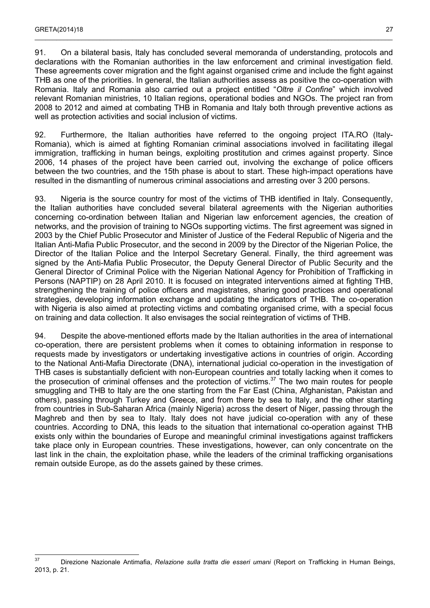91. On a bilateral basis, Italy has concluded several memoranda of understanding, protocols and declarations with the Romanian authorities in the law enforcement and criminal investigation field. These agreements cover migration and the fight against organised crime and include the fight against THB as one of the priorities. In general, the Italian authorities assess as positive the co-operation with Romania. Italy and Romania also carried out a project entitled "*Oltre il Confine*" which involved relevant Romanian ministries, 10 Italian regions, operational bodies and NGOs. The project ran from 2008 to 2012 and aimed at combating THB in Romania and Italy both through preventive actions as well as protection activities and social inclusion of victims.

92. Furthermore, the Italian authorities have referred to the ongoing project ITA.RO (Italy-Romania), which is aimed at fighting Romanian criminal associations involved in facilitating illegal immigration, trafficking in human beings, exploiting prostitution and crimes against property. Since 2006, 14 phases of the project have been carried out, involving the exchange of police officers between the two countries, and the 15th phase is about to start. These high-impact operations have resulted in the dismantling of numerous criminal associations and arresting over 3 200 persons.

93. Nigeria is the source country for most of the victims of THB identified in Italy. Consequently, the Italian authorities have concluded several bilateral agreements with the Nigerian authorities concerning co-ordination between Italian and Nigerian law enforcement agencies, the creation of networks, and the provision of training to NGOs supporting victims. The first agreement was signed in 2003 by the Chief Public Prosecutor and Minister of Justice of the Federal Republic of Nigeria and the Italian Anti-Mafia Public Prosecutor, and the second in 2009 by the Director of the Nigerian Police, the Director of the Italian Police and the Interpol Secretary General. Finally, the third agreement was signed by the Anti-Mafia Public Prosecutor, the Deputy General Director of Public Security and the General Director of Criminal Police with the Nigerian National Agency for Prohibition of Trafficking in Persons (NAPTIP) on 28 April 2010. It is focused on integrated interventions aimed at fighting THB, strengthening the training of police officers and magistrates, sharing good practices and operational strategies, developing information exchange and updating the indicators of THB. The co-operation with Nigeria is also aimed at protecting victims and combating organised crime, with a special focus on training and data collection. It also envisages the social reintegration of victims of THB.

94. Despite the above-mentioned efforts made by the Italian authorities in the area of international co-operation, there are persistent problems when it comes to obtaining information in response to requests made by investigators or undertaking investigative actions in countries of origin. According to the National Anti-Mafia Directorate (DNA), international judicial co-operation in the investigation of THB cases is substantially deficient with non-European countries and totally lacking when it comes to the prosecution of criminal offenses and the protection of victims.<sup>[37](#page-26-0)</sup> The two main routes for people smuggling and THB to Italy are the one starting from the Far East (China, Afghanistan, Pakistan and others), passing through Turkey and Greece, and from there by sea to Italy, and the other starting from countries in Sub-Saharan Africa (mainly Nigeria) across the desert of Niger, passing through the Maghreb and then by sea to Italy. Italy does not have judicial co-operation with any of these countries. According to DNA, this leads to the situation that international co-operation against THB exists only within the boundaries of Europe and meaningful criminal investigations against traffickers take place only in European countries. These investigations, however, can only concentrate on the last link in the chain, the exploitation phase, while the leaders of the criminal trafficking organisations remain outside Europe, as do the assets gained by these crimes.

<span id="page-26-0"></span> $37$ <sup>37</sup> Direzione Nazionale Antimafia, *Relazione sulla tratta die esseri umani* (Report on Trafficking in Human Beings, 2013, p. 21.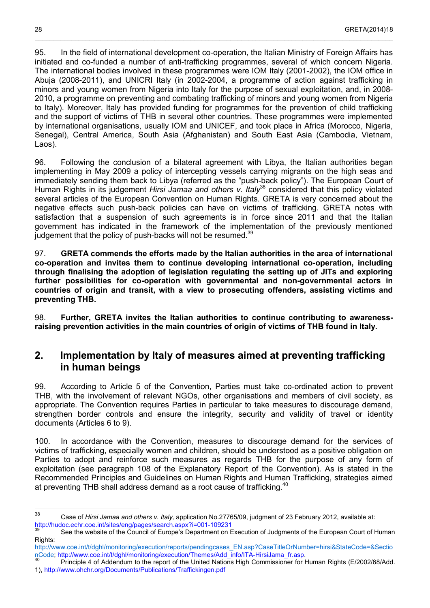95. In the field of international development co-operation, the Italian Ministry of Foreign Affairs has initiated and co-funded a number of anti-trafficking programmes, several of which concern Nigeria. The international bodies involved in these programmes were IOM Italy (2001-2002), the IOM office in Abuja (2008-2011), and UNICRI Italy (in 2002-2004, a programme of action against trafficking in minors and young women from Nigeria into Italy for the purpose of sexual exploitation, and, in 2008- 2010, a programme on preventing and combating trafficking of minors and young women from Nigeria to Italy). Moreover, Italy has provided funding for programmes for the prevention of child trafficking and the support of victims of THB in several other countries. These programmes were implemented by international organisations, usually IOM and UNICEF, and took place in Africa (Morocco, Nigeria, Senegal), Central America, South Asia (Afghanistan) and South East Asia (Cambodia, Vietnam, Laos).

96. Following the conclusion of a bilateral agreement with Libya, the Italian authorities began implementing in May 2009 a policy of intercepting vessels carrying migrants on the high seas and immediately sending them back to Libya (referred as the "push-back policy"). The European Court of Human Rights in its judgement *Hirsi Jamaa and others v. Italy*<sup>[38](#page-27-1)</sup> considered that this policy violated several articles of the European Convention on Human Rights. GRETA is very concerned about the negative effects such push-back policies can have on victims of trafficking. GRETA notes with satisfaction that a suspension of such agreements is in force since 2011 and that the Italian government has indicated in the framework of the implementation of the previously mentioned judgement that the policy of push-backs will not be resumed.<sup>[39](#page-27-2)</sup>

97. **GRETA commends the efforts made by the Italian authorities in the area of international co-operation and invites them to continue developing international co-operation, including through finalising the adoption of legislation regulating the setting up of JITs and exploring further possibilities for co-operation with governmental and non-governmental actors in countries of origin and transit, with a view to prosecuting offenders, assisting victims and preventing THB.**

98. **Further, GRETA invites the Italian authorities to continue contributing to awarenessraising prevention activities in the main countries of origin of victims of THB found in Italy.**

### <span id="page-27-0"></span>**2. Implementation by Italy of measures aimed at preventing trafficking in human beings**

99. According to Article 5 of the Convention, Parties must take co-ordinated action to prevent THB, with the involvement of relevant NGOs, other organisations and members of civil society, as appropriate. The Convention requires Parties in particular to take measures to discourage demand, strengthen border controls and ensure the integrity, security and validity of travel or identity documents (Articles 6 to 9).

100. In accordance with the Convention, measures to discourage demand for the services of victims of trafficking, especially women and children, should be understood as a positive obligation on Parties to adopt and reinforce such measures as regards THB for the purpose of any form of exploitation (see paragraph 108 of the Explanatory Report of the Convention). As is stated in the Recommended Principles and Guidelines on Human Rights and Human Trafficking, strategies aimed at preventing THB shall address demand as a root cause of trafficking.<sup>[40](#page-27-3)</sup>

<span id="page-27-1"></span><sup>38</sup> <sup>38</sup> Case of *Hirsi Jamaa and others v. Italy,* application No.27765/09, judgment of 23 February 2012, available at: <http://hudoc.echr.coe.int/sites/eng/pages/search.aspx?i=001-109231>

<span id="page-27-2"></span>See the website of the Council of Europe's Department on Execution of Judgments of the European Court of Human Rights:

[http://www.coe.int/t/dghl/monitoring/execution/reports/pendingcases\\_EN.asp?CaseTitleOrNumber=hirsi&StateCode=&Sectio](http://www.coe.int/t/dghl/monitoring/execution/reports/pendingcases_EN.asp?CaseTitleOrNumber=hirsi&StateCode=&SectionCode) [nCode;](http://www.coe.int/t/dghl/monitoring/execution/reports/pendingcases_EN.asp?CaseTitleOrNumber=hirsi&StateCode=&SectionCode) [http://www.coe.int/t/dghl/monitoring/execution/Themes/Add\\_info/ITA-HirsiJama\\_fr.asp](http://www.coe.int/t/dghl/monitoring/execution/Themes/Add_info/ITA-HirsiJama_fr.asp).

<span id="page-27-3"></span>Principle 4 of Addendum to the report of the United Nations High Commissioner for Human Rights (E/2002/68/Add. 1),<http://www.ohchr.org/Documents/Publications/Traffickingen.pdf>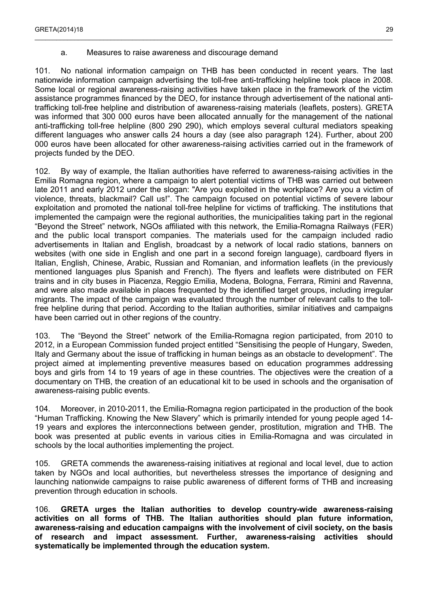a. Measures to raise awareness and discourage demand

101. No national information campaign on THB has been conducted in recent years. The last nationwide information campaign advertising the toll-free anti-trafficking helpline took place in 2008. Some local or regional awareness-raising activities have taken place in the framework of the victim assistance programmes financed by the DEO, for instance through advertisement of the national antitrafficking toll-free helpline and distribution of awareness-raising materials (leaflets, posters). GRETA was informed that 300 000 euros have been allocated annually for the management of the national anti-trafficking toll-free helpline (800 290 290), which employs several cultural mediators speaking different languages who answer calls 24 hours a day (see also paragraph 124). Further, about 200 000 euros have been allocated for other awareness-raising activities carried out in the framework of projects funded by the DEO.

<span id="page-28-0"></span> $\_$  , and the state of the state of the state of the state of the state of the state of the state of the state of the state of the state of the state of the state of the state of the state of the state of the state of the

102. By way of example, the Italian authorities have referred to awareness-raising activities in the Emilia Romagna region, where a campaign to alert potential victims of THB was carried out between late 2011 and early 2012 under the slogan: "Are you exploited in the workplace? Are you a victim of violence, threats, blackmail? Call us!". The campaign focused on potential victims of severe labour exploitation and promoted the national toll-free helpline for victims of trafficking. The institutions that implemented the campaign were the regional authorities, the municipalities taking part in the regional "Beyond the Street" network, NGOs affiliated with this network, the Emilia-Romagna Railways (FER) and the public local transport companies. The materials used for the campaign included radio advertisements in Italian and English, broadcast by a network of local radio stations, banners on websites (with one side in English and one part in a second foreign language), cardboard flyers in Italian, English, Chinese, Arabic, Russian and Romanian, and information leaflets (in the previously mentioned languages plus Spanish and French). The flyers and leaflets were distributed on FER trains and in city buses in Piacenza, Reggio Emilia, Modena, Bologna, Ferrara, Rimini and Ravenna, and were also made available in places frequented by the identified target groups, including irregular migrants. The impact of the campaign was evaluated through the number of relevant calls to the tollfree helpline during that period. According to the Italian authorities, similar initiatives and campaigns have been carried out in other regions of the country.

103. The "Beyond the Street" network of the Emilia-Romagna region participated, from 2010 to 2012, in a European Commission funded project entitled "Sensitising the people of Hungary, Sweden, Italy and Germany about the issue of trafficking in human beings as an obstacle to development". The project aimed at implementing preventive measures based on education programmes addressing boys and girls from 14 to 19 years of age in these countries. The objectives were the creation of a documentary on THB, the creation of an educational kit to be used in schools and the organisation of awareness-raising public events.

104. Moreover, in 2010-2011, the Emilia-Romagna region participated in the production of the book "Human Trafficking. Knowing the New Slavery" which is primarily intended for young people aged 14- 19 years and explores the interconnections between gender, prostitution, migration and THB. The book was presented at public events in various cities in Emilia-Romagna and was circulated in schools by the local authorities implementing the project.

105. GRETA commends the awareness-raising initiatives at regional and local level, due to action taken by NGOs and local authorities, but nevertheless stresses the importance of designing and launching nationwide campaigns to raise public awareness of different forms of THB and increasing prevention through education in schools.

106. **GRETA urges the Italian authorities to develop country-wide awareness-raising activities on all forms of THB. The Italian authorities should plan future information, awareness-raising and education campaigns with the involvement of civil society, on the basis of research and impact assessment. Further, awareness-raising activities should systematically be implemented through the education system.**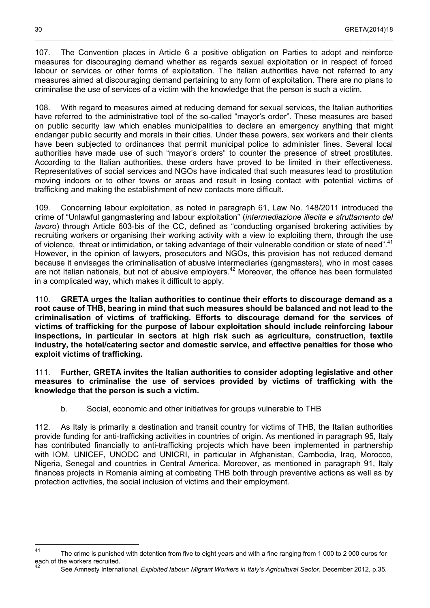107. The Convention places in Article 6 a positive obligation on Parties to adopt and reinforce measures for discouraging demand whether as regards sexual exploitation or in respect of forced labour or services or other forms of exploitation. The Italian authorities have not referred to any measures aimed at discouraging demand pertaining to any form of exploitation. There are no plans to criminalise the use of services of a victim with the knowledge that the person is such a victim.

108. With regard to measures aimed at reducing demand for sexual services, the Italian authorities have referred to the administrative tool of the so-called "mayor's order". These measures are based on public security law which enables municipalities to declare an emergency anything that might endanger public security and morals in their cities. Under these powers, sex workers and their clients have been subjected to ordinances that permit municipal police to administer fines. Several local authorities have made use of such "mayor's orders" to counter the presence of street prostitutes. According to the Italian authorities, these orders have proved to be limited in their effectiveness. Representatives of social services and NGOs have indicated that such measures lead to prostitution moving indoors or to other towns or areas and result in losing contact with potential victims of trafficking and making the establishment of new contacts more difficult.

109. Concerning labour exploitation, as noted in paragraph 61, Law No. 148/2011 introduced the crime of "Unlawful gangmastering and labour exploitation" (*intermediazione illecita e sfruttamento del lavoro*) through Article 603-bis of the CC, defined as "conducting organised brokering activities by recruiting workers or organising their working activity with a view to exploiting them, through the use of violence, threat or intimidation, or taking advantage of their vulnerable condition or state of need".<sup>[41](#page-29-1)</sup> However, in the opinion of lawyers, prosecutors and NGOs, this provision has not reduced demand because it envisages the criminalisation of abusive intermediaries (gangmasters), who in most cases are not Italian nationals, but not of abusive employers.<sup>[42](#page-29-2)</sup> Moreover, the offence has been formulated in a complicated way, which makes it difficult to apply.

110. **GRETA urges the Italian authorities to continue their efforts to discourage demand as a root cause of THB, bearing in mind that such measures should be balanced and not lead to the criminalisation of victims of trafficking. Efforts to discourage demand for the services of victims of trafficking for the purpose of labour exploitation should include reinforcing labour inspections, in particular in sectors at high risk such as agriculture, construction, textile industry, the hotel/catering sector and domestic service, and effective penalties for those who exploit victims of trafficking.**

111. **Further, GRETA invites the Italian authorities to consider adopting legislative and other measures to criminalise the use of services provided by victims of trafficking with the knowledge that the person is such a victim.**

b. Social, economic and other initiatives for groups vulnerable to THB

<span id="page-29-0"></span>112. As Italy is primarily a destination and transit country for victims of THB, the Italian authorities provide funding for anti-trafficking activities in countries of origin. As mentioned in paragraph 95, Italy has contributed financially to anti-trafficking projects which have been implemented in partnership with IOM, UNICEF, UNODC and UNICRI, in particular in Afghanistan, Cambodia, Iraq, Morocco, Nigeria, Senegal and countries in Central America. Moreover, as mentioned in paragraph 91, Italy finances projects in Romania aiming at combating THB both through preventive actions as well as by protection activities, the social inclusion of victims and their employment.

<span id="page-29-2"></span><span id="page-29-1"></span><sup>&</sup>lt;sup>41</sup> The crime is punished with detention from five to eight years and with a fine ranging from 1 000 to 2 000 euros for each of the workers recruited.

<sup>42</sup> See Amnesty International, *Exploited labour: Migrant Workers in Italy's Agricultural Sector*, December 2012, p.35.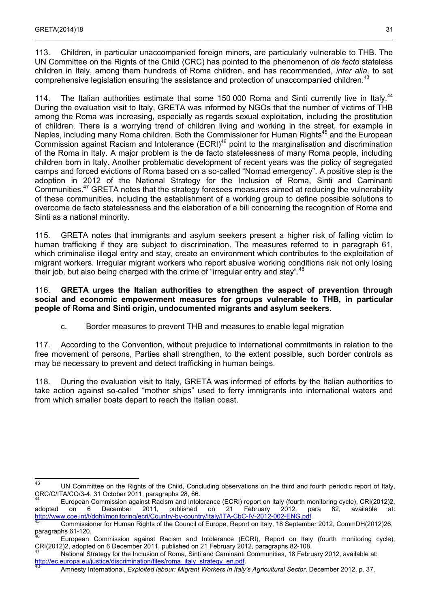113. Children, in particular unaccompanied foreign minors, are particularly vulnerable to THB. The UN Committee on the Rights of the Child (CRC) has pointed to the phenomenon of *de facto* stateless children in Italy, among them hundreds of Roma children, and has recommended, *inter alia*, to set comprehensive legislation ensuring the assistance and protection of unaccompanied children.<sup>[43](#page-30-1)</sup>

 $\_$  , and the state of the state of the state of the state of the state of the state of the state of the state of the state of the state of the state of the state of the state of the state of the state of the state of the

114. The Italian authorities estimate that some 150,000 Roma and Sinti currently live in Italy.<sup>[44](#page-30-2)</sup> During the evaluation visit to Italy, GRETA was informed by NGOs that the number of victims of THB among the Roma was increasing, especially as regards sexual exploitation, including the prostitution of children. There is a worrying trend of children living and working in the street, for example in Naples, including many Roma children. Both the Commissioner for Human Rights<sup>[45](#page-30-3)</sup> and the European Commission against Racism and Intolerance (ECRI)<sup>[46](#page-30-4)</sup> point to the marginalisation and discrimination of the Roma in Italy. A major problem is the de facto statelessness of many Roma people, including children born in Italy. Another problematic development of recent years was the policy of segregated camps and forced evictions of Roma based on a so-called "Nomad emergency". A positive step is the adoption in 2012 of the National Strategy for the Inclusion of Roma, Sinti and Caminanti Communities.[47](#page-30-5) GRETA notes that the strategy foresees measures aimed at reducing the vulnerability of these communities, including the establishment of a working group to define possible solutions to overcome de facto statelessness and the elaboration of a bill concerning the recognition of Roma and Sinti as a national minority.

115. GRETA notes that immigrants and asylum seekers present a higher risk of falling victim to human trafficking if they are subject to discrimination. The measures referred to in paragraph 61, which criminalise illegal entry and stay, create an environment which contributes to the exploitation of migrant workers. Irregular migrant workers who report abusive working conditions risk not only losing their job, but also being charged with the crime of "irregular entry and stay".<sup>[48](#page-30-6)</sup>

### 116. **GRETA urges the Italian authorities to strengthen the aspect of prevention through social and economic empowerment measures for groups vulnerable to THB, in particular people of Roma and Sinti origin, undocumented migrants and asylum seekers**.

c. Border measures to prevent THB and measures to enable legal migration

<span id="page-30-0"></span>117. According to the Convention, without prejudice to international commitments in relation to the free movement of persons, Parties shall strengthen, to the extent possible, such border controls as may be necessary to prevent and detect trafficking in human beings.

118. During the evaluation visit to Italy, GRETA was informed of efforts by the Italian authorities to take action against so-called "mother ships" used to ferry immigrants into international waters and from which smaller boats depart to reach the Italian coast.

<span id="page-30-1"></span><sup>43</sup> <sup>43</sup> UN Committee on the Rights of the Child, Concluding observations on the third and fourth periodic report of Italy, CRC/C/ITA/CO/3-4, 31 October 2011, paragraphs 28, 66.

<span id="page-30-2"></span><sup>44</sup> European Commission against Racism and Intolerance (ECRI) report on Italy (fourth monitoring cycle), CRI(2012)2, adopted on 6 December 2011, published on 21 February 2012, para 82, available at: <http://www.coe.int/t/dghl/monitoring/ecri/Country-by-country/Italy/ITA-CbC-IV-2012-002-ENG.pdf>.

<span id="page-30-3"></span><sup>45</sup> Commissioner for Human Rights of the Council of Europe, Report on Italy, 18 September 2012, CommDH(2012)26, paragraphs 61-120.

<span id="page-30-4"></span><sup>46</sup> European Commission against Racism and Intolerance (ECRI), Report on Italy (fourth monitoring cycle), CRI(2012)2, adopted on 6 December 2011, published on 21 February 2012, paragraphs 82-108.

<span id="page-30-6"></span><span id="page-30-5"></span>National Strategy for the Inclusion of Roma, Sinti and Caminanti Communities, 18 February 2012, available at: [http://ec.europa.eu/justice/discrimination/files/roma\\_italy\\_strategy\\_en.pdf](http://ec.europa.eu/justice/discrimination/files/roma_italy_strategy_en.pdf).<br>48

<sup>48</sup> Amnesty International, *Exploited labour: Migrant Workers in Italy's Agricultural Sector*, December 2012, p. 37.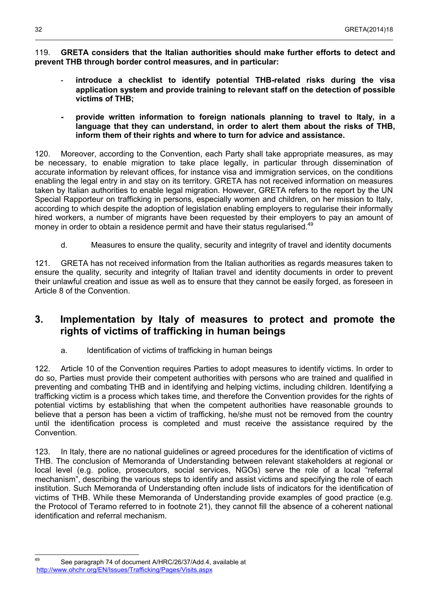119. **GRETA considers that the Italian authorities should make further efforts to detect and prevent THB through border control measures, and in particular:**

- **- introduce a checklist to identify potential THB-related risks during the visa application system and provide training to relevant staff on the detection of possible victims of THB;**
- **- provide written information to foreign nationals planning to travel to Italy, in a language that they can understand, in order to alert them about the risks of THB, inform them of their rights and where to turn for advice and assistance.**

120. Moreover, according to the Convention, each Party shall take appropriate measures, as may be necessary, to enable migration to take place legally, in particular through dissemination of accurate information by relevant offices, for instance visa and immigration services, on the conditions enabling the legal entry in and stay on its territory. GRETA has not received information on measures taken by Italian authorities to enable legal migration. However, GRETA refers to the report by the UN Special Rapporteur on trafficking in persons, especially women and children, on her mission to Italy, according to which despite the adoption of legislation enabling employers to regularise their informally hired workers, a number of migrants have been requested by their employers to pay an amount of money in order to obtain a residence permit and have their status regularised.<sup>[49](#page-31-3)</sup>

d. Measures to ensure the quality, security and integrity of travel and identity documents

<span id="page-31-2"></span>121. GRETA has not received information from the Italian authorities as regards measures taken to ensure the quality, security and integrity of Italian travel and identity documents in order to prevent their unlawful creation and issue as well as to ensure that they cannot be easily forged, as foreseen in Article 8 of the Convention.

## <span id="page-31-1"></span>**3. Implementation by Italy of measures to protect and promote the rights of victims of trafficking in human beings**

a. Identification of victims of trafficking in human beings

<span id="page-31-0"></span>122. Article 10 of the Convention requires Parties to adopt measures to identify victims. In order to do so, Parties must provide their competent authorities with persons who are trained and qualified in preventing and combating THB and in identifying and helping victims, including children. Identifying a trafficking victim is a process which takes time, and therefore the Convention provides for the rights of potential victims by establishing that when the competent authorities have reasonable grounds to believe that a person has been a victim of trafficking, he/she must not be removed from the country until the identification process is completed and must receive the assistance required by the Convention.

123. In Italy, there are no national guidelines or agreed procedures for the identification of victims of THB. The conclusion of Memoranda of Understanding between relevant stakeholders at regional or local level (e.g. police, prosecutors, social services, NGOs) serve the role of a local "referral mechanism", describing the various steps to identify and assist victims and specifying the role of each institution. Such Memoranda of Understanding often include lists of indicators for the identification of victims of THB. While these Memoranda of Understanding provide examples of good practice (e.g. the Protocol of Teramo referred to in footnote 21), they cannot fill the absence of a coherent national identification and referral mechanism.

<span id="page-31-3"></span><sup>49</sup> See paragraph 74 of document A/HRC/26/37/Add.4, available at <http://www.ohchr.org/EN/Issues/Trafficking/Pages/Visits.aspx>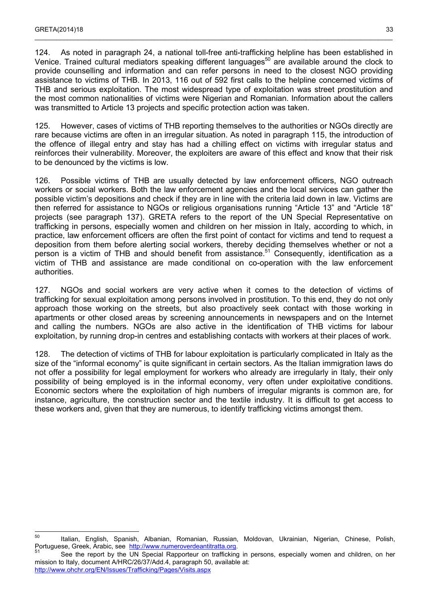124. As noted in paragraph 24, a national toll-free anti-trafficking helpline has been established in Venice. Trained cultural mediators speaking different languages<sup>[50](#page-32-0)</sup> are available around the clock to provide counselling and information and can refer persons in need to the closest NGO providing assistance to victims of THB. In 2013, 116 out of 592 first calls to the helpline concerned victims of THB and serious exploitation. The most widespread type of exploitation was street prostitution and the most common nationalities of victims were Nigerian and Romanian. Information about the callers was transmitted to Article 13 projects and specific protection action was taken.

 $\_$  , and the state of the state of the state of the state of the state of the state of the state of the state of the state of the state of the state of the state of the state of the state of the state of the state of the

125. However, cases of victims of THB reporting themselves to the authorities or NGOs directly are rare because victims are often in an irregular situation. As noted in paragraph 115, the introduction of the offence of illegal entry and stay has had a chilling effect on victims with irregular status and reinforces their vulnerability. Moreover, the exploiters are aware of this effect and know that their risk to be denounced by the victims is low.

126. Possible victims of THB are usually detected by law enforcement officers, NGO outreach workers or social workers. Both the law enforcement agencies and the local services can gather the possible victim's depositions and check if they are in line with the criteria laid down in law. Victims are then referred for assistance to NGOs or religious organisations running "Article 13" and "Article 18" projects (see paragraph 137). GRETA refers to the report of the UN Special Representative on trafficking in persons, especially women and children on her mission in Italy, according to which, in practice, law enforcement officers are often the first point of contact for victims and tend to request a deposition from them before alerting social workers, thereby deciding themselves whether or not a person is a victim of THB and should benefit from assistance.<sup>[51](#page-32-1)</sup> Consequently, identification as a victim of THB and assistance are made conditional on co-operation with the law enforcement authorities.

127. NGOs and social workers are very active when it comes to the detection of victims of trafficking for sexual exploitation among persons involved in prostitution. To this end, they do not only approach those working on the streets, but also proactively seek contact with those working in apartments or other closed areas by screening announcements in newspapers and on the Internet and calling the numbers. NGOs are also active in the identification of THB victims for labour exploitation, by running drop-in centres and establishing contacts with workers at their places of work.

128. The detection of victims of THB for labour exploitation is particularly complicated in Italy as the size of the "informal economy" is quite significant in certain sectors. As the Italian immigration laws do not offer a possibility for legal employment for workers who already are irregularly in Italy, their only possibility of being employed is in the informal economy, very often under exploitative conditions. Economic sectors where the exploitation of high numbers of irregular migrants is common are, for instance, agriculture, the construction sector and the textile industry. It is difficult to get access to these workers and, given that they are numerous, to identify trafficking victims amongst them.

<span id="page-32-0"></span><sup>50</sup> Italian, English, Spanish, Albanian, Romanian, Russian, Moldovan, Ukrainian, Nigerian, Chinese, Polish, Portuguese, Greek, Arabic, see [http://www.numeroverdeantitratta.org](http://www.numeroverdeantitratta.org/).

<span id="page-32-1"></span>See the report by the UN Special Rapporteur on trafficking in persons, especially women and children, on her mission to Italy, document A/HRC/26/37/Add.4, paragraph 50, available at: <http://www.ohchr.org/EN/Issues/Trafficking/Pages/Visits.aspx>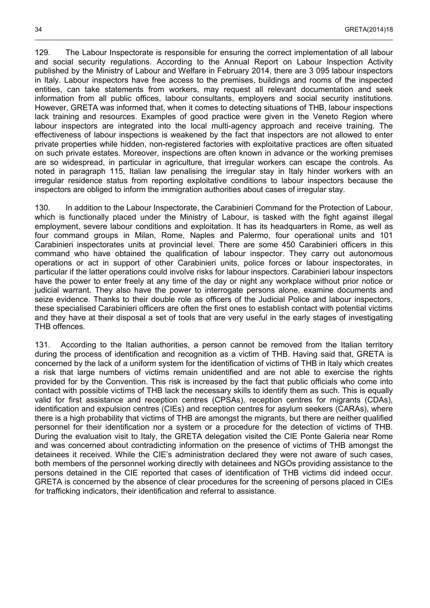129. The Labour Inspectorate is responsible for ensuring the correct implementation of all labour and social security regulations. According to the Annual Report on Labour Inspection Activity published by the Ministry of Labour and Welfare in February 2014, there are 3 095 labour inspectors in Italy. Labour inspectors have free access to the premises, buildings and rooms of the inspected entities, can take statements from workers, may request all relevant documentation and seek information from all public offices, labour consultants, employers and social security institutions. However, GRETA was informed that, when it comes to detecting situations of THB, labour inspections lack training and resources. Examples of good practice were given in the Veneto Region where labour inspectors are integrated into the local multi-agency approach and receive training. The effectiveness of labour inspections is weakened by the fact that inspectors are not allowed to enter private properties while hidden, non-registered factories with exploitative practices are often situated on such private estates. Moreover, inspections are often known in advance or the working premises are so widespread, in particular in agriculture, that irregular workers can escape the controls. As noted in paragraph 115, Italian law penalising the irregular stay in Italy hinder workers with an irregular residence status from reporting exploitative conditions to labour inspectors because the inspectors are obliged to inform the immigration authorities about cases of irregular stay.

\_\_\_\_\_\_\_\_\_\_\_\_\_\_\_\_\_\_\_\_\_\_\_\_\_\_\_\_\_\_\_\_\_\_\_\_\_\_\_\_\_\_\_\_\_\_\_\_\_\_\_\_\_\_\_\_\_\_\_\_\_\_\_\_\_\_\_\_\_\_\_\_\_\_\_\_\_\_\_\_\_\_\_\_\_\_\_\_\_\_\_\_\_\_\_\_\_\_\_

130. In addition to the Labour Inspectorate, the Carabinieri Command for the Protection of Labour, which is functionally placed under the Ministry of Labour, is tasked with the fight against illegal employment, severe labour conditions and exploitation. It has its headquarters in Rome, as well as four command groups in Milan, Rome, Naples and Palermo, four operational units and 101 Carabinieri inspectorates units at provincial level. There are some 450 Carabinieri officers in this command who have obtained the qualification of labour inspector. They carry out autonomous operations or act in support of other Carabinieri units, police forces or labour inspectorates, in particular if the latter operations could involve risks for labour inspectors. Carabinieri labour inspectors have the power to enter freely at any time of the day or night any workplace without prior notice or judicial warrant. They also have the power to interrogate persons alone, examine documents and seize evidence. Thanks to their double role as officers of the Judicial Police and labour inspectors, these specialised Carabinieri officers are often the first ones to establish contact with potential victims and they have at their disposal a set of tools that are very useful in the early stages of investigating THB offences.

131. According to the Italian authorities, a person cannot be removed from the Italian territory during the process of identification and recognition as a victim of THB. Having said that, GRETA is concerned by the lack of a uniform system for the identification of victims of THB in Italy which creates a risk that large numbers of victims remain unidentified and are not able to exercise the rights provided for by the Convention. This risk is increased by the fact that public officials who come into contact with possible victims of THB lack the necessary skills to identify them as such. This is equally valid for first assistance and reception centres (CPSAs), reception centres for migrants (CDAs), identification and expulsion centres (CIEs) and reception centres for asylum seekers (CARAs), where there is a high probability that victims of THB are amongst the migrants, but there are neither qualified personnel for their identification nor a system or a procedure for the detection of victims of THB. During the evaluation visit to Italy, the GRETA delegation visited the CIE Ponte Galeria near Rome and was concerned about contradicting information on the presence of victims of THB amongst the detainees it received. While the CIE's administration declared they were not aware of such cases, both members of the personnel working directly with detainees and NGOs providing assistance to the persons detained in the CIE reported that cases of identification of THB victims did indeed occur. GRETA is concerned by the absence of clear procedures for the screening of persons placed in CIEs for trafficking indicators, their identification and referral to assistance.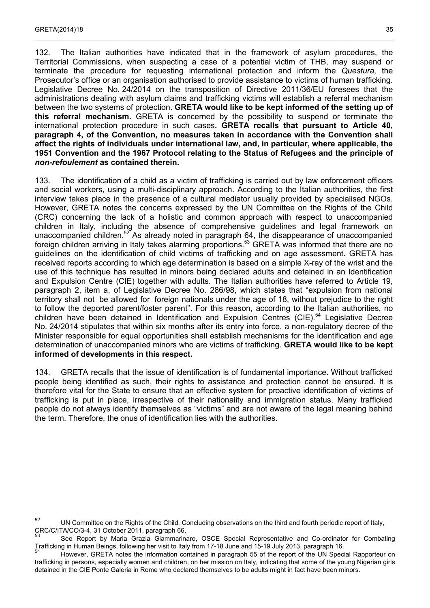132. The Italian authorities have indicated that in the framework of asylum procedures, the Territorial Commissions, when suspecting a case of a potential victim of THB, may suspend or terminate the procedure for requesting international protection and inform the *Questura*, the Prosecutor's office or an organisation authorised to provide assistance to victims of human trafficking. Legislative Decree No. 24/2014 on the transposition of Directive 2011/36/EU foresees that the administrations dealing with asylum claims and trafficking victims will establish a referral mechanism between the two systems of protection. **GRETA would like to be kept informed of the setting up of this referral mechanism.** GRETA is concerned by the possibility to suspend or terminate the international protection procedure in such cases**. GRETA recalls that pursuant to Article 40, paragraph 4, of the Convention, no measures taken in accordance with the Convention shall affect the rights of individuals under international law, and, in particular, where applicable, the 1951 Convention and the 1967 Protocol relating to the Status of Refugees and the principle of**  *non-refoulement* **as contained therein.**

 $\_$  , and the state of the state of the state of the state of the state of the state of the state of the state of the state of the state of the state of the state of the state of the state of the state of the state of the

133. The identification of a child as a victim of trafficking is carried out by law enforcement officers and social workers, using a multi-disciplinary approach. According to the Italian authorities, the first interview takes place in the presence of a cultural mediator usually provided by specialised NGOs. However, GRETA notes the concerns expressed by the UN Committee on the Rights of the Child (CRC) concerning the lack of a holistic and common approach with respect to unaccompanied children in Italy, including the absence of comprehensive guidelines and legal framework on unaccompanied children.[52](#page-34-0) As already noted in paragraph 64, the disappearance of unaccompanied foreign children arriving in Italy takes alarming proportions.<sup>[53](#page-34-1)</sup> GRETA was informed that there are no guidelines on the identification of child victims of trafficking and on age assessment. GRETA has received reports according to which age determination is based on a simple X-ray of the wrist and the use of this technique has resulted in minors being declared adults and detained in an Identification and Expulsion Centre (CIE) together with adults. The Italian authorities have referred to Article 19, paragraph 2, item a, of Legislative Decree No. 286/98, which states that "expulsion from national territory shall not be allowed for foreign nationals under the age of 18, without prejudice to the right to follow the deported parent/foster parent". For this reason, according to the Italian authorities, no children have been detained in Identification and Expulsion Centres (CIE).<sup>[54](#page-34-2)</sup> Legislative Decree No. 24/2014 stipulates that within six months after its entry into force, a non-regulatory decree of the Minister responsible for equal opportunities shall establish mechanisms for the identification and age determination of unaccompanied minors who are victims of trafficking. **GRETA would like to be kept informed of developments in this respect.**

134. GRETA recalls that the issue of identification is of fundamental importance. Without trafficked people being identified as such, their rights to assistance and protection cannot be ensured. It is therefore vital for the State to ensure that an effective system for proactive identification of victims of trafficking is put in place, irrespective of their nationality and immigration status. Many trafficked people do not always identify themselves as "victims" and are not aware of the legal meaning behind the term. Therefore, the onus of identification lies with the authorities.

<span id="page-34-0"></span> $52$ UN Committee on the Rights of the Child, Concluding observations on the third and fourth periodic report of Italy, CRC/C/ITA/CO/3-4, 31 October 2011, paragraph 66.

<span id="page-34-1"></span>See Report by Maria Grazia Giammarinaro, OSCE Special Representative and Co-ordinator for Combating Trafficking in Human Beings, following her visit to Italy from 17-18 June and 15-19 July 2013, paragraph 16.

<span id="page-34-2"></span>However, GRETA notes the information contained in paragraph 55 of the report of the UN Special Rapporteur on trafficking in persons, especially women and children, on her mission on Italy, indicating that some of the young Nigerian girls detained in the CIE Ponte Galeria in Rome who declared themselves to be adults might in fact have been minors.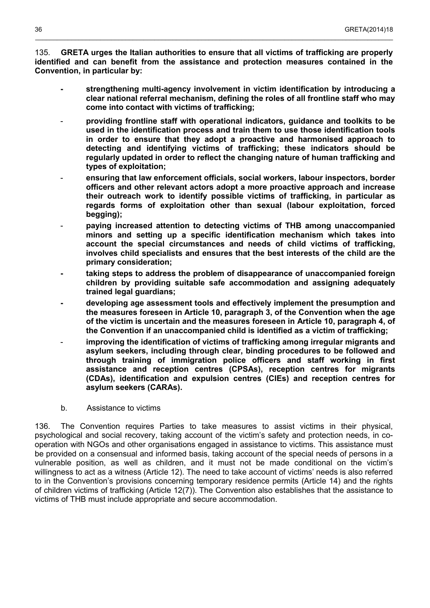135. **GRETA urges the Italian authorities to ensure that all victims of trafficking are properly identified and can benefit from the assistance and protection measures contained in the Convention, in particular by:**

\_\_\_\_\_\_\_\_\_\_\_\_\_\_\_\_\_\_\_\_\_\_\_\_\_\_\_\_\_\_\_\_\_\_\_\_\_\_\_\_\_\_\_\_\_\_\_\_\_\_\_\_\_\_\_\_\_\_\_\_\_\_\_\_\_\_\_\_\_\_\_\_\_\_\_\_\_\_\_\_\_\_\_\_\_\_\_\_\_\_\_\_\_\_\_\_\_\_\_

- **- strengthening multi-agency involvement in victim identification by introducing a clear national referral mechanism, defining the roles of all frontline staff who may come into contact with victims of trafficking;**
- **providing frontline staff with operational indicators, guidance and toolkits to be used in the identification process and train them to use those identification tools in order to ensure that they adopt a proactive and harmonised approach to detecting and identifying victims of trafficking; these indicators should be regularly updated in order to reflect the changing nature of human trafficking and types of exploitation;**
- ensuring that law enforcement officials, social workers, labour inspectors, border **officers and other relevant actors adopt a more proactive approach and increase their outreach work to identify possible victims of trafficking, in particular as regards forms of exploitation other than sexual (labour exploitation, forced begging);**
- **paying increased attention to detecting victims of THB among unaccompanied minors and setting up a specific identification mechanism which takes into account the special circumstances and needs of child victims of trafficking, involves child specialists and ensures that the best interests of the child are the primary consideration;**
- **- taking steps to address the problem of disappearance of unaccompanied foreign children by providing suitable safe accommodation and assigning adequately trained legal guardians;**
- **- developing age assessment tools and effectively implement the presumption and the measures foreseen in Article 10, paragraph 3, of the Convention when the age of the victim is uncertain and the measures foreseen in Article 10, paragraph 4, of the Convention if an unaccompanied child is identified as a victim of trafficking;**
- improving the identification of victims of trafficking among irregular migrants and **asylum seekers, including through clear, binding procedures to be followed and through training of immigration police officers and staff working in first assistance and reception centres (CPSAs), reception centres for migrants (CDAs), identification and expulsion centres (CIEs) and reception centres for asylum seekers (CARAs).**
- b. Assistance to victims

<span id="page-35-0"></span>136. The Convention requires Parties to take measures to assist victims in their physical, psychological and social recovery, taking account of the victim's safety and protection needs, in cooperation with NGOs and other organisations engaged in assistance to victims. This assistance must be provided on a consensual and informed basis, taking account of the special needs of persons in a vulnerable position, as well as children, and it must not be made conditional on the victim's willingness to act as a witness (Article 12). The need to take account of victims' needs is also referred to in the Convention's provisions concerning temporary residence permits (Article 14) and the rights of children victims of trafficking (Article 12(7)). The Convention also establishes that the assistance to victims of THB must include appropriate and secure accommodation.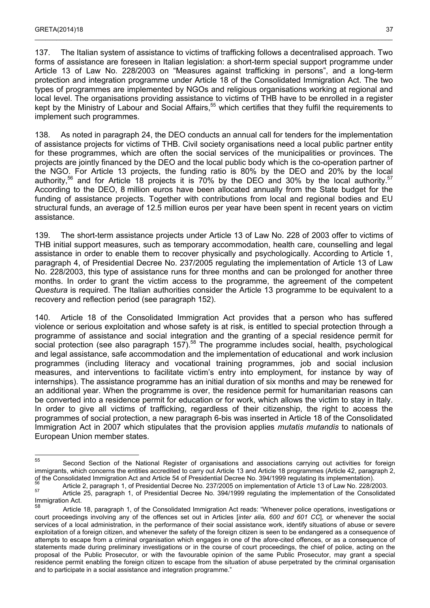137. The Italian system of assistance to victims of trafficking follows a decentralised approach. Two forms of assistance are foreseen in Italian legislation: a short-term special support programme under Article 13 of Law No. 228/2003 on "Measures against trafficking in persons", and a long-term protection and integration programme under Article 18 of the Consolidated Immigration Act. The two types of programmes are implemented by NGOs and religious organisations working at regional and local level. The organisations providing assistance to victims of THB have to be enrolled in a register kept by the Ministry of Labour and Social Affairs,<sup>[55](#page-36-0)</sup> which certifies that they fulfil the requirements to implement such programmes.

 $\_$  , and the state of the state of the state of the state of the state of the state of the state of the state of the state of the state of the state of the state of the state of the state of the state of the state of the

138. As noted in paragraph 24, the DEO conducts an annual call for tenders for the implementation of assistance projects for victims of THB. Civil society organisations need a local public partner entity for these programmes, which are often the social services of the municipalities or provinces. The projects are jointly financed by the DEO and the local public body which is the co-operation partner of the NGO. For Article 13 projects, the funding ratio is 80% by the DEO and 20% by the local authority,<sup>[56](#page-36-1)</sup> and for Article 18 projects it is 70% by the DEO and 30% by the local authority.<sup>[57](#page-36-2)</sup> According to the DEO, 8 million euros have been allocated annually from the State budget for the funding of assistance projects. Together with contributions from local and regional bodies and EU structural funds, an average of 12.5 million euros per year have been spent in recent years on victim assistance.

139. The short-term assistance projects under Article 13 of Law No. 228 of 2003 offer to victims of THB initial support measures, such as temporary accommodation, health care, counselling and legal assistance in order to enable them to recover physically and psychologically. According to Article 1, paragraph 4, of Presidential Decree No. 237/2005 regulating the implementation of Article 13 of Law No. 228/2003, this type of assistance runs for three months and can be prolonged for another three months. In order to grant the victim access to the programme, the agreement of the competent *Questura* is required. The Italian authorities consider the Article 13 programme to be equivalent to a recovery and reflection period (see paragraph 152).

140. Article 18 of the Consolidated Immigration Act provides that a person who has suffered violence or serious exploitation and whose safety is at risk, is entitled to special protection through a programme of assistance and social integration and the granting of a special residence permit for social protection (see also paragraph 157).<sup>[58](#page-36-3)</sup> The programme includes social, health, psychological and legal assistance, safe accommodation and the implementation of educational and work inclusion programmes (including literacy and vocational training programmes, job and social inclusion measures, and interventions to facilitate victim's entry into employment, for instance by way of internships). The assistance programme has an initial duration of six months and may be renewed for an additional year. When the programme is over, the residence permit for humanitarian reasons can be converted into a residence permit for education or for work, which allows the victim to stay in Italy. In order to give all victims of trafficking, regardless of their citizenship, the right to access the programmes of social protection, a new paragraph 6-bis was inserted in Article 18 of the Consolidated Immigration Act in 2007 which stipulates that the provision applies *mutatis mutandis* to nationals of European Union member states.

<span id="page-36-0"></span><sup>55</sup> Second Section of the National Register of organisations and associations carrying out activities for foreign immigrants, which concerns the entities accredited to carry out Article 13 and Article 18 programmes (Article 42, paragraph 2, of the Consolidated Immigration Act and Article 54 of Presidential Decree No. 394/1999 regulating its implementation).

<span id="page-36-2"></span><span id="page-36-1"></span><sup>56</sup> Article 2, paragraph 1, of Presidential Decree No. 237/2005 on implementation of Article 13 of Law No. 228/2003. Article 25, paragraph 1, of Presidential Decree No. 394/1999 regulating the implementation of the Consolidated Immigration Act.

<span id="page-36-3"></span>Article 18, paragraph 1, of the Consolidated Immigration Act reads: "Whenever police operations, investigations or court proceedings involving any of the offences set out in Articles [*inter alia, 600 and 601 CC*], or whenever the social services of a local administration, in the performance of their social assistance work, identify situations of abuse or severe exploitation of a foreign citizen, and whenever the safety of the foreign citizen is seen to be endangered as a consequence of attempts to escape from a criminal organisation which engages in one of the afore-cited offences, or as a consequence of statements made during preliminary investigations or in the course of court proceedings, the chief of police, acting on the proposal of the Public Prosecutor, or with the favourable opinion of the same Public Prosecutor, may grant a special residence permit enabling the foreign citizen to escape from the situation of abuse perpetrated by the criminal organisation and to participate in a social assistance and integration programme."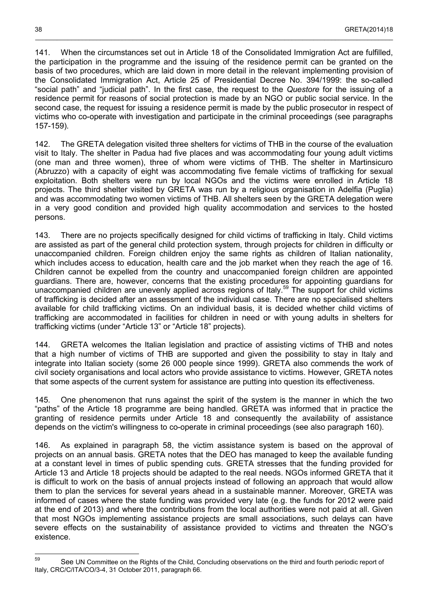141. When the circumstances set out in Article 18 of the Consolidated Immigration Act are fulfilled, the participation in the programme and the issuing of the residence permit can be granted on the basis of two procedures, which are laid down in more detail in the relevant implementing provision of the Consolidated Immigration Act, Article 25 of Presidential Decree No. 394/1999: the so-called "social path" and "judicial path". In the first case, the request to the *Questore* for the issuing of a residence permit for reasons of social protection is made by an NGO or public social service. In the second case, the request for issuing a residence permit is made by the public prosecutor in respect of victims who co-operate with investigation and participate in the criminal proceedings (see paragraphs 157-159).

142. The GRETA delegation visited three shelters for victims of THB in the course of the evaluation visit to Italy. The shelter in Padua had five places and was accommodating four young adult victims (one man and three women), three of whom were victims of THB. The shelter in Martinsicuro (Abruzzo) with a capacity of eight was accommodating five female victims of trafficking for sexual exploitation. Both shelters were run by local NGOs and the victims were enrolled in Article 18 projects. The third shelter visited by GRETA was run by a religious organisation in Adelfia (Puglia) and was accommodating two women victims of THB. All shelters seen by the GRETA delegation were in a very good condition and provided high quality accommodation and services to the hosted persons.

143. There are no projects specifically designed for child victims of trafficking in Italy. Child victims are assisted as part of the general child protection system, through projects for children in difficulty or unaccompanied children. Foreign children enjoy the same rights as children of Italian nationality, which includes access to education, health care and the job market when they reach the age of 16. Children cannot be expelled from the country and unaccompanied foreign children are appointed guardians. There are, however, concerns that the existing procedures for appointing guardians for unaccompanied children are unevenly applied across regions of Italy.<sup>[59](#page-37-0)</sup> The support for child victims of trafficking is decided after an assessment of the individual case. There are no specialised shelters available for child trafficking victims. On an individual basis, it is decided whether child victims of trafficking are accommodated in facilities for children in need or with young adults in shelters for trafficking victims (under "Article 13" or "Article 18" projects).

144. GRETA welcomes the Italian legislation and practice of assisting victims of THB and notes that a high number of victims of THB are supported and given the possibility to stay in Italy and integrate into Italian society (some 26 000 people since 1999). GRETA also commends the work of civil society organisations and local actors who provide assistance to victims. However, GRETA notes that some aspects of the current system for assistance are putting into question its effectiveness.

145. One phenomenon that runs against the spirit of the system is the manner in which the two "paths" of the Article 18 programme are being handled. GRETA was informed that in practice the granting of residence permits under Article 18 and consequently the availability of assistance depends on the victim's willingness to co-operate in criminal proceedings (see also paragraph 160).

146. As explained in paragraph 58, the victim assistance system is based on the approval of projects on an annual basis. GRETA notes that the DEO has managed to keep the available funding at a constant level in times of public spending cuts. GRETA stresses that the funding provided for Article 13 and Article 18 projects should be adapted to the real needs. NGOs informed GRETA that it is difficult to work on the basis of annual projects instead of following an approach that would allow them to plan the services for several years ahead in a sustainable manner. Moreover, GRETA was informed of cases where the state funding was provided very late (e.g. the funds for 2012 were paid at the end of 2013) and where the contributions from the local authorities were not paid at all. Given that most NGOs implementing assistance projects are small associations, such delays can have severe effects on the sustainability of assistance provided to victims and threaten the NGO's existence.

<span id="page-37-0"></span><sup>59</sup> See UN Committee on the Rights of the Child, Concluding observations on the third and fourth periodic report of Italy, CRC/C/ITA/CO/3-4, 31 October 2011, paragraph 66.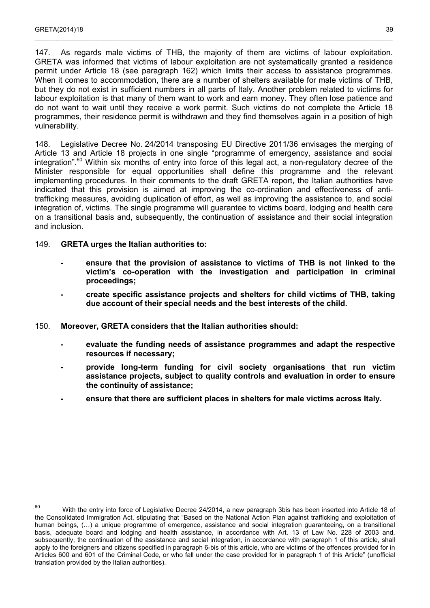147. As regards male victims of THB, the majority of them are victims of labour exploitation. GRETA was informed that victims of labour exploitation are not systematically granted a residence permit under Article 18 (see paragraph 162) which limits their access to assistance programmes. When it comes to accommodation, there are a number of shelters available for male victims of THB, but they do not exist in sufficient numbers in all parts of Italy. Another problem related to victims for labour exploitation is that many of them want to work and earn money. They often lose patience and do not want to wait until they receive a work permit. Such victims do not complete the Article 18 programmes, their residence permit is withdrawn and they find themselves again in a position of high vulnerability.

 $\_$  , and the state of the state of the state of the state of the state of the state of the state of the state of the state of the state of the state of the state of the state of the state of the state of the state of the

148. Legislative Decree No. 24/2014 transposing EU Directive 2011/36 envisages the merging of Article 13 and Article 18 projects in one single "programme of emergency, assistance and social integration".<sup>[60](#page-38-0)</sup> Within six months of entry into force of this legal act, a non-regulatory decree of the Minister responsible for equal opportunities shall define this programme and the relevant implementing procedures. In their comments to the draft GRETA report, the Italian authorities have indicated that this provision is aimed at improving the co-ordination and effectiveness of antitrafficking measures, avoiding duplication of effort, as well as improving the assistance to, and social integration of, victims. The single programme will guarantee to victims board, lodging and health care on a transitional basis and, subsequently, the continuation of assistance and their social integration and inclusion.

### 149. **GRETA urges the Italian authorities to:**

- **- ensure that the provision of assistance to victims of THB is not linked to the victim's co-operation with the investigation and participation in criminal proceedings;**
- **- create specific assistance projects and shelters for child victims of THB, taking due account of their special needs and the best interests of the child.**

### 150. **Moreover, GRETA considers that the Italian authorities should:**

- **- evaluate the funding needs of assistance programmes and adapt the respective resources if necessary;**
- **- provide long-term funding for civil society organisations that run victim assistance projects, subject to quality controls and evaluation in order to ensure the continuity of assistance;**
- **- ensure that there are sufficient places in shelters for male victims across Italy.**

<span id="page-38-0"></span><sup>60</sup> <sup>60</sup> With the entry into force of Legislative Decree 24/2014, a new paragraph 3bis has been inserted into Article 18 of the Consolidated Immigration Act, stipulating that "Based on the National Action Plan against trafficking and exploitation of human beings, (...) a unique programme of emergence, assistance and social integration guaranteeing, on a transitional basis, adequate board and lodging and health assistance, in accordance with Art. 13 of Law No. 228 of 2003 and, subsequently, the continuation of the assistance and social integration, in accordance with paragraph 1 of this article, shall apply to the foreigners and citizens specified in paragraph 6-bis of this article, who are victims of the offences provided for in Articles 600 and 601 of the Criminal Code, or who fall under the case provided for in paragraph 1 of this Article" (unofficial translation provided by the Italian authorities).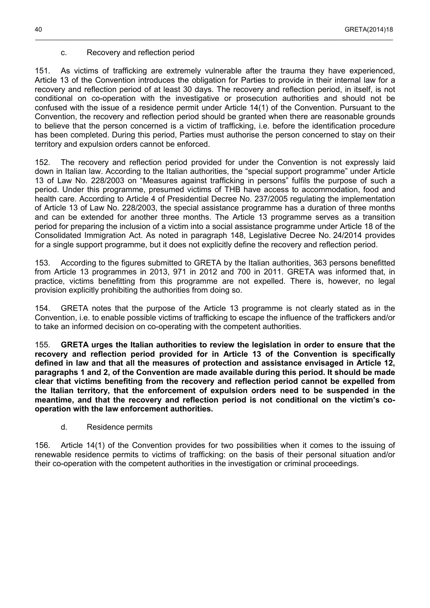### c. Recovery and reflection period

151. As victims of trafficking are extremely vulnerable after the trauma they have experienced, Article 13 of the Convention introduces the obligation for Parties to provide in their internal law for a recovery and reflection period of at least 30 days. The recovery and reflection period, in itself, is not conditional on co-operation with the investigative or prosecution authorities and should not be confused with the issue of a residence permit under Article 14(1) of the Convention. Pursuant to the Convention, the recovery and reflection period should be granted when there are reasonable grounds to believe that the person concerned is a victim of trafficking, i.e. before the identification procedure has been completed. During this period, Parties must authorise the person concerned to stay on their territory and expulsion orders cannot be enforced.

<span id="page-39-1"></span>\_\_\_\_\_\_\_\_\_\_\_\_\_\_\_\_\_\_\_\_\_\_\_\_\_\_\_\_\_\_\_\_\_\_\_\_\_\_\_\_\_\_\_\_\_\_\_\_\_\_\_\_\_\_\_\_\_\_\_\_\_\_\_\_\_\_\_\_\_\_\_\_\_\_\_\_\_\_\_\_\_\_\_\_\_\_\_\_\_\_\_\_\_\_\_\_\_\_\_

152. The recovery and reflection period provided for under the Convention is not expressly laid down in Italian law. According to the Italian authorities, the "special support programme" under Article 13 of Law No. 228/2003 on "Measures against trafficking in persons" fulfils the purpose of such a period. Under this programme, presumed victims of THB have access to accommodation, food and health care. According to Article 4 of Presidential Decree No. 237/2005 regulating the implementation of Article 13 of Law No. 228/2003, the special assistance programme has a duration of three months and can be extended for another three months. The Article 13 programme serves as a transition period for preparing the inclusion of a victim into a social assistance programme under Article 18 of the Consolidated Immigration Act. As noted in paragraph 148, Legislative Decree No. 24/2014 provides for a single support programme, but it does not explicitly define the recovery and reflection period.

153. According to the figures submitted to GRETA by the Italian authorities, 363 persons benefitted from Article 13 programmes in 2013, 971 in 2012 and 700 in 2011. GRETA was informed that, in practice, victims benefitting from this programme are not expelled. There is, however, no legal provision explicitly prohibiting the authorities from doing so.

154. GRETA notes that the purpose of the Article 13 programme is not clearly stated as in the Convention, i.e. to enable possible victims of trafficking to escape the influence of the traffickers and/or to take an informed decision on co-operating with the competent authorities.

155. **GRETA urges the Italian authorities to review the legislation in order to ensure that the recovery and reflection period provided for in Article 13 of the Convention is specifically defined in law and that all the measures of protection and assistance envisaged in Article 12, paragraphs 1 and 2, of the Convention are made available during this period. It should be made clear that victims benefiting from the recovery and reflection period cannot be expelled from the Italian territory, that the enforcement of expulsion orders need to be suspended in the meantime, and that the recovery and reflection period is not conditional on the victim's cooperation with the law enforcement authorities.**

d. Residence permits

<span id="page-39-0"></span>156. Article 14(1) of the Convention provides for two possibilities when it comes to the issuing of renewable residence permits to victims of trafficking: on the basis of their personal situation and/or their co-operation with the competent authorities in the investigation or criminal proceedings.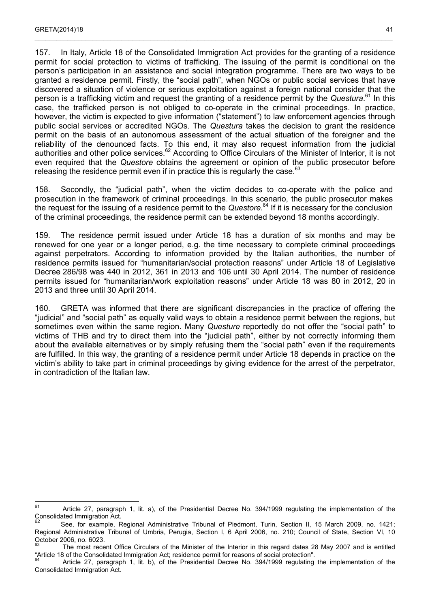157. In Italy, Article 18 of the Consolidated Immigration Act provides for the granting of a residence permit for social protection to victims of trafficking. The issuing of the permit is conditional on the person's participation in an assistance and social integration programme. There are two ways to be granted a residence permit. Firstly, the "social path", when NGOs or public social services that have discovered a situation of violence or serious exploitation against a foreign national consider that the person is a trafficking victim and request the granting of a residence permit by the *Questura*. [61](#page-40-0) In this case, the trafficked person is not obliged to co-operate in the criminal proceedings. In practice, however, the victim is expected to give information ("statement") to law enforcement agencies through public social services or accredited NGOs. The *Questura* takes the decision to grant the residence permit on the basis of an autonomous assessment of the actual situation of the foreigner and the reliability of the denounced facts. To this end, it may also request information from the judicial authorities and other police services.<sup>[62](#page-40-1)</sup> According to Office Circulars of the Minister of Interior, it is not even required that the *Questore* obtains the agreement or opinion of the public prosecutor before releasing the residence permit even if in practice this is regularly the case. $63$ 

 $\_$  , and the state of the state of the state of the state of the state of the state of the state of the state of the state of the state of the state of the state of the state of the state of the state of the state of the

158. Secondly, the "judicial path", when the victim decides to co-operate with the police and prosecution in the framework of criminal proceedings. In this scenario, the public prosecutor makes the request for the issuing of a residence permit to the *Questore.*[64](#page-40-3) If it is necessary for the conclusion of the criminal proceedings, the residence permit can be extended beyond 18 months accordingly.

159. The residence permit issued under Article 18 has a duration of six months and may be renewed for one year or a longer period, e.g. the time necessary to complete criminal proceedings against perpetrators. According to information provided by the Italian authorities, the number of residence permits issued for "humanitarian/social protection reasons" under Article 18 of Legislative Decree 286/98 was 440 in 2012, 361 in 2013 and 106 until 30 April 2014. The number of residence permits issued for "humanitarian/work exploitation reasons" under Article 18 was 80 in 2012, 20 in 2013 and three until 30 April 2014.

160. GRETA was informed that there are significant discrepancies in the practice of offering the "judicial" and "social path" as equally valid ways to obtain a residence permit between the regions, but sometimes even within the same region. Many *Questure* reportedly do not offer the "social path" to victims of THB and try to direct them into the "judicial path", either by not correctly informing them about the available alternatives or by simply refusing them the "social path" even if the requirements are fulfilled. In this way, the granting of a residence permit under Article 18 depends in practice on the victim's ability to take part in criminal proceedings by giving evidence for the arrest of the perpetrator, in contradiction of the Italian law.

<span id="page-40-0"></span> $61$ Article 27, paragraph 1, lit. a), of the Presidential Decree No. 394/1999 regulating the implementation of the Consolidated Immigration Act.

<span id="page-40-1"></span><sup>62</sup> See, for example, Regional Administrative Tribunal of Piedmont, Turin, Section II, 15 March 2009, no. 1421; Regional Administrative Tribunal of Umbria, Perugia, Section I, 6 April 2006, no. 210; Council of State, Section VI, 10 October 2006, no. 6023.

<span id="page-40-2"></span>The most recent Office Circulars of the Minister of the Interior in this regard dates 28 May 2007 and is entitled "Article 18 of the Consolidated Immigration Act; residence permit for reasons of social protection".

<span id="page-40-3"></span>Article 27, paragraph 1, lit. b), of the Presidential Decree No. 394/1999 regulating the implementation of the Consolidated Immigration Act.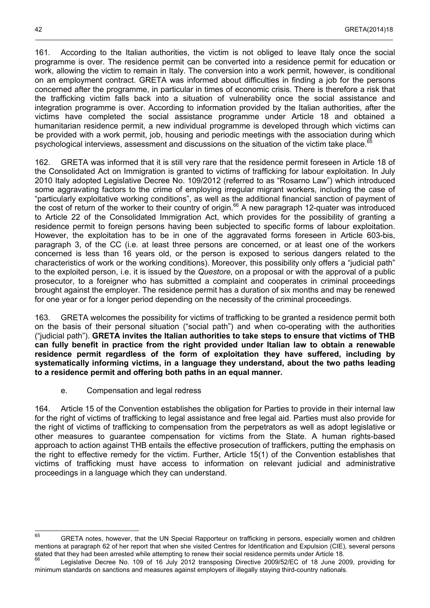161. According to the Italian authorities, the victim is not obliged to leave Italy once the social programme is over. The residence permit can be converted into a residence permit for education or work, allowing the victim to remain in Italy. The conversion into a work permit, however, is conditional on an employment contract. GRETA was informed about difficulties in finding a job for the persons concerned after the programme, in particular in times of economic crisis. There is therefore a risk that the trafficking victim falls back into a situation of vulnerability once the social assistance and integration programme is over. According to information provided by the Italian authorities, after the victims have completed the social assistance programme under Article 18 and obtained a humanitarian residence permit, a new individual programme is developed through which victims can be provided with a work permit, job, housing and periodic meetings with the association during which psychological interviews, assessment and discussions on the situation of the victim take place.<sup>[65](#page-41-1)</sup>

162. GRETA was informed that it is still very rare that the residence permit foreseen in Article 18 of the Consolidated Act on Immigration is granted to victims of trafficking for labour exploitation. In July 2010 Italy adopted Legislative Decree No. 109/2012 (referred to as "Rosarno Law") which introduced some aggravating factors to the crime of employing irregular migrant workers, including the case of "particularly exploitative working conditions", as well as the additional financial sanction of payment of the cost of return of the worker to their country of origin.<sup>[66](#page-41-2)</sup> A new paragraph 12-quater was introduced to Article 22 of the Consolidated Immigration Act, which provides for the possibility of granting a residence permit to foreign persons having been subjected to specific forms of labour exploitation. However, the exploitation has to be in one of the aggravated forms foreseen in Article 603-bis, paragraph 3, of the CC (i.e. at least three persons are concerned, or at least one of the workers concerned is less than 16 years old, or the person is exposed to serious dangers related to the characteristics of work or the working conditions). Moreover, this possibility only offers a "judicial path" to the exploited person, i.e. it is issued by the *Questore*, on a proposal or with the approval of a public prosecutor, to a foreigner who has submitted a complaint and cooperates in criminal proceedings brought against the employer. The residence permit has a duration of six months and may be renewed for one year or for a longer period depending on the necessity of the criminal proceedings.

163. GRETA welcomes the possibility for victims of trafficking to be granted a residence permit both on the basis of their personal situation ("social path") and when co-operating with the authorities ("judicial path"). **GRETA invites the Italian authorities to take steps to ensure that victims of THB can fully benefit in practice from the right provided under Italian law to obtain a renewable residence permit regardless of the form of exploitation they have suffered, including by systematically informing victims, in a language they understand, about the two paths leading to a residence permit and offering both paths in an equal manner.**

e. Compensation and legal redress

<span id="page-41-0"></span>164. Article 15 of the Convention establishes the obligation for Parties to provide in their internal law for the right of victims of trafficking to legal assistance and free legal aid. Parties must also provide for the right of victims of trafficking to compensation from the perpetrators as well as adopt legislative or other measures to guarantee compensation for victims from the State. A human rights-based approach to action against THB entails the effective prosecution of traffickers, putting the emphasis on the right to effective remedy for the victim. Further, Article 15(1) of the Convention establishes that victims of trafficking must have access to information on relevant judicial and administrative proceedings in a language which they can understand.

<span id="page-41-1"></span> $65$  GRETA notes, however, that the UN Special Rapporteur on trafficking in persons, especially women and children mentions at paragraph 62 of her report that when she visited Centres for Identification and Expulsion (CIE), several persons stated that they had been arrested while attempting to renew their social residence permits under Article 18.

<span id="page-41-2"></span>Legislative Decree No. 109 of 16 July 2012 transposing Directive 2009/52/EC of 18 June 2009, providing for minimum standards on sanctions and measures against employers of illegally staying third-country nationals.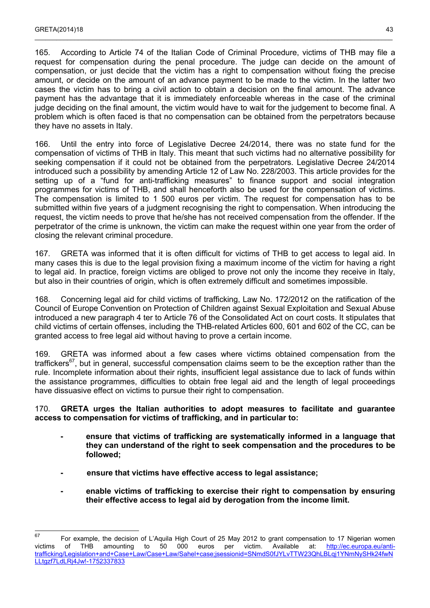165. According to Article 74 of the Italian Code of Criminal Procedure, victims of THB may file a request for compensation during the penal procedure. The judge can decide on the amount of compensation, or just decide that the victim has a right to compensation without fixing the precise amount, or decide on the amount of an advance payment to be made to the victim. In the latter two cases the victim has to bring a civil action to obtain a decision on the final amount. The advance payment has the advantage that it is immediately enforceable whereas in the case of the criminal judge deciding on the final amount, the victim would have to wait for the judgement to become final. A problem which is often faced is that no compensation can be obtained from the perpetrators because they have no assets in Italy.

 $\_$  , and the state of the state of the state of the state of the state of the state of the state of the state of the state of the state of the state of the state of the state of the state of the state of the state of the

166. Until the entry into force of Legislative Decree 24/2014, there was no state fund for the compensation of victims of THB in Italy. This meant that such victims had no alternative possibility for seeking compensation if it could not be obtained from the perpetrators. Legislative Decree 24/2014 introduced such a possibility by amending Article 12 of Law No. 228/2003. This article provides for the setting up of a "fund for anti-trafficking measures" to finance support and social integration programmes for victims of THB, and shall henceforth also be used for the compensation of victims. The compensation is limited to 1 500 euros per victim. The request for compensation has to be submitted within five years of a judgment recognising the right to compensation. When introducing the request, the victim needs to prove that he/she has not received compensation from the offender. If the perpetrator of the crime is unknown, the victim can make the request within one year from the order of closing the relevant criminal procedure.

167. GRETA was informed that it is often difficult for victims of THB to get access to legal aid. In many cases this is due to the legal provision fixing a maximum income of the victim for having a right to legal aid. In practice, foreign victims are obliged to prove not only the income they receive in Italy, but also in their countries of origin, which is often extremely difficult and sometimes impossible.

168. Concerning legal aid for child victims of trafficking, Law No. 172/2012 on the ratification of the Council of Europe Convention on Protection of Children against Sexual Exploitation and Sexual Abuse introduced a new paragraph 4 ter to Article 76 of the Consolidated Act on court costs. It stipulates that child victims of certain offenses, including the THB-related Articles 600, 601 and 602 of the CC, can be granted access to free legal aid without having to prove a certain income.

169. GRETA was informed about a few cases where victims obtained compensation from the traffickers<sup>[67](#page-42-0)</sup>, but in general, successful compensation claims seem to be the exception rather than the rule. Incomplete information about their rights, insufficient legal assistance due to lack of funds within the assistance programmes, difficulties to obtain free legal aid and the length of legal proceedings have dissuasive effect on victims to pursue their right to compensation.

### 170. **GRETA urges the Italian authorities to adopt measures to facilitate and guarantee access to compensation for victims of trafficking, and in particular to:**

- **- ensure that victims of trafficking are systematically informed in a language that they can understand of the right to seek compensation and the procedures to be followed;**
- **- ensure that victims have effective access to legal assistance;**
- **- enable victims of trafficking to exercise their right to compensation by ensuring their effective access to legal aid by derogation from the income limit.**

<span id="page-42-0"></span><sup>67</sup> <sup>67</sup> For example, the decision of L'Aquila High Court of 25 May 2012 to grant compensation to 17 Nigerian women victims of THB amounting to 50 000 euros per victim. Available at: [http://ec.europa.eu/anti](http://ec.europa.eu/anti-trafficking/Legislation+and+Case+Law/Case+Law/Sahel+case;jsessionid=SNmdS0fJYLvTTW23QhLBLqj1YNmNySHk24fwNLLtgzf7LdLRj4Jw!-1752337833)[trafficking/Legislation+and+Case+Law/Case+Law/Sahel+case;jsessionid=SNmdS0fJYLvTTW23QhLBLqj1YNmNySHk24fwN](http://ec.europa.eu/anti-trafficking/Legislation+and+Case+Law/Case+Law/Sahel+case;jsessionid=SNmdS0fJYLvTTW23QhLBLqj1YNmNySHk24fwNLLtgzf7LdLRj4Jw!-1752337833) [LLtgzf7LdLRj4Jw!-1752337833](http://ec.europa.eu/anti-trafficking/Legislation+and+Case+Law/Case+Law/Sahel+case;jsessionid=SNmdS0fJYLvTTW23QhLBLqj1YNmNySHk24fwNLLtgzf7LdLRj4Jw!-1752337833)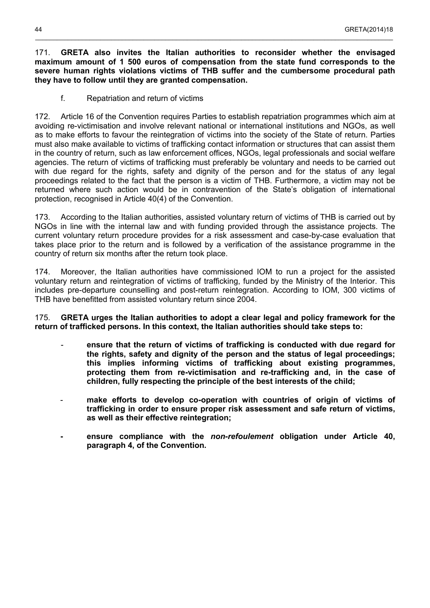### 171. **GRETA also invites the Italian authorities to reconsider whether the envisaged maximum amount of 1 500 euros of compensation from the state fund corresponds to the severe human rights violations victims of THB suffer and the cumbersome procedural path they have to follow until they are granted compensation.**

\_\_\_\_\_\_\_\_\_\_\_\_\_\_\_\_\_\_\_\_\_\_\_\_\_\_\_\_\_\_\_\_\_\_\_\_\_\_\_\_\_\_\_\_\_\_\_\_\_\_\_\_\_\_\_\_\_\_\_\_\_\_\_\_\_\_\_\_\_\_\_\_\_\_\_\_\_\_\_\_\_\_\_\_\_\_\_\_\_\_\_\_\_\_\_\_\_\_\_

f. Repatriation and return of victims

<span id="page-43-0"></span>172. Article 16 of the Convention requires Parties to establish repatriation programmes which aim at avoiding re-victimisation and involve relevant national or international institutions and NGOs, as well as to make efforts to favour the reintegration of victims into the society of the State of return. Parties must also make available to victims of trafficking contact information or structures that can assist them in the country of return, such as law enforcement offices, NGOs, legal professionals and social welfare agencies. The return of victims of trafficking must preferably be voluntary and needs to be carried out with due regard for the rights, safety and dignity of the person and for the status of any legal proceedings related to the fact that the person is a victim of THB. Furthermore, a victim may not be returned where such action would be in contravention of the State's obligation of international protection, recognised in Article 40(4) of the Convention.

173. According to the Italian authorities, assisted voluntary return of victims of THB is carried out by NGOs in line with the internal law and with funding provided through the assistance projects. The current voluntary return procedure provides for a risk assessment and case-by-case evaluation that takes place prior to the return and is followed by a verification of the assistance programme in the country of return six months after the return took place.

174. Moreover, the Italian authorities have commissioned IOM to run a project for the assisted voluntary return and reintegration of victims of trafficking, funded by the Ministry of the Interior. This includes pre-departure counselling and post-return reintegration. According to IOM, 300 victims of THB have benefitted from assisted voluntary return since 2004.

175. **GRETA urges the Italian authorities to adopt a clear legal and policy framework for the return of trafficked persons. In this context, the Italian authorities should take steps to:** 

- ensure that the return of victims of trafficking is conducted with due regard for **the rights, safety and dignity of the person and the status of legal proceedings; this implies informing victims of trafficking about existing programmes, protecting them from re-victimisation and re-trafficking and, in the case of children, fully respecting the principle of the best interests of the child;**
- **make efforts to develop co-operation with countries of origin of victims of trafficking in order to ensure proper risk assessment and safe return of victims, as well as their effective reintegration;**
- **- ensure compliance with the** *non-refoulement* **obligation under Article 40, paragraph 4, of the Convention.**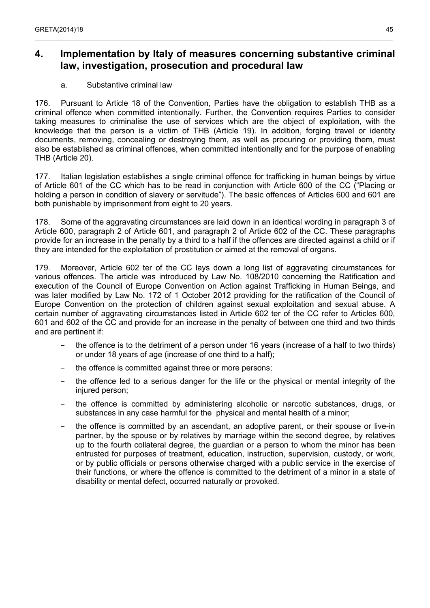## <span id="page-44-1"></span>**4. Implementation by Italy of measures concerning substantive criminal law, investigation, prosecution and procedural law**

 $\_$  , and the state of the state of the state of the state of the state of the state of the state of the state of the state of the state of the state of the state of the state of the state of the state of the state of the

### a. Substantive criminal law

<span id="page-44-0"></span>176. Pursuant to Article 18 of the Convention, Parties have the obligation to establish THB as a criminal offence when committed intentionally. Further, the Convention requires Parties to consider taking measures to criminalise the use of services which are the object of exploitation, with the knowledge that the person is a victim of THB (Article 19). In addition, forging travel or identity documents, removing, concealing or destroying them, as well as procuring or providing them, must also be established as criminal offences, when committed intentionally and for the purpose of enabling THB (Article 20).

177. Italian legislation establishes a single criminal offence for trafficking in human beings by virtue of Article 601 of the CC which has to be read in conjunction with Article 600 of the CC ("Placing or holding a person in condition of slavery or servitude"). The basic offences of Articles 600 and 601 are both punishable by imprisonment from eight to 20 years.

178. Some of the aggravating circumstances are laid down in an identical wording in paragraph 3 of Article 600, paragraph 2 of Article 601, and paragraph 2 of Article 602 of the CC. These paragraphs provide for an increase in the penalty by a third to a half if the offences are directed against a child or if they are intended for the exploitation of prostitution or aimed at the removal of organs.

179. Moreover, Article 602 ter of the CC lays down a long list of aggravating circumstances for various offences. The article was introduced by Law No. 108/2010 concerning the Ratification and execution of the Council of Europe Convention on Action against Trafficking in Human Beings, and was later modified by Law No. 172 of 1 October 2012 providing for the ratification of the Council of Europe Convention on the protection of children against sexual exploitation and sexual abuse. A certain number of aggravating circumstances listed in Article 602 ter of the CC refer to Articles 600, 601 and 602 of the CC and provide for an increase in the penalty of between one third and two thirds and are pertinent if:

- the offence is to the detriment of a person under 16 years (increase of a half to two thirds) or under 18 years of age (increase of one third to a half);
- the offence is committed against three or more persons:
- the offence led to a serious danger for the life or the physical or mental integrity of the injured person;
- the offence is committed by administering alcoholic or narcotic substances, drugs, or substances in any case harmful for the physical and mental health of a minor;
- the offence is committed by an ascendant, an adoptive parent, or their spouse or live-in partner, by the spouse or by relatives by marriage within the second degree, by relatives up to the fourth collateral degree, the guardian or a person to whom the minor has been entrusted for purposes of treatment, education, instruction, supervision, custody, or work, or by public officials or persons otherwise charged with a public service in the exercise of their functions, or where the offence is committed to the detriment of a minor in a state of disability or mental defect, occurred naturally or provoked.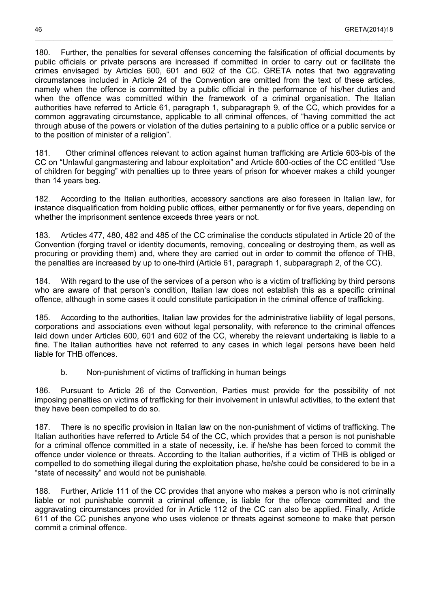180. Further, the penalties for several offenses concerning the falsification of official documents by public officials or private persons are increased if committed in order to carry out or facilitate the crimes envisaged by Articles 600, 601 and 602 of the CC. GRETA notes that two aggravating circumstances included in Article 24 of the Convention are omitted from the text of these articles, namely when the offence is committed by a public official in the performance of his/her duties and when the offence was committed within the framework of a criminal organisation. The Italian authorities have referred to Article 61, paragraph 1, subparagraph 9, of the CC, which provides for a common aggravating circumstance, applicable to all criminal offences, of "having committed the act through abuse of the powers or violation of the duties pertaining to a public office or a public service or to the position of minister of a religion".

\_\_\_\_\_\_\_\_\_\_\_\_\_\_\_\_\_\_\_\_\_\_\_\_\_\_\_\_\_\_\_\_\_\_\_\_\_\_\_\_\_\_\_\_\_\_\_\_\_\_\_\_\_\_\_\_\_\_\_\_\_\_\_\_\_\_\_\_\_\_\_\_\_\_\_\_\_\_\_\_\_\_\_\_\_\_\_\_\_\_\_\_\_\_\_\_\_\_\_

181. Other criminal offences relevant to action against human trafficking are Article 603-bis of the CC on "Unlawful gangmastering and labour exploitation" and Article 600-octies of the CC entitled "Use of children for begging" with penalties up to three years of prison for whoever makes a child younger than 14 years beg.

182. According to the Italian authorities, accessory sanctions are also foreseen in Italian law, for instance disqualification from holding public offices, either permanently or for five years, depending on whether the imprisonment sentence exceeds three years or not.

183. Articles 477, 480, 482 and 485 of the CC criminalise the conducts stipulated in Article 20 of the Convention (forging travel or identity documents, removing, concealing or destroying them, as well as procuring or providing them) and, where they are carried out in order to commit the offence of THB, the penalties are increased by up to one-third (Article 61, paragraph 1, subparagraph 2, of the CC).

184. With regard to the use of the services of a person who is a victim of trafficking by third persons who are aware of that person's condition, Italian law does not establish this as a specific criminal offence, although in some cases it could constitute participation in the criminal offence of trafficking.

185. According to the authorities, Italian law provides for the administrative liability of legal persons, corporations and associations even without legal personality, with reference to the criminal offences laid down under Articles 600, 601 and 602 of the CC, whereby the relevant undertaking is liable to a fine. The Italian authorities have not referred to any cases in which legal persons have been held liable for THB offences.

b. Non-punishment of victims of trafficking in human beings

<span id="page-45-0"></span>186. Pursuant to Article 26 of the Convention, Parties must provide for the possibility of not imposing penalties on victims of trafficking for their involvement in unlawful activities, to the extent that they have been compelled to do so.

187. There is no specific provision in Italian law on the non-punishment of victims of trafficking. The Italian authorities have referred to Article 54 of the CC, which provides that a person is not punishable for a criminal offence committed in a state of necessity, i.e. if he/she has been forced to commit the offence under violence or threats. According to the Italian authorities, if a victim of THB is obliged or compelled to do something illegal during the exploitation phase, he/she could be considered to be in a "state of necessity" and would not be punishable.

188. Further, Article 111 of the CC provides that anyone who makes a person who is not criminally liable or not punishable commit a criminal offence, is liable for the offence committed and the aggravating circumstances provided for in Article 112 of the CC can also be applied. Finally, Article 611 of the CC punishes anyone who uses violence or threats against someone to make that person commit a criminal offence.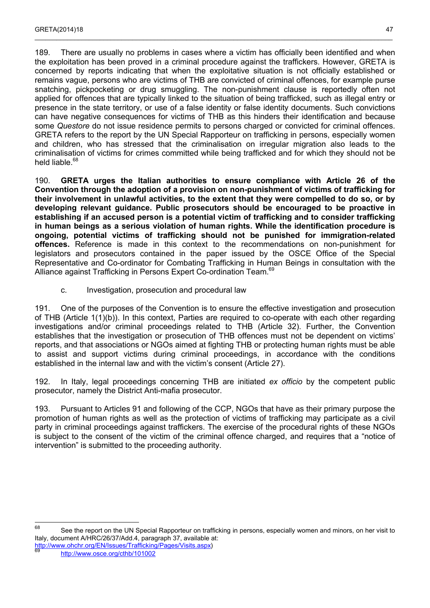189. There are usually no problems in cases where a victim has officially been identified and when the exploitation has been proved in a criminal procedure against the traffickers. However, GRETA is concerned by reports indicating that when the exploitative situation is not officially established or remains vague, persons who are victims of THB are convicted of criminal offences, for example purse snatching, pickpocketing or drug smuggling. The non-punishment clause is reportedly often not applied for offences that are typically linked to the situation of being trafficked, such as illegal entry or presence in the state territory, or use of a false identity or false identity documents. Such convictions can have negative consequences for victims of THB as this hinders their identification and because some *Questore* do not issue residence permits to persons charged or convicted for criminal offences. GRETA refers to the report by the UN Special Rapporteur on trafficking in persons, especially women and children, who has stressed that the criminalisation on irregular migration also leads to the criminalisation of victims for crimes committed while being trafficked and for which they should not be held liable.<sup>[68](#page-46-1)</sup>

 $\_$  , and the state of the state of the state of the state of the state of the state of the state of the state of the state of the state of the state of the state of the state of the state of the state of the state of the

190. **GRETA urges the Italian authorities to ensure compliance with Article 26 of the Convention through the adoption of a provision on non-punishment of victims of trafficking for their involvement in unlawful activities, to the extent that they were compelled to do so, or by developing relevant guidance. Public prosecutors should be encouraged to be proactive in establishing if an accused person is a potential victim of trafficking and to consider trafficking in human beings as a serious violation of human rights. While the identification procedure is ongoing, potential victims of trafficking should not be punished for immigration-related offences.** Reference is made in this context to the recommendations on non-punishment for legislators and prosecutors contained in the paper issued by the OSCE Office of the Special Representative and Co-ordinator for Combating Trafficking in Human Beings in consultation with the Alliance against Trafficking in Persons Expert Co-ordination Team.<sup>[69](#page-46-2)</sup>

c. Investigation, prosecution and procedural law

<span id="page-46-0"></span>191. One of the purposes of the Convention is to ensure the effective investigation and prosecution of THB (Article 1(1)(b)). In this context, Parties are required to co-operate with each other regarding investigations and/or criminal proceedings related to THB (Article 32). Further, the Convention establishes that the investigation or prosecution of THB offences must not be dependent on victims' reports, and that associations or NGOs aimed at fighting THB or protecting human rights must be able to assist and support victims during criminal proceedings, in accordance with the conditions established in the internal law and with the victim's consent (Article 27).

192. In Italy, legal proceedings concerning THB are initiated *ex officio* by the competent public prosecutor, namely the District Anti-mafia prosecutor.

193. Pursuant to Articles 91 and following of the CCP, NGOs that have as their primary purpose the promotion of human rights as well as the protection of victims of trafficking may participate as a civil party in criminal proceedings against traffickers. The exercise of the procedural rights of these NGOs is subject to the consent of the victim of the criminal offence charged, and requires that a "notice of intervention" is submitted to the proceeding authority.

<span id="page-46-1"></span>68 See the report on the UN Special Rapporteur on trafficking in persons, especially women and minors, on her visit to Italy, document A/HRC/26/37/Add.4, paragraph 37, available at:

<span id="page-46-2"></span>[http://www.ohchr.org/EN/Issues/Trafficking/Pages/Visits.aspx\)](http://www.ohchr.org/EN/Issues/Trafficking/Pages/Visits.aspx) <sup>69</sup> <http://www.osce.org/cthb/101002>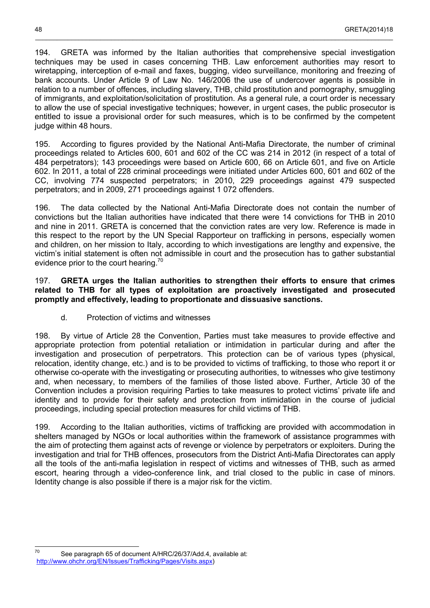194. GRETA was informed by the Italian authorities that comprehensive special investigation techniques may be used in cases concerning THB. Law enforcement authorities may resort to wiretapping, interception of e-mail and faxes, bugging, video surveillance, monitoring and freezing of bank accounts. Under Article 9 of Law No. 146/2006 the use of undercover agents is possible in relation to a number of offences, including slavery, THB, child prostitution and pornography, smuggling of immigrants, and exploitation/solicitation of prostitution. As a general rule, a court order is necessary to allow the use of special investigative techniques; however, in urgent cases, the public prosecutor is entitled to issue a provisional order for such measures, which is to be confirmed by the competent judge within 48 hours.

195. According to figures provided by the National Anti-Mafia Directorate, the number of criminal proceedings related to Articles 600, 601 and 602 of the CC was 214 in 2012 (in respect of a total of 484 perpetrators); 143 proceedings were based on Article 600, 66 on Article 601, and five on Article 602. In 2011, a total of 228 criminal proceedings were initiated under Articles 600, 601 and 602 of the CC, involving 774 suspected perpetrators; in 2010, 229 proceedings against 479 suspected perpetrators; and in 2009, 271 proceedings against 1 072 offenders.

196. The data collected by the National Anti-Mafia Directorate does not contain the number of convictions but the Italian authorities have indicated that there were 14 convictions for THB in 2010 and nine in 2011. GRETA is concerned that the conviction rates are very low. Reference is made in this respect to the report by the UN Special Rapporteur on trafficking in persons, especially women and children, on her mission to Italy, according to which investigations are lengthy and expensive, the victim's initial statement is often not admissible in court and the prosecution has to gather substantial evidence prior to the court hearing.<sup>[70](#page-47-1)</sup>

### 197. **GRETA urges the Italian authorities to strengthen their efforts to ensure that crimes related to THB for all types of exploitation are proactively investigated and prosecuted promptly and effectively, leading to proportionate and dissuasive sanctions.**

d. Protection of victims and witnesses

<span id="page-47-0"></span>198. By virtue of Article 28 the Convention, Parties must take measures to provide effective and appropriate protection from potential retaliation or intimidation in particular during and after the investigation and prosecution of perpetrators. This protection can be of various types (physical, relocation, identity change, etc.) and is to be provided to victims of trafficking, to those who report it or otherwise co-operate with the investigating or prosecuting authorities, to witnesses who give testimony and, when necessary, to members of the families of those listed above. Further, Article 30 of the Convention includes a provision requiring Parties to take measures to protect victims' private life and identity and to provide for their safety and protection from intimidation in the course of judicial proceedings, including special protection measures for child victims of THB.

199. According to the Italian authorities, victims of trafficking are provided with accommodation in shelters managed by NGOs or local authorities within the framework of assistance programmes with the aim of protecting them against acts of revenge or violence by perpetrators or exploiters. During the investigation and trial for THB offences, prosecutors from the District Anti-Mafia Directorates can apply all the tools of the anti-mafia legislation in respect of victims and witnesses of THB, such as armed escort, hearing through a video-conference link, and trial closed to the public in case of minors. Identity change is also possible if there is a major risk for the victim.

<span id="page-47-1"></span> $70$ See paragraph 65 of document A/HRC/26/37/Add.4, available at: <http://www.ohchr.org/EN/Issues/Trafficking/Pages/Visits.aspx>)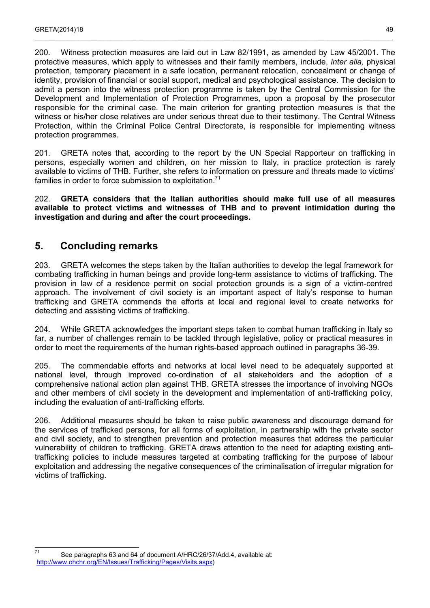200. Witness protection measures are laid out in Law 82/1991, as amended by Law 45/2001. The protective measures, which apply to witnesses and their family members, include, *inter alia,* physical protection, temporary placement in a safe location, permanent relocation, concealment or change of identity, provision of financial or social support, medical and psychological assistance. The decision to admit a person into the witness protection programme is taken by the Central Commission for the Development and Implementation of Protection Programmes, upon a proposal by the prosecutor responsible for the criminal case. The main criterion for granting protection measures is that the witness or his/her close relatives are under serious threat due to their testimony. The Central Witness Protection, within the Criminal Police Central Directorate, is responsible for implementing witness protection programmes.

 $\_$  , and the state of the state of the state of the state of the state of the state of the state of the state of the state of the state of the state of the state of the state of the state of the state of the state of the

201. GRETA notes that, according to the report by the UN Special Rapporteur on trafficking in persons, especially women and children, on her mission to Italy, in practice protection is rarely available to victims of THB. Further, she refers to information on pressure and threats made to victims' families in order to force submission to exploitation.<sup>[71](#page-48-1)</sup>

202. **GRETA considers that the Italian authorities should make full use of all measures available to protect victims and witnesses of THB and to prevent intimidation during the investigation and during and after the court proceedings.**

## <span id="page-48-0"></span>**5. Concluding remarks**

203. GRETA welcomes the steps taken by the Italian authorities to develop the legal framework for combating trafficking in human beings and provide long-term assistance to victims of trafficking. The provision in law of a residence permit on social protection grounds is a sign of a victim-centred approach. The involvement of civil society is an important aspect of Italy's response to human trafficking and GRETA commends the efforts at local and regional level to create networks for detecting and assisting victims of trafficking.

204. While GRETA acknowledges the important steps taken to combat human trafficking in Italy so far, a number of challenges remain to be tackled through legislative, policy or practical measures in order to meet the requirements of the human rights-based approach outlined in paragraphs 36-39.

205. The commendable efforts and networks at local level need to be adequately supported at national level, through improved co-ordination of all stakeholders and the adoption of a comprehensive national action plan against THB. GRETA stresses the importance of involving NGOs and other members of civil society in the development and implementation of anti-trafficking policy, including the evaluation of anti-trafficking efforts.

206. Additional measures should be taken to raise public awareness and discourage demand for the services of trafficked persons, for all forms of exploitation, in partnership with the private sector and civil society, and to strengthen prevention and protection measures that address the particular vulnerability of children to trafficking. GRETA draws attention to the need for adapting existing antitrafficking policies to include measures targeted at combating trafficking for the purpose of labour exploitation and addressing the negative consequences of the criminalisation of irregular migration for victims of trafficking.

<span id="page-48-1"></span> $71$ See paragraphs 63 and 64 of document A/HRC/26/37/Add.4, available at: <http://www.ohchr.org/EN/Issues/Trafficking/Pages/Visits.aspx>)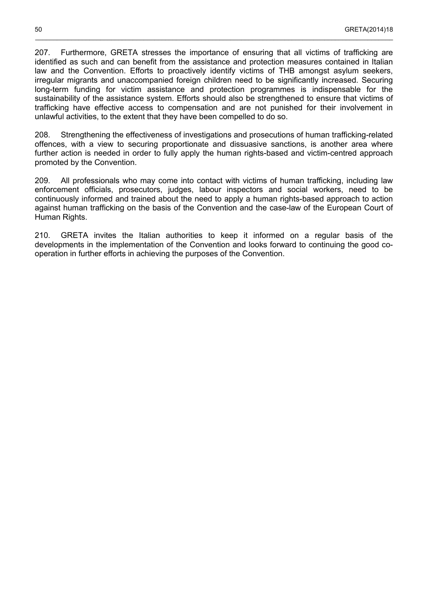207. Furthermore, GRETA stresses the importance of ensuring that all victims of trafficking are identified as such and can benefit from the assistance and protection measures contained in Italian law and the Convention. Efforts to proactively identify victims of THB amongst asylum seekers, irregular migrants and unaccompanied foreign children need to be significantly increased. Securing long-term funding for victim assistance and protection programmes is indispensable for the sustainability of the assistance system. Efforts should also be strengthened to ensure that victims of trafficking have effective access to compensation and are not punished for their involvement in unlawful activities, to the extent that they have been compelled to do so.

\_\_\_\_\_\_\_\_\_\_\_\_\_\_\_\_\_\_\_\_\_\_\_\_\_\_\_\_\_\_\_\_\_\_\_\_\_\_\_\_\_\_\_\_\_\_\_\_\_\_\_\_\_\_\_\_\_\_\_\_\_\_\_\_\_\_\_\_\_\_\_\_\_\_\_\_\_\_\_\_\_\_\_\_\_\_\_\_\_\_\_\_\_\_\_\_\_\_\_

208. Strengthening the effectiveness of investigations and prosecutions of human trafficking-related offences, with a view to securing proportionate and dissuasive sanctions, is another area where further action is needed in order to fully apply the human rights-based and victim-centred approach promoted by the Convention.

209. All professionals who may come into contact with victims of human trafficking, including law enforcement officials, prosecutors, judges, labour inspectors and social workers, need to be continuously informed and trained about the need to apply a human rights-based approach to action against human trafficking on the basis of the Convention and the case-law of the European Court of Human Rights.

210. GRETA invites the Italian authorities to keep it informed on a regular basis of the developments in the implementation of the Convention and looks forward to continuing the good cooperation in further efforts in achieving the purposes of the Convention.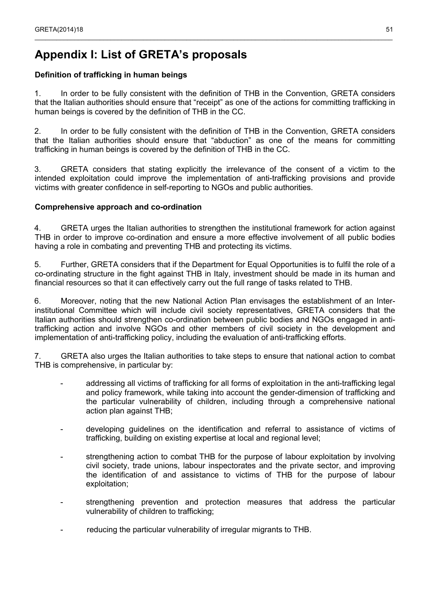## <span id="page-50-0"></span>**Appendix I: List of GRETA's proposals**

### **Definition of trafficking in human beings**

1. In order to be fully consistent with the definition of THB in the Convention, GRETA considers that the Italian authorities should ensure that "receipt" as one of the actions for committing trafficking in human beings is covered by the definition of THB in the CC.

 $\_$  , and the state of the state of the state of the state of the state of the state of the state of the state of the state of the state of the state of the state of the state of the state of the state of the state of the

2. In order to be fully consistent with the definition of THB in the Convention, GRETA considers that the Italian authorities should ensure that "abduction" as one of the means for committing trafficking in human beings is covered by the definition of THB in the CC.

3. GRETA considers that stating explicitly the irrelevance of the consent of a victim to the intended exploitation could improve the implementation of anti-trafficking provisions and provide victims with greater confidence in self-reporting to NGOs and public authorities.

### **Comprehensive approach and co-ordination**

4. GRETA urges the Italian authorities to strengthen the institutional framework for action against THB in order to improve co-ordination and ensure a more effective involvement of all public bodies having a role in combating and preventing THB and protecting its victims.

5. Further, GRETA considers that if the Department for Equal Opportunities is to fulfil the role of a co-ordinating structure in the fight against THB in Italy, investment should be made in its human and financial resources so that it can effectively carry out the full range of tasks related to THB.

6. Moreover, noting that the new National Action Plan envisages the establishment of an Interinstitutional Committee which will include civil society representatives, GRETA considers that the Italian authorities should strengthen co-ordination between public bodies and NGOs engaged in antitrafficking action and involve NGOs and other members of civil society in the development and implementation of anti-trafficking policy, including the evaluation of anti-trafficking efforts.

7. GRETA also urges the Italian authorities to take steps to ensure that national action to combat THB is comprehensive, in particular by:

- addressing all victims of trafficking for all forms of exploitation in the anti-trafficking legal and policy framework, while taking into account the gender-dimension of trafficking and the particular vulnerability of children, including through a comprehensive national action plan against THB;
- developing guidelines on the identification and referral to assistance of victims of trafficking, building on existing expertise at local and regional level;
- strengthening action to combat THB for the purpose of labour exploitation by involving civil society, trade unions, labour inspectorates and the private sector, and improving the identification of and assistance to victims of THB for the purpose of labour exploitation;
- strengthening prevention and protection measures that address the particular vulnerability of children to trafficking;
- reducing the particular vulnerability of irregular migrants to THB.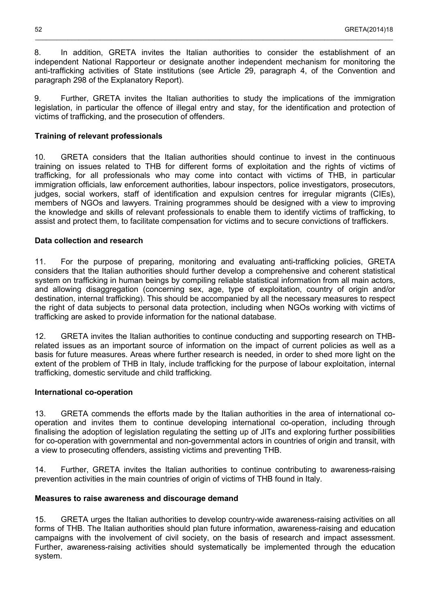8. In addition, GRETA invites the Italian authorities to consider the establishment of an independent National Rapporteur or designate another independent mechanism for monitoring the anti-trafficking activities of State institutions (see Article 29, paragraph 4, of the Convention and paragraph 298 of the Explanatory Report).

\_\_\_\_\_\_\_\_\_\_\_\_\_\_\_\_\_\_\_\_\_\_\_\_\_\_\_\_\_\_\_\_\_\_\_\_\_\_\_\_\_\_\_\_\_\_\_\_\_\_\_\_\_\_\_\_\_\_\_\_\_\_\_\_\_\_\_\_\_\_\_\_\_\_\_\_\_\_\_\_\_\_\_\_\_\_\_\_\_\_\_\_\_\_\_\_\_\_\_

9. Further, GRETA invites the Italian authorities to study the implications of the immigration legislation, in particular the offence of illegal entry and stay, for the identification and protection of victims of trafficking, and the prosecution of offenders.

### **Training of relevant professionals**

10. GRETA considers that the Italian authorities should continue to invest in the continuous training on issues related to THB for different forms of exploitation and the rights of victims of trafficking, for all professionals who may come into contact with victims of THB, in particular immigration officials, law enforcement authorities, labour inspectors, police investigators, prosecutors, judges, social workers, staff of identification and expulsion centres for irregular migrants (CIEs), members of NGOs and lawyers. Training programmes should be designed with a view to improving the knowledge and skills of relevant professionals to enable them to identify victims of trafficking, to assist and protect them, to facilitate compensation for victims and to secure convictions of traffickers.

### **Data collection and research**

11. For the purpose of preparing, monitoring and evaluating anti-trafficking policies, GRETA considers that the Italian authorities should further develop a comprehensive and coherent statistical system on trafficking in human beings by compiling reliable statistical information from all main actors, and allowing disaggregation (concerning sex, age, type of exploitation, country of origin and/or destination, internal trafficking). This should be accompanied by all the necessary measures to respect the right of data subjects to personal data protection, including when NGOs working with victims of trafficking are asked to provide information for the national database.

12. GRETA invites the Italian authorities to continue conducting and supporting research on THBrelated issues as an important source of information on the impact of current policies as well as a basis for future measures. Areas where further research is needed, in order to shed more light on the extent of the problem of THB in Italy, include trafficking for the purpose of labour exploitation, internal trafficking, domestic servitude and child trafficking.

### **International co-operation**

13. GRETA commends the efforts made by the Italian authorities in the area of international cooperation and invites them to continue developing international co-operation, including through finalising the adoption of legislation regulating the setting up of JITs and exploring further possibilities for co-operation with governmental and non-governmental actors in countries of origin and transit, with a view to prosecuting offenders, assisting victims and preventing THB.

14. Further, GRETA invites the Italian authorities to continue contributing to awareness-raising prevention activities in the main countries of origin of victims of THB found in Italy.

### **Measures to raise awareness and discourage demand**

15. GRETA urges the Italian authorities to develop country-wide awareness-raising activities on all forms of THB. The Italian authorities should plan future information, awareness-raising and education campaigns with the involvement of civil society, on the basis of research and impact assessment. Further, awareness-raising activities should systematically be implemented through the education system.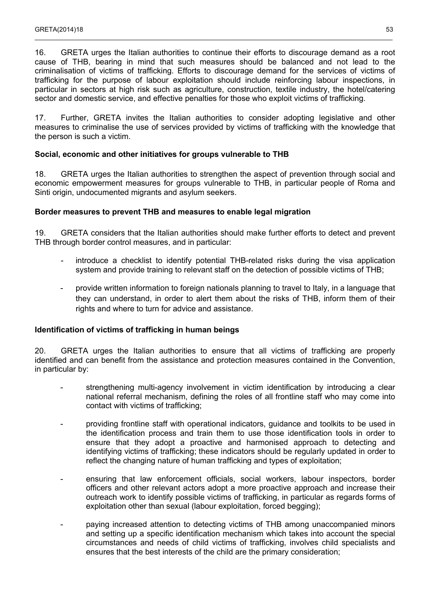16. GRETA urges the Italian authorities to continue their efforts to discourage demand as a root cause of THB, bearing in mind that such measures should be balanced and not lead to the criminalisation of victims of trafficking. Efforts to discourage demand for the services of victims of trafficking for the purpose of labour exploitation should include reinforcing labour inspections, in particular in sectors at high risk such as agriculture, construction, textile industry, the hotel/catering sector and domestic service, and effective penalties for those who exploit victims of trafficking.

 $\_$  , and the state of the state of the state of the state of the state of the state of the state of the state of the state of the state of the state of the state of the state of the state of the state of the state of the

17. Further, GRETA invites the Italian authorities to consider adopting legislative and other measures to criminalise the use of services provided by victims of trafficking with the knowledge that the person is such a victim.

### **Social, economic and other initiatives for groups vulnerable to THB**

18. GRETA urges the Italian authorities to strengthen the aspect of prevention through social and economic empowerment measures for groups vulnerable to THB, in particular people of Roma and Sinti origin, undocumented migrants and asylum seekers.

### **Border measures to prevent THB and measures to enable legal migration**

19. GRETA considers that the Italian authorities should make further efforts to detect and prevent THB through border control measures, and in particular:

- introduce a checklist to identify potential THB-related risks during the visa application system and provide training to relevant staff on the detection of possible victims of THB;
- provide written information to foreign nationals planning to travel to Italy, in a language that they can understand, in order to alert them about the risks of THB, inform them of their rights and where to turn for advice and assistance.

#### **Identification of victims of trafficking in human beings**

20. GRETA urges the Italian authorities to ensure that all victims of trafficking are properly identified and can benefit from the assistance and protection measures contained in the Convention, in particular by:

- strengthening multi-agency involvement in victim identification by introducing a clear national referral mechanism, defining the roles of all frontline staff who may come into contact with victims of trafficking;
- providing frontline staff with operational indicators, guidance and toolkits to be used in the identification process and train them to use those identification tools in order to ensure that they adopt a proactive and harmonised approach to detecting and identifying victims of trafficking; these indicators should be regularly updated in order to reflect the changing nature of human trafficking and types of exploitation;
- ensuring that law enforcement officials, social workers, labour inspectors, border officers and other relevant actors adopt a more proactive approach and increase their outreach work to identify possible victims of trafficking, in particular as regards forms of exploitation other than sexual (labour exploitation, forced begging);
- paying increased attention to detecting victims of THB among unaccompanied minors and setting up a specific identification mechanism which takes into account the special circumstances and needs of child victims of trafficking, involves child specialists and ensures that the best interests of the child are the primary consideration;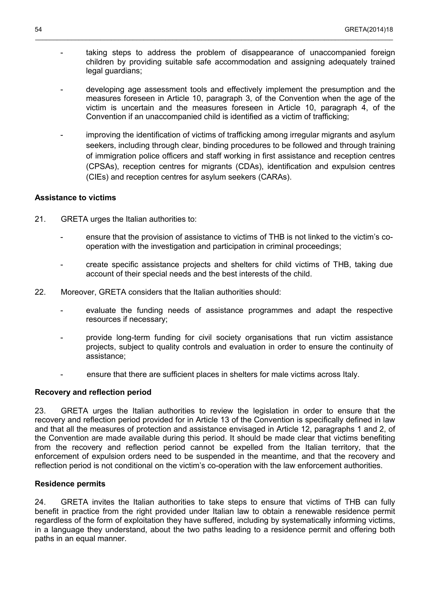taking steps to address the problem of disappearance of unaccompanied foreign children by providing suitable safe accommodation and assigning adequately trained legal guardians;

\_\_\_\_\_\_\_\_\_\_\_\_\_\_\_\_\_\_\_\_\_\_\_\_\_\_\_\_\_\_\_\_\_\_\_\_\_\_\_\_\_\_\_\_\_\_\_\_\_\_\_\_\_\_\_\_\_\_\_\_\_\_\_\_\_\_\_\_\_\_\_\_\_\_\_\_\_\_\_\_\_\_\_\_\_\_\_\_\_\_\_\_\_\_\_\_\_\_\_

- developing age assessment tools and effectively implement the presumption and the measures foreseen in Article 10, paragraph 3, of the Convention when the age of the victim is uncertain and the measures foreseen in Article 10, paragraph 4, of the Convention if an unaccompanied child is identified as a victim of trafficking;
- improving the identification of victims of trafficking among irregular migrants and asylum seekers, including through clear, binding procedures to be followed and through training of immigration police officers and staff working in first assistance and reception centres (CPSAs), reception centres for migrants (CDAs), identification and expulsion centres (CIEs) and reception centres for asylum seekers (CARAs).

### **Assistance to victims**

- 21. GRETA urges the Italian authorities to:
	- ensure that the provision of assistance to victims of THB is not linked to the victim's cooperation with the investigation and participation in criminal proceedings;
	- create specific assistance projects and shelters for child victims of THB, taking due account of their special needs and the best interests of the child.
- 22. Moreover, GRETA considers that the Italian authorities should:
	- evaluate the funding needs of assistance programmes and adapt the respective resources if necessary;
	- provide long-term funding for civil society organisations that run victim assistance projects, subject to quality controls and evaluation in order to ensure the continuity of assistance;
	- ensure that there are sufficient places in shelters for male victims across Italy.

#### **Recovery and reflection period**

23. GRETA urges the Italian authorities to review the legislation in order to ensure that the recovery and reflection period provided for in Article 13 of the Convention is specifically defined in law and that all the measures of protection and assistance envisaged in Article 12, paragraphs 1 and 2, of the Convention are made available during this period. It should be made clear that victims benefiting from the recovery and reflection period cannot be expelled from the Italian territory, that the enforcement of expulsion orders need to be suspended in the meantime, and that the recovery and reflection period is not conditional on the victim's co-operation with the law enforcement authorities.

#### **Residence permits**

24. GRETA invites the Italian authorities to take steps to ensure that victims of THB can fully benefit in practice from the right provided under Italian law to obtain a renewable residence permit regardless of the form of exploitation they have suffered, including by systematically informing victims, in a language they understand, about the two paths leading to a residence permit and offering both paths in an equal manner.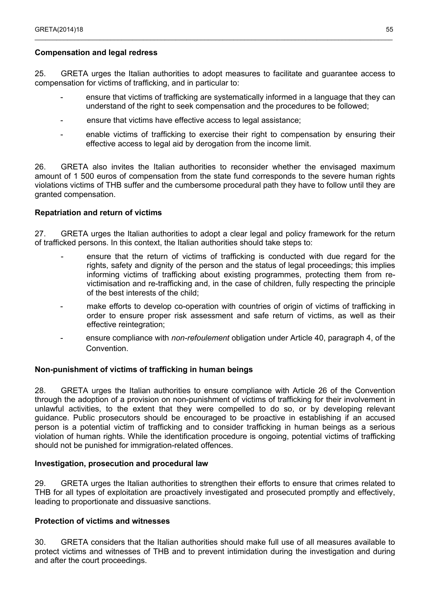### **Compensation and legal redress**

25. GRETA urges the Italian authorities to adopt measures to facilitate and guarantee access to compensation for victims of trafficking, and in particular to:

 $\_$  , and the state of the state of the state of the state of the state of the state of the state of the state of the state of the state of the state of the state of the state of the state of the state of the state of the

- ensure that victims of trafficking are systematically informed in a language that they can understand of the right to seek compensation and the procedures to be followed;
- ensure that victims have effective access to legal assistance;
- enable victims of trafficking to exercise their right to compensation by ensuring their effective access to legal aid by derogation from the income limit.

26. GRETA also invites the Italian authorities to reconsider whether the envisaged maximum amount of 1 500 euros of compensation from the state fund corresponds to the severe human rights violations victims of THB suffer and the cumbersome procedural path they have to follow until they are granted compensation.

### **Repatriation and return of victims**

27. GRETA urges the Italian authorities to adopt a clear legal and policy framework for the return of trafficked persons. In this context, the Italian authorities should take steps to:

- ensure that the return of victims of trafficking is conducted with due regard for the rights, safety and dignity of the person and the status of legal proceedings; this implies informing victims of trafficking about existing programmes, protecting them from revictimisation and re-trafficking and, in the case of children, fully respecting the principle of the best interests of the child;
- make efforts to develop co-operation with countries of origin of victims of trafficking in order to ensure proper risk assessment and safe return of victims, as well as their effective reintegration;
- ensure compliance with *non-refoulement* obligation under Article 40, paragraph 4, of the Convention.

### **Non-punishment of victims of trafficking in human beings**

28. GRETA urges the Italian authorities to ensure compliance with Article 26 of the Convention through the adoption of a provision on non-punishment of victims of trafficking for their involvement in unlawful activities, to the extent that they were compelled to do so, or by developing relevant guidance. Public prosecutors should be encouraged to be proactive in establishing if an accused person is a potential victim of trafficking and to consider trafficking in human beings as a serious violation of human rights. While the identification procedure is ongoing, potential victims of trafficking should not be punished for immigration-related offences.

#### **Investigation, prosecution and procedural law**

29. GRETA urges the Italian authorities to strengthen their efforts to ensure that crimes related to THB for all types of exploitation are proactively investigated and prosecuted promptly and effectively, leading to proportionate and dissuasive sanctions.

#### **Protection of victims and witnesses**

30. GRETA considers that the Italian authorities should make full use of all measures available to protect victims and witnesses of THB and to prevent intimidation during the investigation and during and after the court proceedings.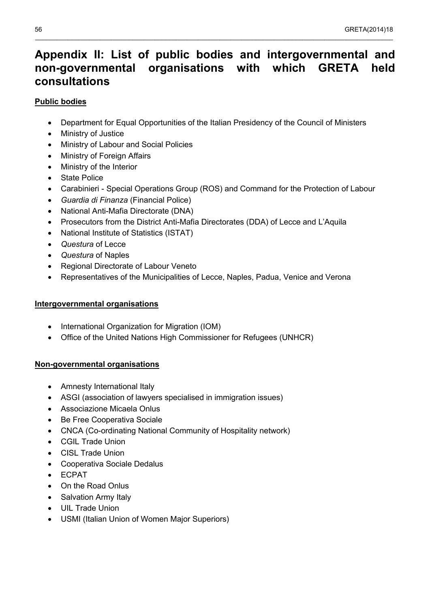## <span id="page-55-0"></span>**Appendix II: List of public bodies and intergovernmental and non-governmental organisations with which GRETA held consultations**

\_\_\_\_\_\_\_\_\_\_\_\_\_\_\_\_\_\_\_\_\_\_\_\_\_\_\_\_\_\_\_\_\_\_\_\_\_\_\_\_\_\_\_\_\_\_\_\_\_\_\_\_\_\_\_\_\_\_\_\_\_\_\_\_\_\_\_\_\_\_\_\_\_\_\_\_\_\_\_\_\_\_\_\_\_\_\_\_\_\_\_\_\_\_\_\_\_\_\_

### **Public bodies**

- Department for Equal Opportunities of the Italian Presidency of the Council of Ministers
- Ministry of Justice
- Ministry of Labour and Social Policies
- Ministry of Foreign Affairs
- Ministry of the Interior
- State Police
- Carabinieri Special Operations Group (ROS) and Command for the Protection of Labour
- *Guardia di Finanza* (Financial Police)
- National Anti-Mafia Directorate (DNA)
- Prosecutors from the District Anti-Mafia Directorates (DDA) of Lecce and L'Aquila
- National Institute of Statistics (ISTAT)
- *Questura* of Lecce
- *Questura* of Naples
- Regional Directorate of Labour Veneto
- Representatives of the Municipalities of Lecce, Naples, Padua, Venice and Verona

### **Intergovernmental organisations**

- International Organization for Migration (IOM)
- Office of the United Nations High Commissioner for Refugees (UNHCR)

### **Non-governmental organisations**

- Amnesty International Italy
- ASGI (association of lawyers specialised in immigration issues)
- Associazione Micaela Onlus
- Be Free Cooperativa Sociale
- CNCA (Co-ordinating National Community of Hospitality network)
- CGIL Trade Union
- CISL Trade Union
- Cooperativa Sociale Dedalus
- ECPAT
- On the Road Onlus
- Salvation Army Italy
- UIL Trade Union
- USMI (Italian Union of Women Major Superiors)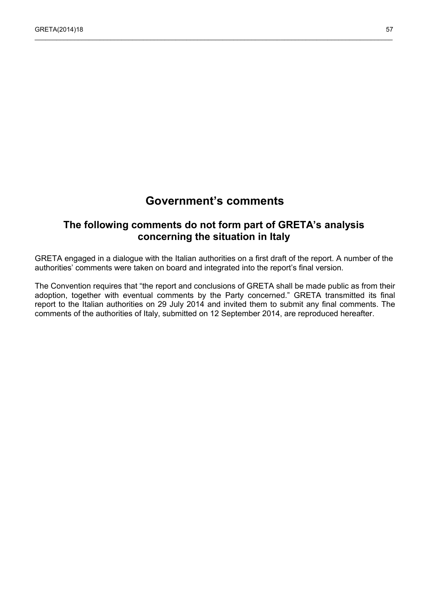## **Government's comments**

 $\_$  , and the state of the state of the state of the state of the state of the state of the state of the state of the state of the state of the state of the state of the state of the state of the state of the state of the

## <span id="page-56-0"></span>**The following comments do not form part of GRETA's analysis concerning the situation in Italy**

GRETA engaged in a dialogue with the Italian authorities on a first draft of the report. A number of the authorities' comments were taken on board and integrated into the report's final version.

The Convention requires that "the report and conclusions of GRETA shall be made public as from their adoption, together with eventual comments by the Party concerned." GRETA transmitted its final report to the Italian authorities on 29 July 2014 and invited them to submit any final comments. The comments of the authorities of Italy, submitted on 12 September 2014, are reproduced hereafter.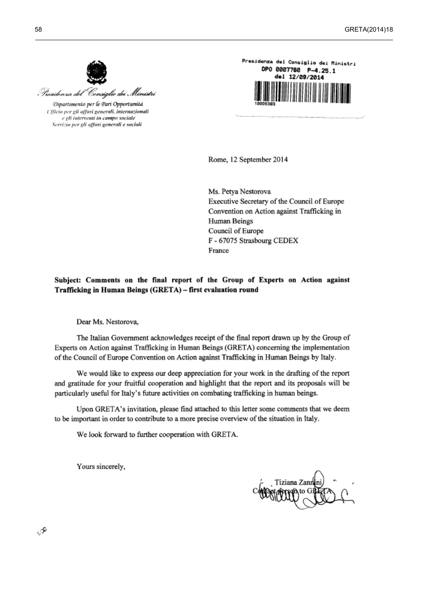

Dipartimento per le Pari Opportunità Ufficio per gli affari generali, internazionali e eli interventi in campo sociale Servizio per gli affari generali e sociali



Rome, 12 September 2014

Ms. Petya Nestorova Executive Secretary of the Council of Europe Convention on Action against Trafficking in Human Beings Council of Europe F - 67075 Strasbourg CEDEX France

### Subject: Comments on the final report of the Group of Experts on Action against Trafficking in Human Beings (GRETA) - first evaluation round

Dear Ms. Nestorova,

The Italian Government acknowledges receipt of the final report drawn up by the Group of Experts on Action against Trafficking in Human Beings (GRETA) concerning the implementation of the Council of Europe Convention on Action against Trafficking in Human Beings by Italy.

We would like to express our deep appreciation for your work in the drafting of the report and gratitude for your fruitful cooperation and highlight that the report and its proposals will be particularly useful for Italy's future activities on combating trafficking in human beings.

Upon GRETA's invitation, please find attached to this letter some comments that we deem to be important in order to contribute to a more precise overview of the situation in Italy.

We look forward to further cooperation with GRETA.

Yours sincerely,

ري

iziana Zanı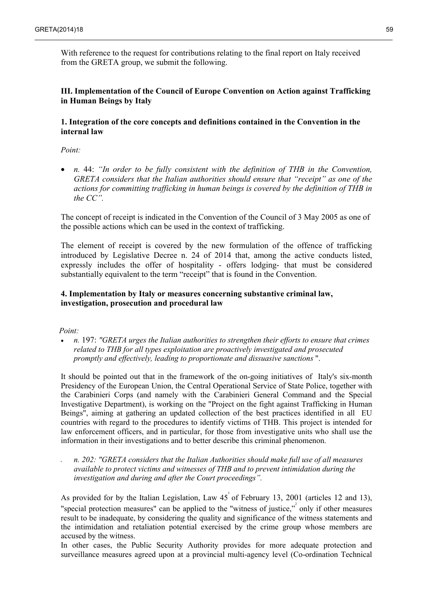With reference to the request for contributions relating to the final report on Italy received from the GRETA group, we submit the following.

 $\_$  , and the state of the state of the state of the state of the state of the state of the state of the state of the state of the state of the state of the state of the state of the state of the state of the state of the

### **III. Implementation of the Council of Europe Convention on Action against Trafficking in Human Beings by Italy**

### **1. Integration of the core concepts and definitions contained in the Convention in the internal law**

*Point:*

 *n.* 44: *"In order to be fully consistent with the definition of THB in the Convention, GRETA considers that the Italian authorities should ensure that "receipt" as one of the actions for committing trafficking in human beings is covered by the definition of THB in the CC".*

The concept of receipt is indicated in the Convention of the Council of 3 May 2005 as one of the possible actions which can be used in the context of trafficking.

The element of receipt is covered by the new formulation of the offence of trafficking introduced by Legislative Decree n. 24 of 2014 that, among the active conducts listed, expressly includes the offer of hospitality - offers lodging- that must be considered substantially equivalent to the term "receipt" that is found in the Convention.

### **4. Implementation by Italy or measures concerning substantive criminal law, investigation, prosecution and procedural law**

*Point:* 

 *n.* 197: *"GRETA urges the Italian authorities to strengthen their efforts to ensure that crimes related to THB for all types exploitation are proactively investigated and prosecuted promptly and effectively, leading to proportionate and dissuasive sanctions* ".

It should be pointed out that in the framework of the on-going initiatives of Italy's six-month Presidency of the European Union, the Central Operational Service of State Police, together with the Carabinieri Corps (and namely with the Carabinieri General Command and the Special Investigative Department), is working on the "Project on the fight against Trafficking in Human Beings", aiming at gathering an updated collection of the best practices identified in all EU countries with regard to the procedures to identify victims of THB. This project is intended for law enforcement officers, and in particular, for those from investigative units who shall use the information in their investigations and to better describe this criminal phenomenon.

 *n. 202: "GRETA considers that the Italian Authorities should make full use of all measures available to protect victims and witnesses of THB and to prevent intimidation during the investigation and during and after the Court proceedings".*

As provided for by the Italian Legislation, Law  $45^{\circ}$  of February 13, 2001 (articles 12 and 13), "special protection measures" can be applied to the "witness of justice," $\frac{1}{2}$  only if other measures result to be inadequate, by considering the quality and significance of the witness statements and the intimidation and retaliation potential exercised by the crime group whose members are accused by the witness.

In other cases, the Public Security Authority provides for more adequate protection and surveillance measures agreed upon at a provincial multi-agency level (Co-ordination Technical